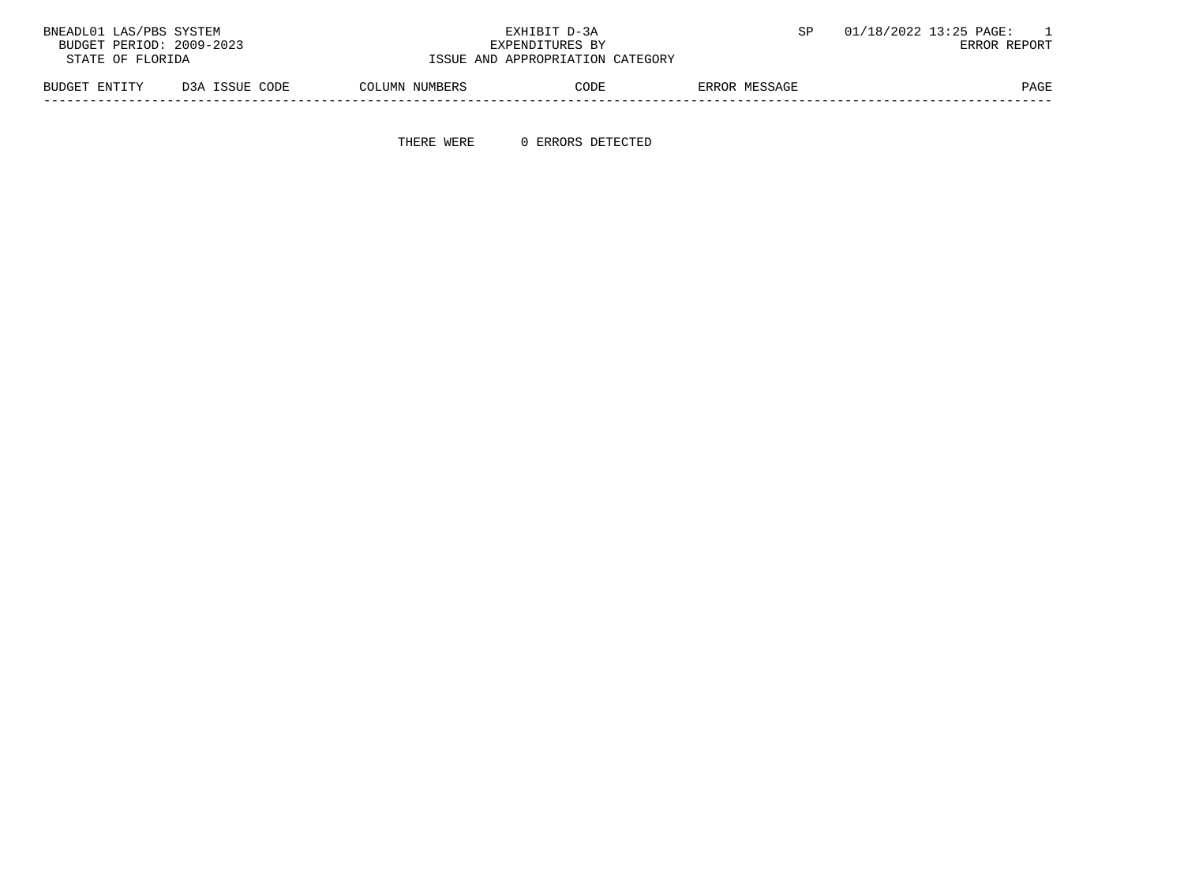| BNEADL01 LAS/PBS SYSTEM  |                |                | EXHIBIT D-3A                     |               | 01/18/2022 13:25 PAGE: |
|--------------------------|----------------|----------------|----------------------------------|---------------|------------------------|
| BUDGET PERIOD: 2009-2023 |                |                | ERROR REPORT                     |               |                        |
| STATE OF FLORIDA         |                |                | ISSUE AND APPROPRIATION CATEGORY |               |                        |
| BUDGET ENTITY            | D3A ISSUE CODE | COLUMN NUMBERS | CODE                             | ERROR MESSAGE | <b>PAGE</b>            |

THERE WERE 0 ERRORS DETECTED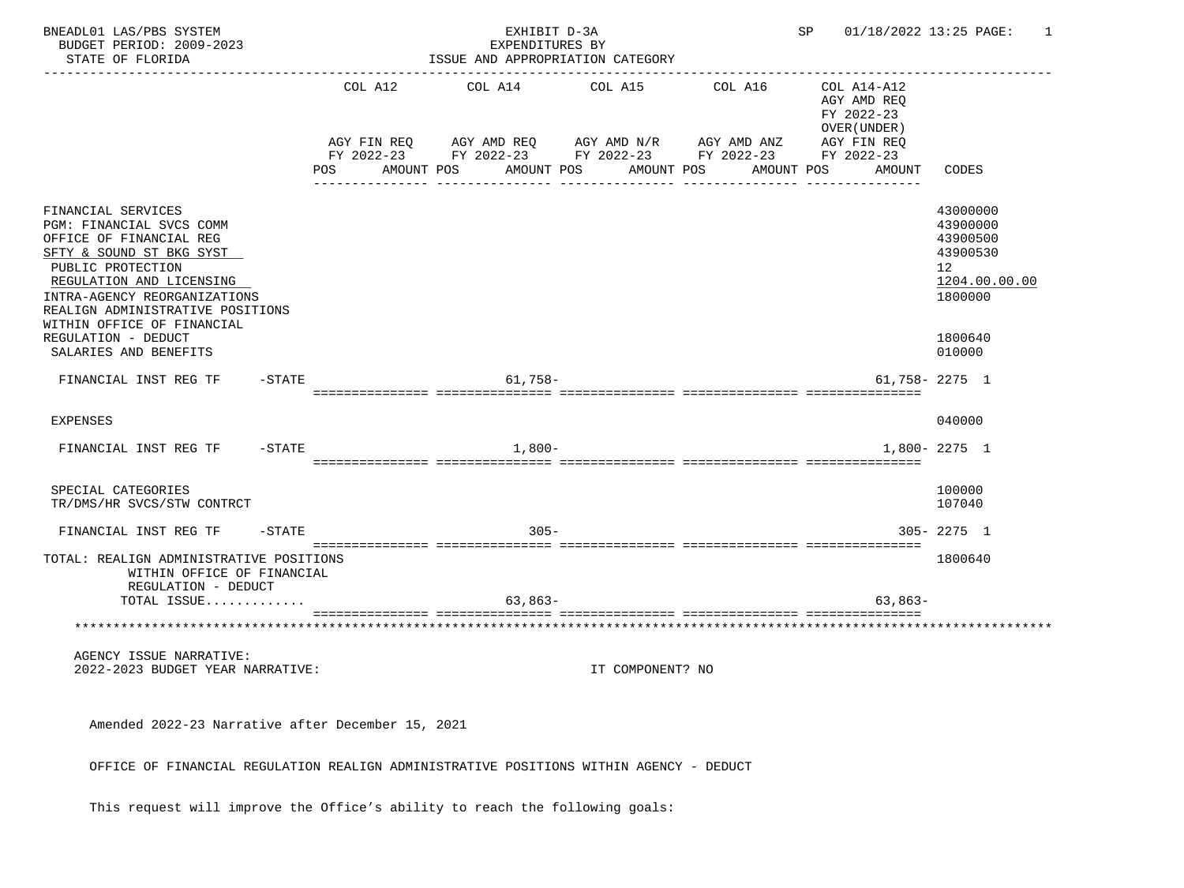| BNEADL01 LAS/PBS SYSTEM<br>BUDGET PERIOD: 2009-2023<br>STATE OF FLORIDA                                                                                                                                                                                                         |           | EXHIBIT D-3A<br>EXPENDITURES BY<br>ISSUE AND APPROPRIATION CATEGORY |                                      |  |                                                                                                             |         |                  |  | SP                    | 01/18/2022 13:25 PAGE: | 1                                                                                                |                                                                                                     |
|---------------------------------------------------------------------------------------------------------------------------------------------------------------------------------------------------------------------------------------------------------------------------------|-----------|---------------------------------------------------------------------|--------------------------------------|--|-------------------------------------------------------------------------------------------------------------|---------|------------------|--|-----------------------|------------------------|--------------------------------------------------------------------------------------------------|-----------------------------------------------------------------------------------------------------|
|                                                                                                                                                                                                                                                                                 |           | POS                                                                 | COL A12<br>AGY FIN REQ<br>AMOUNT POS |  | COL A14<br>AGY AMD REQ AGY AMD N/R AGY AMD ANZ<br>FY 2022-23 FY 2022-23 FY 2022-23 FY 2022-23<br>AMOUNT POS | COL A15 | AMOUNT POS       |  | COL A16<br>AMOUNT POS |                        | COL A14-A12<br>AGY AMD REO<br>FY 2022-23<br>OVER (UNDER )<br>AGY FIN REQ<br>FY 2022-23<br>AMOUNT | CODES                                                                                               |
| FINANCIAL SERVICES<br>PGM: FINANCIAL SVCS COMM<br>OFFICE OF FINANCIAL REG<br>SFTY & SOUND ST BKG SYST<br>PUBLIC PROTECTION<br>REGULATION AND LICENSING<br>INTRA-AGENCY REORGANIZATIONS<br>REALIGN ADMINISTRATIVE POSITIONS<br>WITHIN OFFICE OF FINANCIAL<br>REGULATION - DEDUCT |           |                                                                     |                                      |  |                                                                                                             |         |                  |  |                       |                        |                                                                                                  | 43000000<br>43900000<br>43900500<br>43900530<br>12<br>1204.00.00.00<br>1800000<br>1800640<br>010000 |
| SALARIES AND BENEFITS<br>FINANCIAL INST REG TF                                                                                                                                                                                                                                  | -STATE    |                                                                     |                                      |  | $61,758-$                                                                                                   |         |                  |  |                       |                        |                                                                                                  | $61,758 - 2275$ 1                                                                                   |
| <b>EXPENSES</b><br>FINANCIAL INST REG TF                                                                                                                                                                                                                                        | $-$ STATE |                                                                     |                                      |  | $1,800-$                                                                                                    |         |                  |  |                       |                        |                                                                                                  | 040000<br>1,800-2275 1                                                                              |
| SPECIAL CATEGORIES<br>TR/DMS/HR SVCS/STW CONTRCT                                                                                                                                                                                                                                |           |                                                                     |                                      |  |                                                                                                             |         |                  |  |                       |                        |                                                                                                  | 100000<br>107040                                                                                    |
| FINANCIAL INST REG TF                                                                                                                                                                                                                                                           | $-$ STATE |                                                                     |                                      |  | $305 -$                                                                                                     |         |                  |  |                       |                        |                                                                                                  | $305 - 2275$ 1                                                                                      |
| TOTAL: REALIGN ADMINISTRATIVE POSITIONS<br>WITHIN OFFICE OF FINANCIAL<br>REGULATION - DEDUCT<br>TOTAL ISSUE                                                                                                                                                                     |           |                                                                     |                                      |  | $63,863-$                                                                                                   |         |                  |  |                       |                        | $63,863-$                                                                                        | 1800640                                                                                             |
| ***********************************                                                                                                                                                                                                                                             |           |                                                                     |                                      |  |                                                                                                             |         |                  |  |                       |                        |                                                                                                  |                                                                                                     |
| AGENCY ISSUE NARRATIVE:<br>2022-2023 BUDGET YEAR NARRATIVE:                                                                                                                                                                                                                     |           |                                                                     |                                      |  |                                                                                                             |         | IT COMPONENT? NO |  |                       |                        |                                                                                                  |                                                                                                     |
| Amended 2022-23 Narrative after December 15, 2021                                                                                                                                                                                                                               |           |                                                                     |                                      |  |                                                                                                             |         |                  |  |                       |                        |                                                                                                  |                                                                                                     |
| OFFICE OF FINANCIAL REGULATION REALIGN ADMINISTRATIVE POSITIONS WITHIN AGENCY - DEDUCT                                                                                                                                                                                          |           |                                                                     |                                      |  |                                                                                                             |         |                  |  |                       |                        |                                                                                                  |                                                                                                     |

This request will improve the Office's ability to reach the following goals: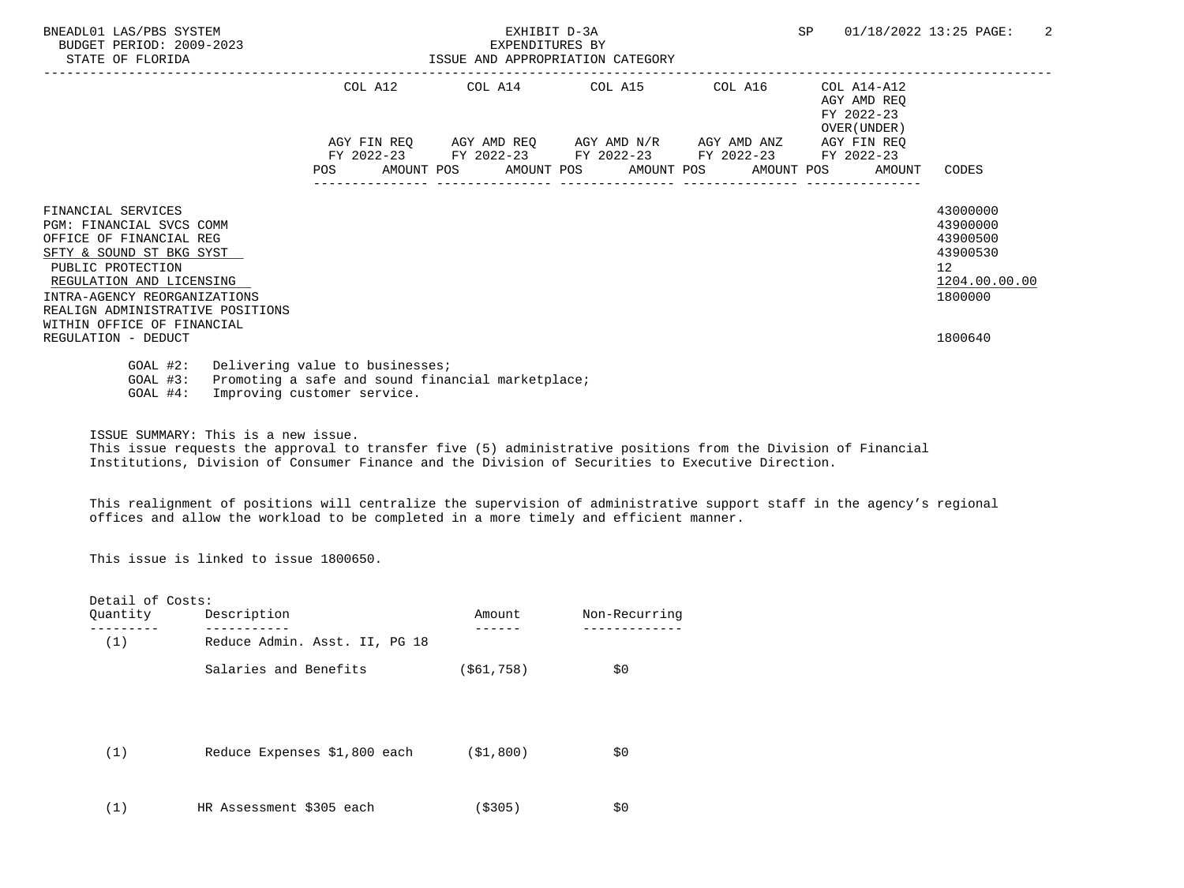| BNEADL01 LAS/PBS SYSTEM<br>BUDGET PERIOD: 2009-2023<br>STATE OF FLORIDA                                                                                                                                                                                         |  | EXHIBIT D-3A<br>EXPENDITURES BY | ISSUE AND APPROPRIATION CATEGORY |  |                                                        | SP |                                                                                       | 01/18/2022 13:25 PAGE:                                                                      | 2 |
|-----------------------------------------------------------------------------------------------------------------------------------------------------------------------------------------------------------------------------------------------------------------|--|---------------------------------|----------------------------------|--|--------------------------------------------------------|----|---------------------------------------------------------------------------------------|---------------------------------------------------------------------------------------------|---|
|                                                                                                                                                                                                                                                                 |  |                                 |                                  |  | COL A12 COL A14 COL A15 COL A16                        |    | $COL A14 - A12$<br>AGY AMD REO<br>FY 2022-23                                          |                                                                                             |   |
|                                                                                                                                                                                                                                                                 |  |                                 |                                  |  | FY 2022-23 FY 2022-23 FY 2022-23 FY 2022-23 FY 2022-23 |    | OVER (UNDER)<br>AGY FIN REO<br>POS AMOUNT POS AMOUNT POS AMOUNT POS AMOUNT POS AMOUNT | CODES                                                                                       |   |
| FINANCIAL SERVICES<br><b>PGM: FINANCIAL SVCS COMM</b><br>OFFICE OF FINANCIAL REG<br>SFTY & SOUND ST BKG SYST<br>PUBLIC PROTECTION<br>REGULATION AND LICENSING<br>INTRA-AGENCY REORGANIZATIONS<br>REALIGN ADMINISTRATIVE POSITIONS<br>WITHIN OFFICE OF FINANCIAL |  |                                 |                                  |  |                                                        |    |                                                                                       | 43000000<br>43900000<br>43900500<br>43900530<br>12 <sup>°</sup><br>1204.00.00.00<br>1800000 |   |
| REGULATION - DEDUCT                                                                                                                                                                                                                                             |  |                                 |                                  |  |                                                        |    |                                                                                       | 1800640                                                                                     |   |
| $GOAL$ #2:<br>Delivering value to businesses;<br>Promoting a safe and sound financial marketplace;<br>$GOAL$ #3:<br>Improving customer service.<br>$GOAL$ #4:                                                                                                   |  |                                 |                                  |  |                                                        |    |                                                                                       |                                                                                             |   |

ISSUE SUMMARY: This is a new issue.

 This issue requests the approval to transfer five (5) administrative positions from the Division of Financial Institutions, Division of Consumer Finance and the Division of Securities to Executive Direction.

 This realignment of positions will centralize the supervision of administrative support staff in the agency's regional offices and allow the workload to be completed in a more timely and efficient manner.

This issue is linked to issue 1800650.

| Detail of Costs: |                               |              |               |
|------------------|-------------------------------|--------------|---------------|
| Quantity         | Description                   | Amount       | Non-Recurring |
| (1)              | Reduce Admin. Asst. II, PG 18 |              |               |
|                  | Salaries and Benefits         | ( \$61, 758) | \$0           |
|                  |                               |              |               |
|                  |                               |              |               |
| (1)              | Reduce Expenses \$1,800 each  | (S1, 800)    | \$0           |
|                  |                               |              |               |
| (1)              | HR Assessment \$305 each      | (\$305)      | \$0           |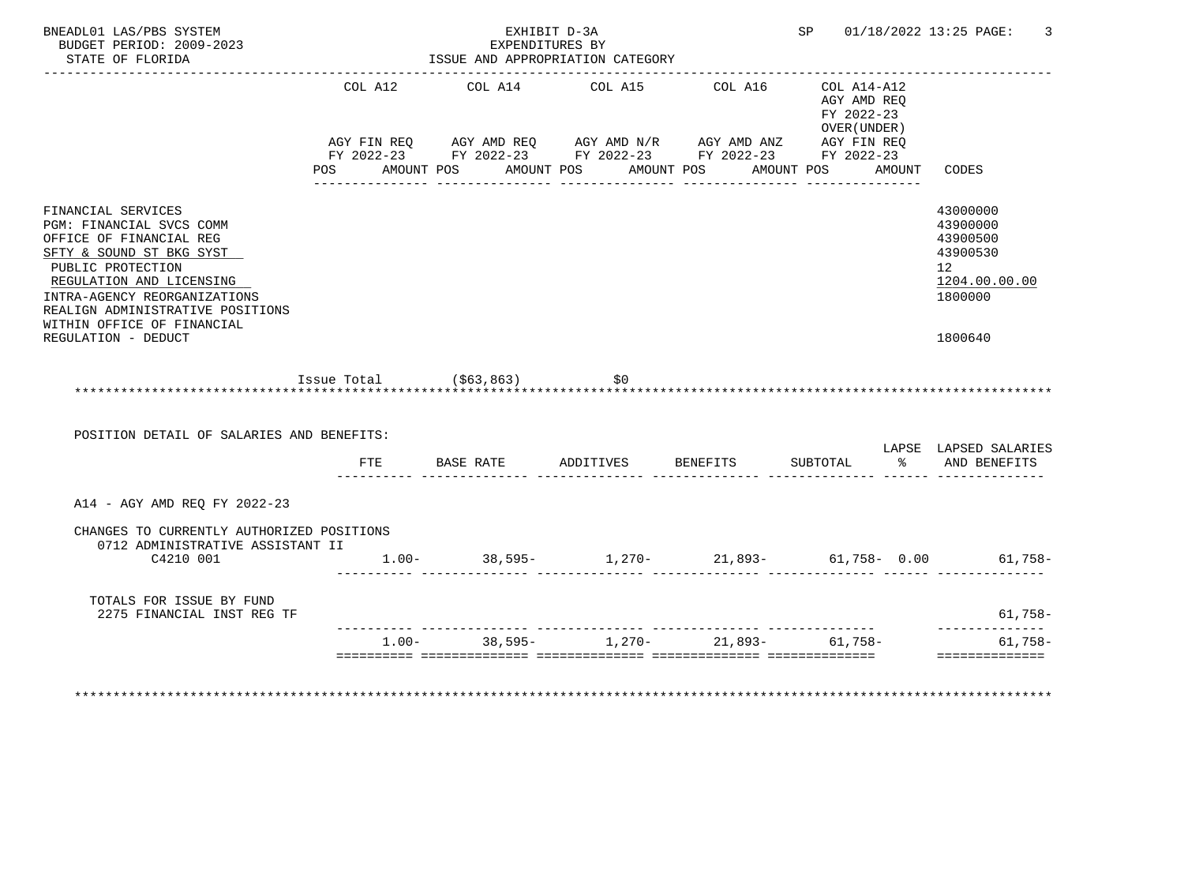| BNEADL01 LAS/PBS SYSTEM<br>BUDGET PERIOD: 2009-2023<br>STATE OF FLORIDA<br><u> Luducululululululu</u>                                                                                                                      |                           | EXPENDITURES BY<br>ISSUE AND APPROPRIATION CATEGORY | EXHIBIT D-3A    |                                                                                                                                                | SP 01/18/2022 13:25 PAGE:                                           | 3                                                                                           |
|----------------------------------------------------------------------------------------------------------------------------------------------------------------------------------------------------------------------------|---------------------------|-----------------------------------------------------|-----------------|------------------------------------------------------------------------------------------------------------------------------------------------|---------------------------------------------------------------------|---------------------------------------------------------------------------------------------|
|                                                                                                                                                                                                                            | COL A12<br>POS            | COL A14<br>AMOUNT POS AMOUNT POS AMOUNT POS         | COL A15         | COL A16<br>AGY FIN REQ AGY AMD REQ AGY AMD N/R AGY AMD ANZ AGY FIN REQ<br>FY 2022-23 FY 2022-23 FY 2022-23 FY 2022-23 FY 2022-23<br>AMOUNT POS | COL A14-A12<br>AGY AMD REO<br>FY 2022-23<br>OVER (UNDER )<br>AMOUNT | CODES                                                                                       |
| FINANCIAL SERVICES<br>PGM: FINANCIAL SVCS COMM<br>OFFICE OF FINANCIAL REG<br>SFTY & SOUND ST BKG SYST<br>PUBLIC PROTECTION<br>REGULATION AND LICENSING<br>INTRA-AGENCY REORGANIZATIONS<br>REALIGN ADMINISTRATIVE POSITIONS |                           |                                                     |                 |                                                                                                                                                |                                                                     | 43000000<br>43900000<br>43900500<br>43900530<br>12 <sup>7</sup><br>1204.00.00.00<br>1800000 |
| WITHIN OFFICE OF FINANCIAL<br>REGULATION - DEDUCT                                                                                                                                                                          | Issue Total $( $63, 863)$ |                                                     | SO(50)          |                                                                                                                                                |                                                                     | 1800640                                                                                     |
|                                                                                                                                                                                                                            |                           |                                                     |                 |                                                                                                                                                |                                                                     |                                                                                             |
| POSITION DETAIL OF SALARIES AND BENEFITS:                                                                                                                                                                                  |                           |                                                     |                 |                                                                                                                                                |                                                                     | LAPSE LAPSED SALARIES                                                                       |
|                                                                                                                                                                                                                            |                           | FTE BASE RATE                                       | ADDITIVES       | <b>BENEFITS</b>                                                                                                                                | SUBTOTAL                                                            | % AND BENEFITS                                                                              |
| A14 - AGY AMD REQ FY 2022-23                                                                                                                                                                                               |                           |                                                     |                 |                                                                                                                                                |                                                                     |                                                                                             |
| CHANGES TO CURRENTLY AUTHORIZED POSITIONS<br>0712 ADMINISTRATIVE ASSISTANT II<br>C4210 001                                                                                                                                 |                           |                                                     |                 |                                                                                                                                                |                                                                     | $1.00 - 38,595 - 1,270 - 21,893 - 61,758 - 0.00$ 61,758-                                    |
| TOTALS FOR ISSUE BY FUND<br>2275 FINANCIAL INST REG TF                                                                                                                                                                     |                           |                                                     |                 |                                                                                                                                                |                                                                     | $61,758-$                                                                                   |
|                                                                                                                                                                                                                            | $1.00 -$                  |                                                     | $38,595-1,270-$ |                                                                                                                                                | 21,893- 61,758-                                                     | 61,758-<br>---------------                                                                  |
|                                                                                                                                                                                                                            |                           |                                                     |                 |                                                                                                                                                |                                                                     |                                                                                             |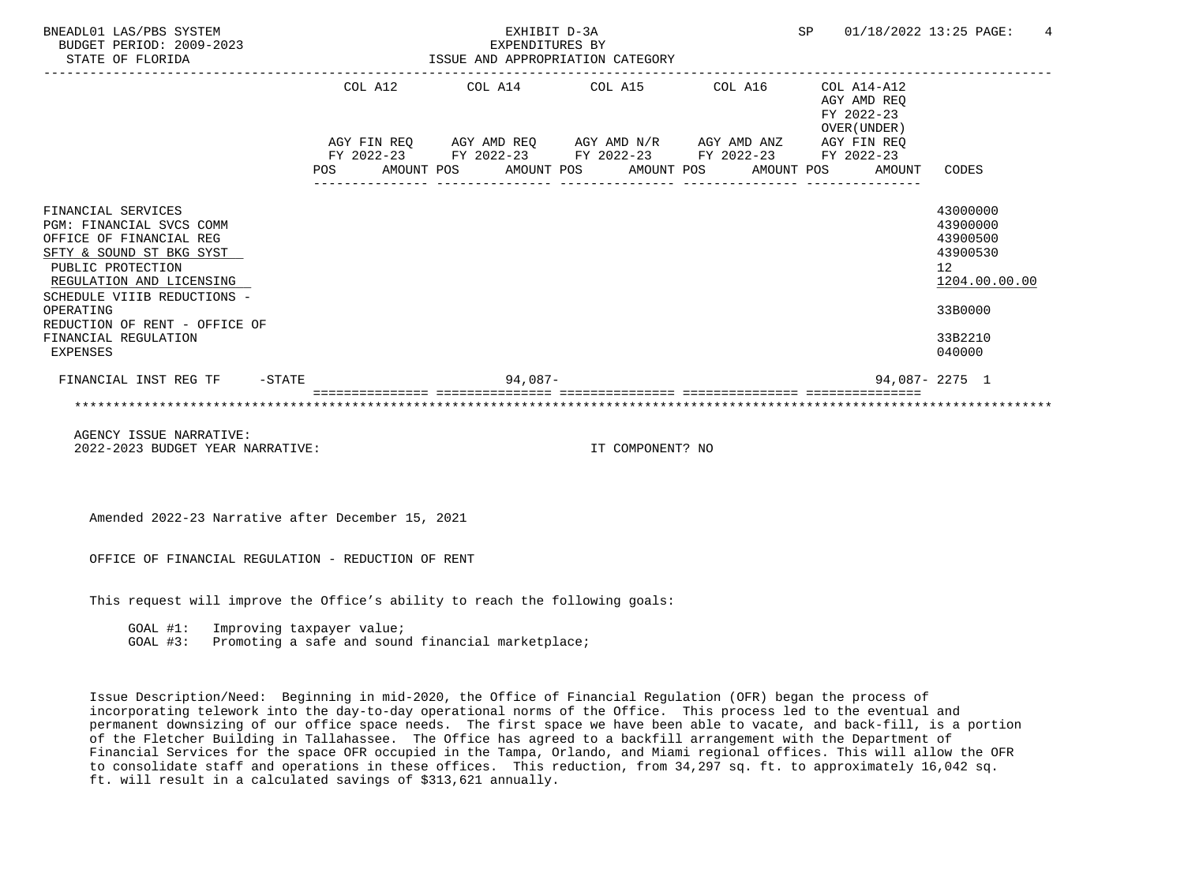| BNEADL01 LAS/PBS SYSTEM<br>BUDGET PERIOD: 2009-2023<br>STATE OF FLORIDA                                                                                                                                                                                                 |  |  | EXHIBIT D-3A<br>EXPENDITURES BY<br>ISSUE AND APPROPRIATION CATEGORY |                                                                                                                                                                          |  | SP 01/18/2022 13:25 PAGE:<br>$\overline{4}$ |              |                                                                                                                  |
|-------------------------------------------------------------------------------------------------------------------------------------------------------------------------------------------------------------------------------------------------------------------------|--|--|---------------------------------------------------------------------|--------------------------------------------------------------------------------------------------------------------------------------------------------------------------|--|---------------------------------------------|--------------|------------------------------------------------------------------------------------------------------------------|
|                                                                                                                                                                                                                                                                         |  |  |                                                                     | COL A12 COL A14 COL A15 COL A16                                                                                                                                          |  | COL A14-A12<br>AGY AMD REO<br>FY 2022-23    |              |                                                                                                                  |
|                                                                                                                                                                                                                                                                         |  |  |                                                                     | AGY FIN REQ AGY AMD REQ AGY AMD N/R AGY AMD ANZ AGY FIN REQ<br>FY 2022-23 FY 2022-23 FY 2022-23 FY 2022-23 FY 2022-23<br>POS AMOUNT POS AMOUNT POS AMOUNT POS AMOUNT POS |  |                                             | OVER (UNDER) | AMOUNT CODES                                                                                                     |
| FINANCIAL SERVICES<br>PGM: FINANCIAL SVCS COMM<br>OFFICE OF FINANCIAL REG<br>SFTY & SOUND ST BKG SYST<br>PUBLIC PROTECTION<br>REGULATION AND LICENSING<br>SCHEDULE VIIIB REDUCTIONS -<br>OPERATING<br>REDUCTION OF RENT - OFFICE OF<br>FINANCIAL REGULATION<br>EXPENSES |  |  |                                                                     |                                                                                                                                                                          |  |                                             |              | 43000000<br>43900000<br>43900500<br>43900530<br>12 <sup>°</sup><br>1204.00.00.00<br>33B0000<br>33B2210<br>040000 |
| FINANCIAL INST REG TF -STATE                                                                                                                                                                                                                                            |  |  | 94.087-                                                             |                                                                                                                                                                          |  |                                             |              | 94,087-2275 1                                                                                                    |
| AGENCY ISSUE NARRATIVE:                                                                                                                                                                                                                                                 |  |  |                                                                     |                                                                                                                                                                          |  |                                             |              |                                                                                                                  |

2022-2023 BUDGET YEAR NARRATIVE: IT COMPONENT? NO

Amended 2022-23 Narrative after December 15, 2021

OFFICE OF FINANCIAL REGULATION - REDUCTION OF RENT

This request will improve the Office's ability to reach the following goals:

GOAL #1: Improving taxpayer value;

GOAL #3: Promoting a safe and sound financial marketplace;

 Issue Description/Need: Beginning in mid-2020, the Office of Financial Regulation (OFR) began the process of incorporating telework into the day-to-day operational norms of the Office. This process led to the eventual and permanent downsizing of our office space needs. The first space we have been able to vacate, and back-fill, is a portion of the Fletcher Building in Tallahassee. The Office has agreed to a backfill arrangement with the Department of Financial Services for the space OFR occupied in the Tampa, Orlando, and Miami regional offices. This will allow the OFR to consolidate staff and operations in these offices. This reduction, from 34,297 sq. ft. to approximately 16,042 sq. ft. will result in a calculated savings of \$313,621 annually.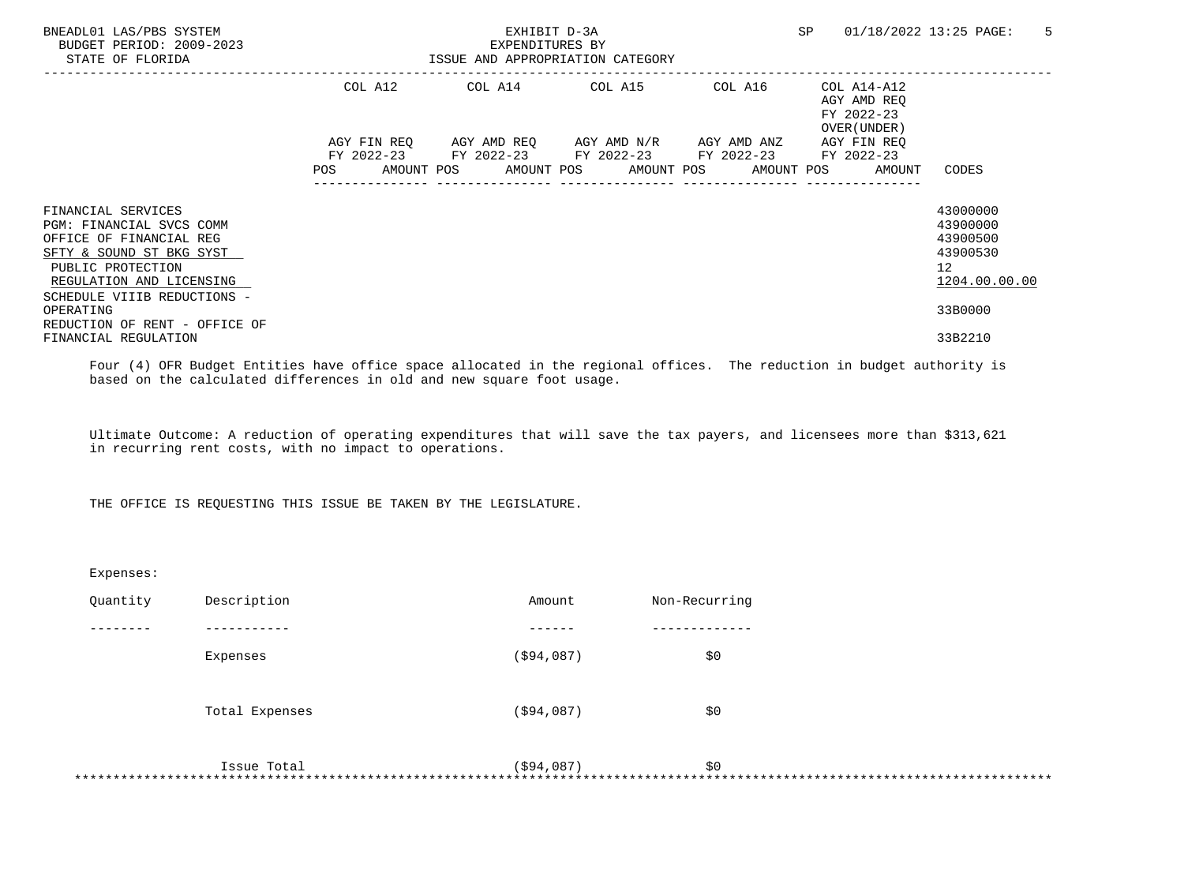| BNEADL01 LAS/PBS SYSTEM<br>BUDGET PERIOD: 2009-2023<br>STATE OF FLORIDA                                                                                                               |                   | EXPENDITURES BY | EXHIBIT D-3A<br>ISSUE AND APPROPRIATION CATEGORY                                                                                   |         | SP                                                       | 5<br>01/18/2022 13:25 PAGE:                                                      |
|---------------------------------------------------------------------------------------------------------------------------------------------------------------------------------------|-------------------|-----------------|------------------------------------------------------------------------------------------------------------------------------------|---------|----------------------------------------------------------|----------------------------------------------------------------------------------|
|                                                                                                                                                                                       | COL A12           |                 | COL A14 COL A15                                                                                                                    | COL A16 | COL A14-A12<br>AGY AMD REO<br>FY 2022-23<br>OVER (UNDER) |                                                                                  |
|                                                                                                                                                                                       | FY 2022-23<br>POS |                 | AGY FIN REQ AGY AMD REQ AGY AMD N/R AGY AMD ANZ<br>FY 2022-23 FY 2022-23 FY 2022-23<br>AMOUNT POS AMOUNT POS AMOUNT POS AMOUNT POS |         | AGY FIN REO<br>FY 2022-23<br>AMOUNT                      | CODES                                                                            |
| FINANCIAL SERVICES<br>PGM: FINANCIAL SVCS COMM<br>OFFICE OF FINANCIAL REG<br>SFTY & SOUND ST BKG SYST<br>PUBLIC PROTECTION<br>REGULATION AND LICENSING<br>SCHEDULE VIIIB REDUCTIONS - |                   |                 |                                                                                                                                    |         |                                                          | 43000000<br>43900000<br>43900500<br>43900530<br>12 <sup>7</sup><br>1204.00.00.00 |
| OPERATING<br>REDUCTION OF RENT - OFFICE OF<br>FINANCIAL REGULATION                                                                                                                    |                   |                 |                                                                                                                                    |         |                                                          | 33B0000<br>33B2210                                                               |

 Four (4) OFR Budget Entities have office space allocated in the regional offices. The reduction in budget authority is based on the calculated differences in old and new square foot usage.

 Ultimate Outcome: A reduction of operating expenditures that will save the tax payers, and licensees more than \$313,621 in recurring rent costs, with no impact to operations.

THE OFFICE IS REQUESTING THIS ISSUE BE TAKEN BY THE LEGISLATURE.

| Expenses: |                |             |               |
|-----------|----------------|-------------|---------------|
| Quantity  | Description    | Amount      | Non-Recurring |
|           |                |             |               |
|           | Expenses       | ( \$94,087) | \$0           |
|           | Total Expenses | ( \$94,087) | \$0           |
|           | Issue Total    | ( \$94,087) | \$0<br>*****  |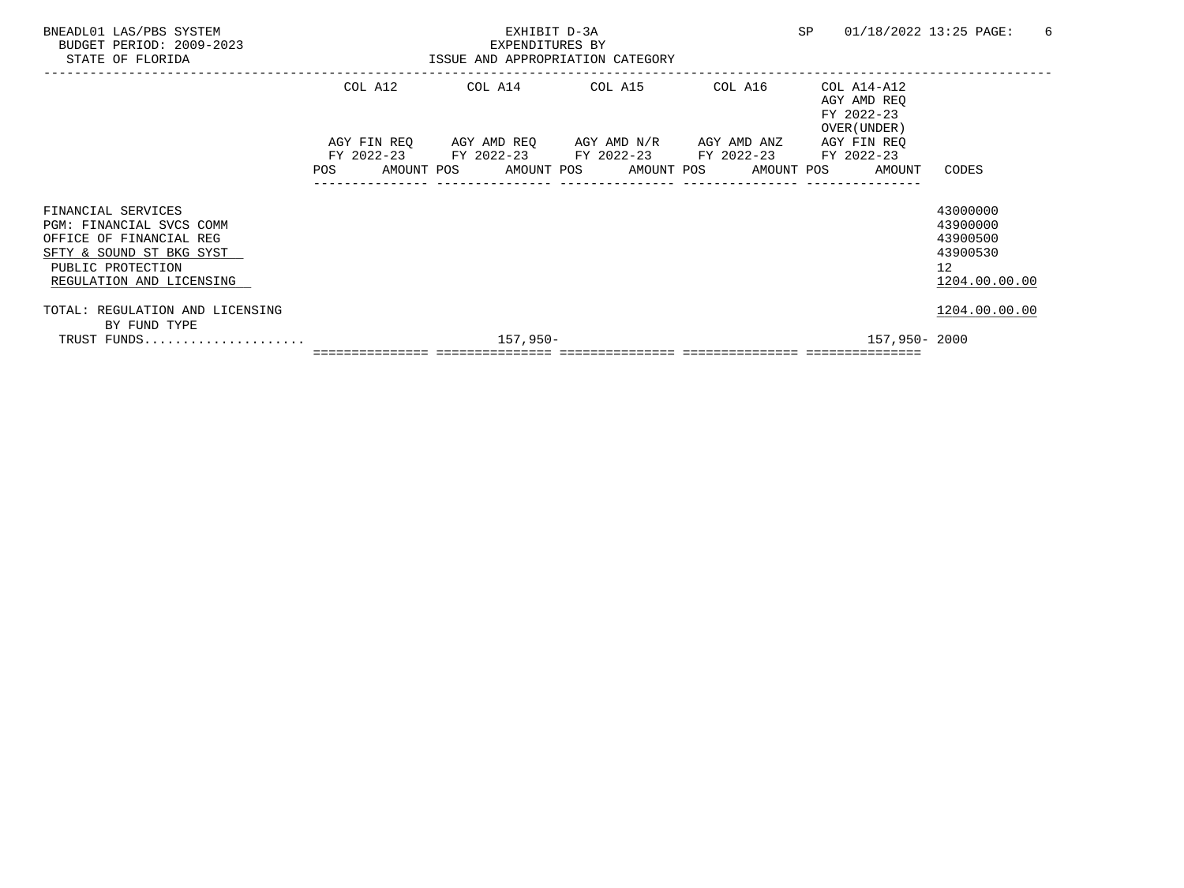| BNEADL01 LAS/PBS SYSTEM<br>BUDGET PERIOD: 2009-2023<br>STATE OF FLORIDA                                                                                |         | EXHIBIT D-3A<br>EXPENDITURES BY<br>ISSUE AND APPROPRIATION CATEGORY | SP                                                                                                                                                           | 01/18/2022 13:25 PAGE:<br>6 |                                                          |                                                                     |
|--------------------------------------------------------------------------------------------------------------------------------------------------------|---------|---------------------------------------------------------------------|--------------------------------------------------------------------------------------------------------------------------------------------------------------|-----------------------------|----------------------------------------------------------|---------------------------------------------------------------------|
|                                                                                                                                                        | COL A12 |                                                                     | COL A14 COL A15                                                                                                                                              | COL A16                     | COL A14-A12<br>AGY AMD REO<br>FY 2022-23<br>OVER (UNDER) |                                                                     |
|                                                                                                                                                        |         |                                                                     | AGY FIN REQ AGY AMD REQ AGY AMD N/R AGY AMD ANZ<br>FY 2022-23 FY 2022-23 FY 2022-23 FY 2022-23 FY 2022-23<br>POS AMOUNT POS AMOUNT POS AMOUNT POS AMOUNT POS | ---------------             | AGY FIN REO<br>AMOUNT                                    | CODES                                                               |
| FINANCIAL SERVICES<br>PGM: FINANCIAL SVCS COMM<br>OFFICE OF FINANCIAL REG<br>SFTY & SOUND ST BKG SYST<br>PUBLIC PROTECTION<br>REGULATION AND LICENSING |         |                                                                     |                                                                                                                                                              |                             |                                                          | 43000000<br>43900000<br>43900500<br>43900530<br>12<br>1204.00.00.00 |
| TOTAL: REGULATION AND LICENSING<br>BY FUND TYPE                                                                                                        |         |                                                                     |                                                                                                                                                              |                             |                                                          | 1204.00.00.00                                                       |
| TRUST FUNDS                                                                                                                                            |         | 157,950-                                                            |                                                                                                                                                              |                             |                                                          | 157,950-2000                                                        |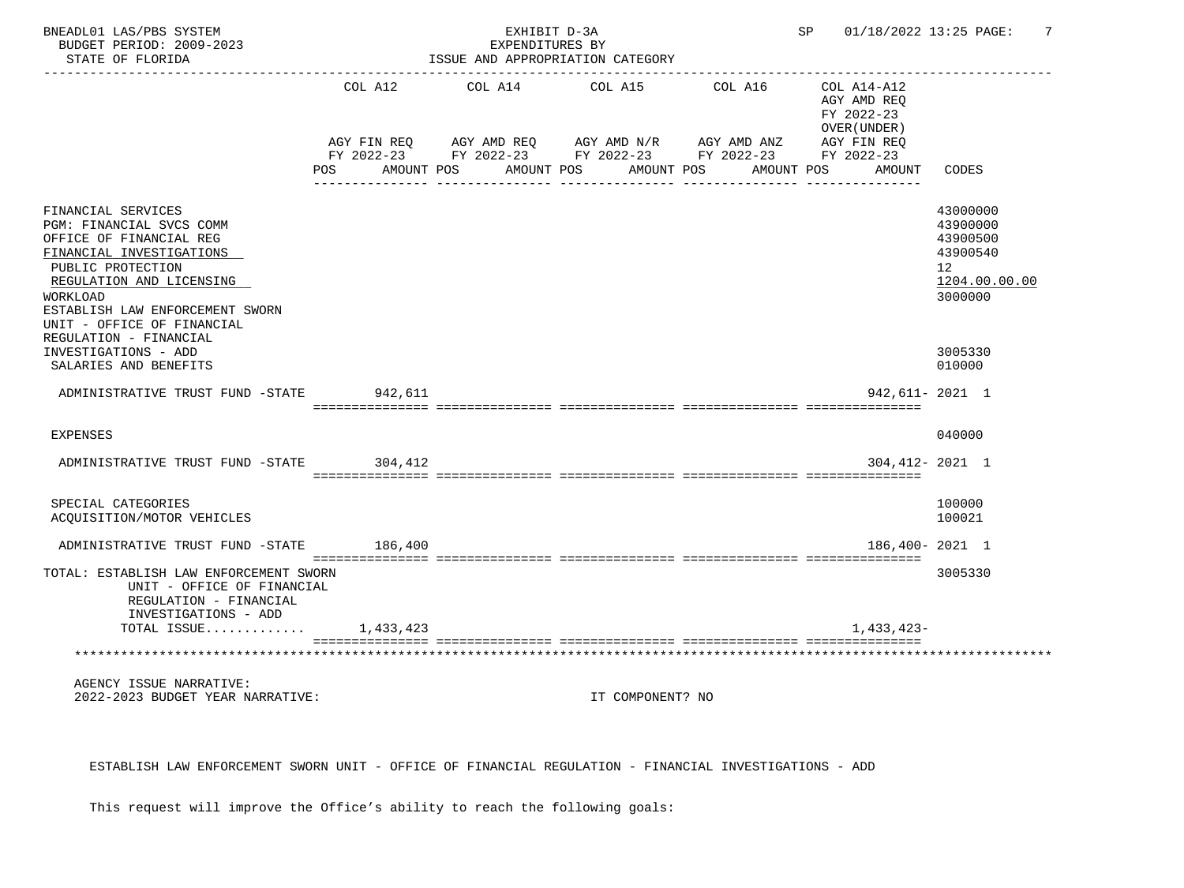| BNEADL01 LAS/PBS SYSTEM<br>BUDGET PERIOD: 2009-2023<br>STATE OF FLORIDA                                                                                                                                                             |         | EXHIBIT D-3A<br>EXPENDITURES BY<br>ISSUE AND APPROPRIATION CATEGORY                 | SP 01/18/2022 13:25 PAGE: | -7         |                                                          |                                                                                |
|-------------------------------------------------------------------------------------------------------------------------------------------------------------------------------------------------------------------------------------|---------|-------------------------------------------------------------------------------------|---------------------------|------------|----------------------------------------------------------|--------------------------------------------------------------------------------|
|                                                                                                                                                                                                                                     | COL A12 | COL A14 COL A15<br>AGY FIN REQ AGY AMD REQ AGY AMD N/R AGY AMD ANZ AGY FIN REQ      |                           | COL A16    | COL A14-A12<br>AGY AMD REO<br>FY 2022-23<br>OVER (UNDER) |                                                                                |
|                                                                                                                                                                                                                                     |         | FY 2022-23 FY 2022-23 FY 2022-23 FY 2022-23 FY 2022-23<br>POS AMOUNT POS AMOUNT POS |                           | AMOUNT POS | AMOUNT POS<br>AMOUNT                                     | CODES                                                                          |
| FINANCIAL SERVICES<br>PGM: FINANCIAL SVCS COMM<br>OFFICE OF FINANCIAL REG<br>FINANCIAL INVESTIGATIONS<br>PUBLIC PROTECTION<br>REGULATION AND LICENSING<br>WORKLOAD<br>ESTABLISH LAW ENFORCEMENT SWORN<br>UNIT - OFFICE OF FINANCIAL |         |                                                                                     |                           |            |                                                          | 43000000<br>43900000<br>43900500<br>43900540<br>12<br>1204.00.00.00<br>3000000 |
| REGULATION - FINANCIAL<br>INVESTIGATIONS - ADD<br>SALARIES AND BENEFITS                                                                                                                                                             |         |                                                                                     |                           |            |                                                          | 3005330<br>010000                                                              |
| ADMINISTRATIVE TRUST FUND -STATE 942,611                                                                                                                                                                                            |         |                                                                                     |                           |            | 942,611-2021 1                                           |                                                                                |
| <b>EXPENSES</b>                                                                                                                                                                                                                     |         |                                                                                     |                           |            |                                                          | 040000                                                                         |
| ADMINISTRATIVE TRUST FUND -STATE 304,412                                                                                                                                                                                            |         |                                                                                     |                           |            | 304, 412- 2021 1                                         |                                                                                |
| SPECIAL CATEGORIES<br>ACQUISITION/MOTOR VEHICLES                                                                                                                                                                                    |         |                                                                                     |                           |            |                                                          | 100000<br>100021                                                               |
| ADMINISTRATIVE TRUST FUND -STATE                                                                                                                                                                                                    | 186,400 |                                                                                     |                           |            | 186,400-2021 1                                           |                                                                                |
| TOTAL: ESTABLISH LAW ENFORCEMENT SWORN<br>UNIT - OFFICE OF FINANCIAL<br>REGULATION - FINANCIAL<br>INVESTIGATIONS - ADD                                                                                                              |         |                                                                                     |                           |            |                                                          | 3005330                                                                        |
| TOTAL ISSUE $1,433,423$                                                                                                                                                                                                             |         |                                                                                     |                           |            | 1,433,423-                                               |                                                                                |
|                                                                                                                                                                                                                                     |         |                                                                                     |                           |            |                                                          |                                                                                |
| AGENCY ISSUE NARRATIVE:<br>2022-2023 BUDGET YEAR NARRATIVE:                                                                                                                                                                         |         |                                                                                     | IT COMPONENT? NO          |            |                                                          |                                                                                |

ESTABLISH LAW ENFORCEMENT SWORN UNIT - OFFICE OF FINANCIAL REGULATION - FINANCIAL INVESTIGATIONS - ADD

This request will improve the Office's ability to reach the following goals: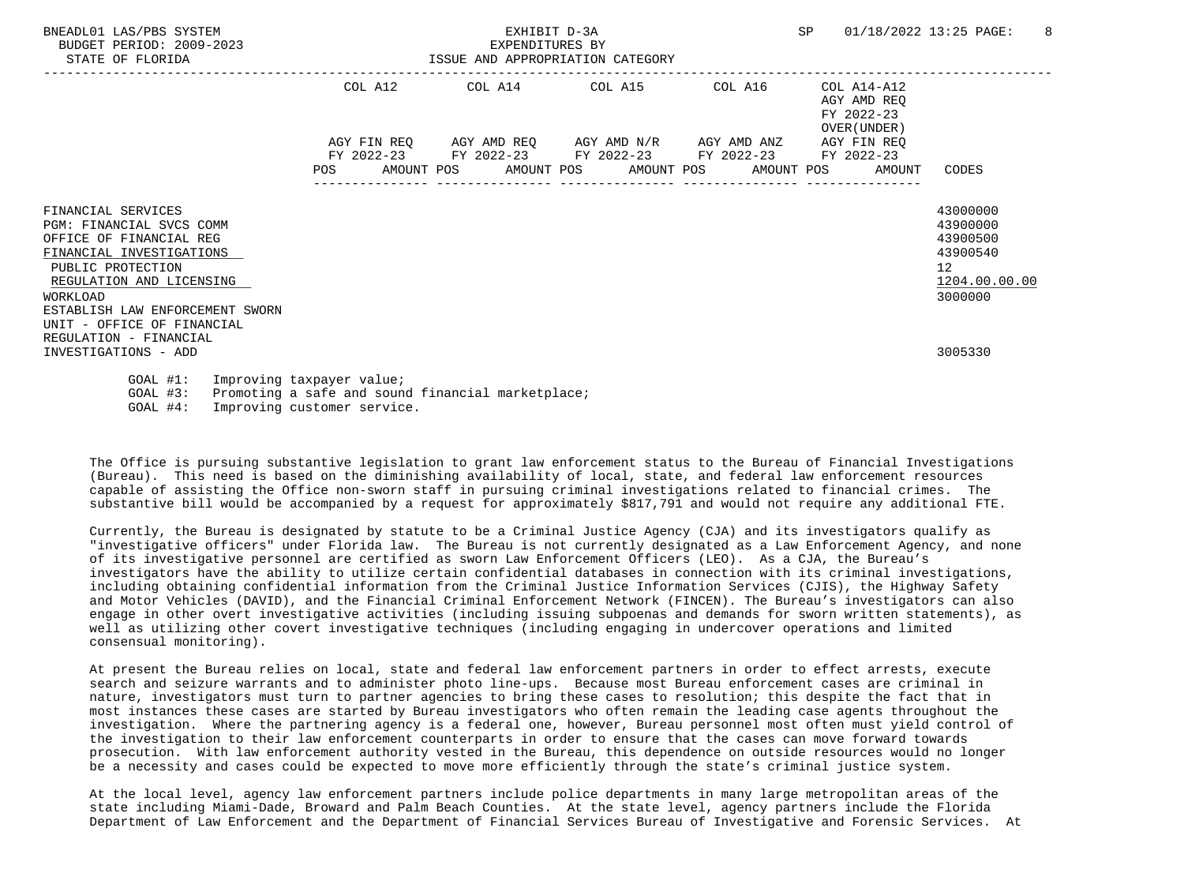| BNEADL01 LAS/PBS SYSTEM<br>BUDGET PERIOD: 2009-2023<br>ISSUE AND APPROPRIATION CATEGORY<br>STATE OF FLORIDA                                                                                                                                |  |  |                                             | EXHIBIT D-3A<br>EXPENDITURES BY |  |                                                                                                                       |  |  | SP                                         |                                                        | 01/18/2022 13:25 PAGE:                                                                      | $\overline{8}$ |
|--------------------------------------------------------------------------------------------------------------------------------------------------------------------------------------------------------------------------------------------|--|--|---------------------------------------------|---------------------------------|--|-----------------------------------------------------------------------------------------------------------------------|--|--|--------------------------------------------|--------------------------------------------------------|---------------------------------------------------------------------------------------------|----------------|
|                                                                                                                                                                                                                                            |  |  | COL A12 COL A14 COL A15 COL A16 COL A14-A12 |                                 |  |                                                                                                                       |  |  | AGY AMD REO<br>FY 2022-23<br>OVER (UNDER ) |                                                        |                                                                                             |                |
|                                                                                                                                                                                                                                            |  |  |                                             |                                 |  | AGY FIN REQ AGY AMD REQ AGY AMD N/R AGY AMD ANZ AGY FIN REQ<br>FY 2022-23 FY 2022-23 FY 2022-23 FY 2022-23 FY 2022-23 |  |  |                                            | POS AMOUNT POS AMOUNT POS AMOUNT POS AMOUNT POS AMOUNT | CODES                                                                                       |                |
| FINANCIAL SERVICES<br>PGM: FINANCIAL SVCS COMM<br>OFFICE OF FINANCIAL REG<br>FINANCIAL INVESTIGATIONS<br>PUBLIC PROTECTION<br>REGULATION AND LICENSING<br><b>WORKLOAD</b><br>ESTABLISH LAW ENFORCEMENT SWORN<br>UNIT - OFFICE OF FINANCIAL |  |  |                                             |                                 |  |                                                                                                                       |  |  |                                            |                                                        | 43000000<br>43900000<br>43900500<br>43900540<br>12 <sup>°</sup><br>1204.00.00.00<br>3000000 |                |
| REGULATION - FINANCIAL<br>INVESTIGATIONS - ADD                                                                                                                                                                                             |  |  |                                             |                                 |  |                                                                                                                       |  |  |                                            |                                                        | 3005330                                                                                     |                |
| GOAL #1: Improving taxpayer value;<br>GOAL #3: Promoting a safe and sound financial marketplace;                                                                                                                                           |  |  |                                             |                                 |  |                                                                                                                       |  |  |                                            |                                                        |                                                                                             |                |

GOAL #4: Improving customer service.

 The Office is pursuing substantive legislation to grant law enforcement status to the Bureau of Financial Investigations (Bureau). This need is based on the diminishing availability of local, state, and federal law enforcement resources capable of assisting the Office non-sworn staff in pursuing criminal investigations related to financial crimes. The substantive bill would be accompanied by a request for approximately \$817,791 and would not require any additional FTE.

 Currently, the Bureau is designated by statute to be a Criminal Justice Agency (CJA) and its investigators qualify as "investigative officers" under Florida law. The Bureau is not currently designated as a Law Enforcement Agency, and none of its investigative personnel are certified as sworn Law Enforcement Officers (LEO). As a CJA, the Bureau's investigators have the ability to utilize certain confidential databases in connection with its criminal investigations, including obtaining confidential information from the Criminal Justice Information Services (CJIS), the Highway Safety and Motor Vehicles (DAVID), and the Financial Criminal Enforcement Network (FINCEN). The Bureau's investigators can also engage in other overt investigative activities (including issuing subpoenas and demands for sworn written statements), as well as utilizing other covert investigative techniques (including engaging in undercover operations and limited consensual monitoring).

 At present the Bureau relies on local, state and federal law enforcement partners in order to effect arrests, execute search and seizure warrants and to administer photo line-ups. Because most Bureau enforcement cases are criminal in nature, investigators must turn to partner agencies to bring these cases to resolution; this despite the fact that in most instances these cases are started by Bureau investigators who often remain the leading case agents throughout the investigation. Where the partnering agency is a federal one, however, Bureau personnel most often must yield control of the investigation to their law enforcement counterparts in order to ensure that the cases can move forward towards prosecution. With law enforcement authority vested in the Bureau, this dependence on outside resources would no longer be a necessity and cases could be expected to move more efficiently through the state's criminal justice system.

 At the local level, agency law enforcement partners include police departments in many large metropolitan areas of the state including Miami-Dade, Broward and Palm Beach Counties. At the state level, agency partners include the Florida Department of Law Enforcement and the Department of Financial Services Bureau of Investigative and Forensic Services. At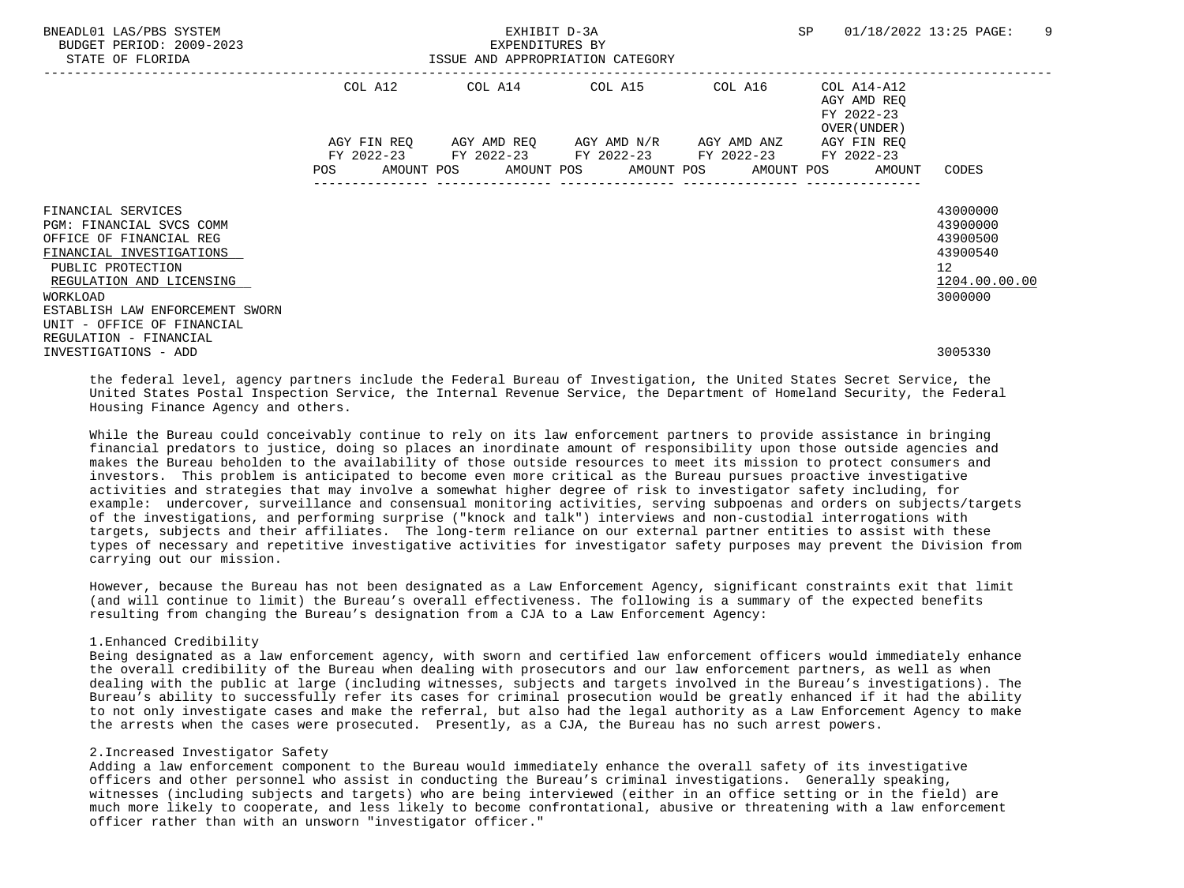| BNEADL01 LAS/PBS SYSTEM<br>BUDGET PERIOD: 2009-2023<br>STATE OF FLORIDA                                                                                |            | EXHIBIT D-3A<br>EXPENDITURES BY<br>ISSUE AND APPROPRIATION CATEGORY                                                                                 | SP      | 01/18/2022 13:25 PAGE:<br>-9                             |                                                                     |
|--------------------------------------------------------------------------------------------------------------------------------------------------------|------------|-----------------------------------------------------------------------------------------------------------------------------------------------------|---------|----------------------------------------------------------|---------------------------------------------------------------------|
|                                                                                                                                                        |            | COL A12 COL A14 COL A15                                                                                                                             | COL A16 | COL A14-A12<br>AGY AMD REO<br>FY 2022-23<br>OVER (UNDER) |                                                                     |
|                                                                                                                                                        | <b>POS</b> | AGY FIN REQ 6 AGY AMD REQ 6 AGY AMD N/R 6 AGY AMD ANZ<br>FY 2022-23 FY 2022-23 FY 2022-23 FY 2022-23<br>AMOUNT POS AMOUNT POS AMOUNT POS AMOUNT POS |         | AGY FIN REO<br>FY 2022-23<br>AMOUNT                      | CODES                                                               |
| FINANCIAL SERVICES<br>PGM: FINANCIAL SVCS COMM<br>OFFICE OF FINANCIAL REG<br>FINANCIAL INVESTIGATIONS<br>PUBLIC PROTECTION<br>REGULATION AND LICENSING |            |                                                                                                                                                     |         |                                                          | 43000000<br>43900000<br>43900500<br>43900540<br>12<br>1204.00.00.00 |
| WORKLOAD<br>ESTABLISH LAW ENFORCEMENT SWORN<br>UNIT - OFFICE OF FINANCIAL<br>REGULATION - FINANCIAL<br>INVESTIGATIONS - ADD                            |            |                                                                                                                                                     |         |                                                          | 3000000<br>3005330                                                  |

 the federal level, agency partners include the Federal Bureau of Investigation, the United States Secret Service, the United States Postal Inspection Service, the Internal Revenue Service, the Department of Homeland Security, the Federal Housing Finance Agency and others.

 While the Bureau could conceivably continue to rely on its law enforcement partners to provide assistance in bringing financial predators to justice, doing so places an inordinate amount of responsibility upon those outside agencies and makes the Bureau beholden to the availability of those outside resources to meet its mission to protect consumers and investors. This problem is anticipated to become even more critical as the Bureau pursues proactive investigative activities and strategies that may involve a somewhat higher degree of risk to investigator safety including, for example: undercover, surveillance and consensual monitoring activities, serving subpoenas and orders on subjects/targets of the investigations, and performing surprise ("knock and talk") interviews and non-custodial interrogations with targets, subjects and their affiliates. The long-term reliance on our external partner entities to assist with these types of necessary and repetitive investigative activities for investigator safety purposes may prevent the Division from carrying out our mission.

 However, because the Bureau has not been designated as a Law Enforcement Agency, significant constraints exit that limit (and will continue to limit) the Bureau's overall effectiveness. The following is a summary of the expected benefits resulting from changing the Bureau's designation from a CJA to a Law Enforcement Agency:

### 1.Enhanced Credibility

 Being designated as a law enforcement agency, with sworn and certified law enforcement officers would immediately enhance the overall credibility of the Bureau when dealing with prosecutors and our law enforcement partners, as well as when dealing with the public at large (including witnesses, subjects and targets involved in the Bureau's investigations). The Bureau's ability to successfully refer its cases for criminal prosecution would be greatly enhanced if it had the ability to not only investigate cases and make the referral, but also had the legal authority as a Law Enforcement Agency to make the arrests when the cases were prosecuted. Presently, as a CJA, the Bureau has no such arrest powers.

## 2.Increased Investigator Safety

 Adding a law enforcement component to the Bureau would immediately enhance the overall safety of its investigative officers and other personnel who assist in conducting the Bureau's criminal investigations. Generally speaking, witnesses (including subjects and targets) who are being interviewed (either in an office setting or in the field) are much more likely to cooperate, and less likely to become confrontational, abusive or threatening with a law enforcement officer rather than with an unsworn "investigator officer."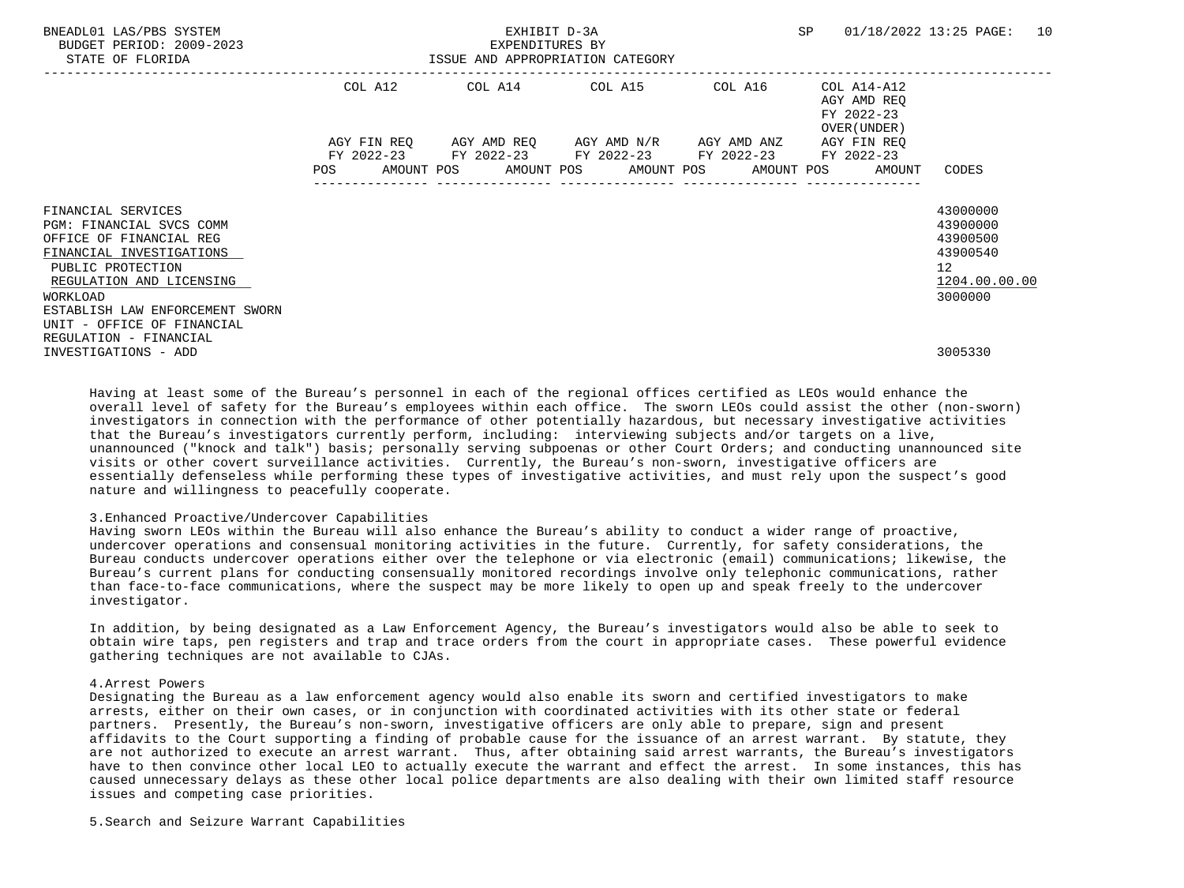| BNEADL01 LAS/PBS SYSTEM<br>BUDGET PERIOD: 2009-2023<br>STATE OF FLORIDA                                                                                |            | EXHIBIT D-3A<br>EXPENDITURES BY<br>ISSUE AND APPROPRIATION CATEGORY                                                                           |         | SP                                                        | 01/18/2022 13:25 PAGE: 10                                                          |
|--------------------------------------------------------------------------------------------------------------------------------------------------------|------------|-----------------------------------------------------------------------------------------------------------------------------------------------|---------|-----------------------------------------------------------|------------------------------------------------------------------------------------|
|                                                                                                                                                        | COL A12    | COL A14 COL A15                                                                                                                               | COL A16 | COL A14-A12<br>AGY AMD REO<br>FY 2022-23<br>OVER (UNDER ) |                                                                                    |
|                                                                                                                                                        | <b>POS</b> | AGY FIN REQ 6GY AMD REQ 6GY AMD N/R 6GY AMD ANZ<br>FY 2022-23 FY 2022-23 FY 2022-23 FY 2022-23<br>AMOUNT POS AMOUNT POS AMOUNT POS AMOUNT POS |         | AGY FIN REO<br>FY 2022-23<br>AMOUNT                       | CODES                                                                              |
| FINANCIAL SERVICES<br>PGM: FINANCIAL SVCS COMM<br>OFFICE OF FINANCIAL REG<br>FINANCIAL INVESTIGATIONS<br>PUBLIC PROTECTION<br>REGULATION AND LICENSING |            |                                                                                                                                               |         |                                                           | 43000000<br>43900000<br>43900500<br>43900540<br>$12 \overline{ }$<br>1204.00.00.00 |
| WORKLOAD<br>ESTABLISH LAW ENFORCEMENT SWORN<br>UNIT - OFFICE OF FINANCIAL<br>REGULATION - FINANCIAL<br>INVESTIGATIONS - ADD                            |            |                                                                                                                                               |         |                                                           | 3000000<br>3005330                                                                 |

 Having at least some of the Bureau's personnel in each of the regional offices certified as LEOs would enhance the overall level of safety for the Bureau's employees within each office. The sworn LEOs could assist the other (non-sworn) investigators in connection with the performance of other potentially hazardous, but necessary investigative activities that the Bureau's investigators currently perform, including: interviewing subjects and/or targets on a live, unannounced ("knock and talk") basis; personally serving subpoenas or other Court Orders; and conducting unannounced site visits or other covert surveillance activities. Currently, the Bureau's non-sworn, investigative officers are essentially defenseless while performing these types of investigative activities, and must rely upon the suspect's good nature and willingness to peacefully cooperate.

#### 3.Enhanced Proactive/Undercover Capabilities

 Having sworn LEOs within the Bureau will also enhance the Bureau's ability to conduct a wider range of proactive, undercover operations and consensual monitoring activities in the future. Currently, for safety considerations, the Bureau conducts undercover operations either over the telephone or via electronic (email) communications; likewise, the Bureau's current plans for conducting consensually monitored recordings involve only telephonic communications, rather than face-to-face communications, where the suspect may be more likely to open up and speak freely to the undercover investigator.

 In addition, by being designated as a Law Enforcement Agency, the Bureau's investigators would also be able to seek to obtain wire taps, pen registers and trap and trace orders from the court in appropriate cases. These powerful evidence gathering techniques are not available to CJAs.

## 4.Arrest Powers

 Designating the Bureau as a law enforcement agency would also enable its sworn and certified investigators to make arrests, either on their own cases, or in conjunction with coordinated activities with its other state or federal partners. Presently, the Bureau's non-sworn, investigative officers are only able to prepare, sign and present affidavits to the Court supporting a finding of probable cause for the issuance of an arrest warrant. By statute, they are not authorized to execute an arrest warrant. Thus, after obtaining said arrest warrants, the Bureau's investigators have to then convince other local LEO to actually execute the warrant and effect the arrest. In some instances, this has caused unnecessary delays as these other local police departments are also dealing with their own limited staff resource issues and competing case priorities.

5.Search and Seizure Warrant Capabilities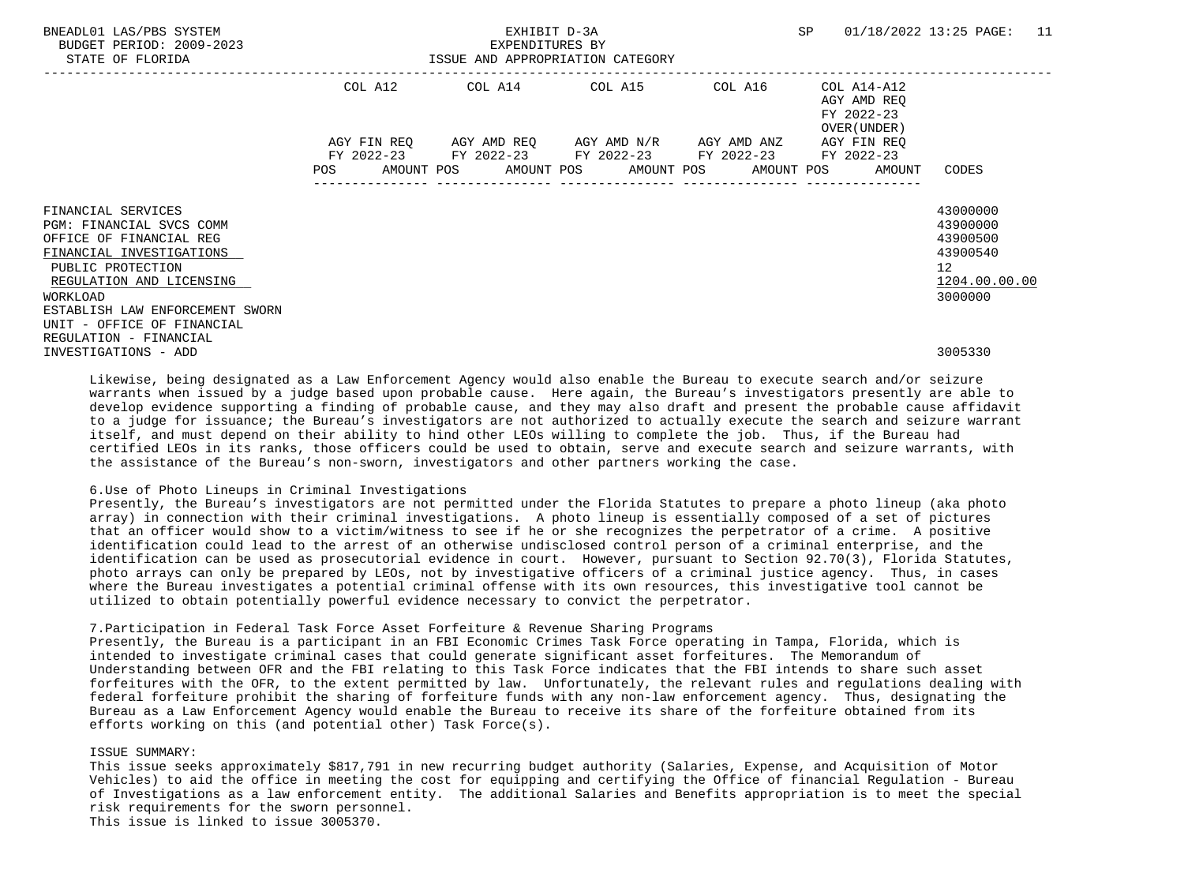| BUDGET PERIOD: 2009-2023<br>STATE OF FLORIDA |            | ISSUE AND APPROPRIATION CATEGORY                        | EXPENDITURES BY |         |                             |                 |
|----------------------------------------------|------------|---------------------------------------------------------|-----------------|---------|-----------------------------|-----------------|
|                                              | COL A12    | ------------------------------------<br>COL A14 COL A15 |                 | COL A16 | COL A14-A12                 |                 |
|                                              |            |                                                         |                 |         | AGY AMD REO<br>FY 2022-23   |                 |
|                                              |            | AGY FIN REQ AGY AMD REQ AGY AMD N/R AGY AMD ANZ         |                 |         | OVER (UNDER)<br>AGY FIN REO |                 |
|                                              |            | FY 2022-23 FY 2022-23 FY 2022-23 FY 2022-23             |                 |         | FY 2022-23                  |                 |
|                                              | <b>POS</b> | AMOUNT POS AMOUNT POS AMOUNT POS AMOUNT POS             |                 |         | AMOUNT                      | CODES           |
|                                              |            |                                                         |                 |         |                             |                 |
| FINANCIAL SERVICES                           |            |                                                         |                 |         |                             | 43000000        |
| PGM: FINANCIAL SVCS COMM                     |            |                                                         |                 |         |                             | 43900000        |
| OFFICE OF FINANCIAL REG                      |            |                                                         |                 |         |                             | 43900500        |
| FINANCIAL INVESTIGATIONS                     |            |                                                         |                 |         |                             | 43900540        |
| PUBLIC PROTECTION                            |            |                                                         |                 |         |                             | 12 <sup>°</sup> |
| REGULATION AND LICENSING                     |            |                                                         |                 |         |                             | 1204.00.00.00   |
| WORKLOAD                                     |            |                                                         |                 |         |                             | 3000000         |
| ESTABLISH LAW ENFORCEMENT SWORN              |            |                                                         |                 |         |                             |                 |
| UNIT - OFFICE OF FINANCIAL                   |            |                                                         |                 |         |                             |                 |
| REGULATION - FINANCIAL                       |            |                                                         |                 |         |                             |                 |
| INVESTIGATIONS - ADD                         |            |                                                         |                 |         |                             | 3005330         |

BNEADL01 LAS/PBS SYSTEM EXHIBIT D-3A SP 01/18/2022 13:25 PAGE: 11

 Likewise, being designated as a Law Enforcement Agency would also enable the Bureau to execute search and/or seizure warrants when issued by a judge based upon probable cause. Here again, the Bureau's investigators presently are able to develop evidence supporting a finding of probable cause, and they may also draft and present the probable cause affidavit to a judge for issuance; the Bureau's investigators are not authorized to actually execute the search and seizure warrant itself, and must depend on their ability to hind other LEOs willing to complete the job. Thus, if the Bureau had certified LEOs in its ranks, those officers could be used to obtain, serve and execute search and seizure warrants, with the assistance of the Bureau's non-sworn, investigators and other partners working the case.

#### 6.Use of Photo Lineups in Criminal Investigations

 Presently, the Bureau's investigators are not permitted under the Florida Statutes to prepare a photo lineup (aka photo array) in connection with their criminal investigations. A photo lineup is essentially composed of a set of pictures that an officer would show to a victim/witness to see if he or she recognizes the perpetrator of a crime. A positive identification could lead to the arrest of an otherwise undisclosed control person of a criminal enterprise, and the identification can be used as prosecutorial evidence in court. However, pursuant to Section 92.70(3), Florida Statutes, photo arrays can only be prepared by LEOs, not by investigative officers of a criminal justice agency. Thus, in cases where the Bureau investigates a potential criminal offense with its own resources, this investigative tool cannot be utilized to obtain potentially powerful evidence necessary to convict the perpetrator.

#### 7.Participation in Federal Task Force Asset Forfeiture & Revenue Sharing Programs

 Presently, the Bureau is a participant in an FBI Economic Crimes Task Force operating in Tampa, Florida, which is intended to investigate criminal cases that could generate significant asset forfeitures. The Memorandum of Understanding between OFR and the FBI relating to this Task Force indicates that the FBI intends to share such asset forfeitures with the OFR, to the extent permitted by law. Unfortunately, the relevant rules and regulations dealing with federal forfeiture prohibit the sharing of forfeiture funds with any non-law enforcement agency. Thus, designating the Bureau as a Law Enforcement Agency would enable the Bureau to receive its share of the forfeiture obtained from its efforts working on this (and potential other) Task Force(s).

#### ISSUE SUMMARY:

 This issue seeks approximately \$817,791 in new recurring budget authority (Salaries, Expense, and Acquisition of Motor Vehicles) to aid the office in meeting the cost for equipping and certifying the Office of financial Regulation - Bureau of Investigations as a law enforcement entity. The additional Salaries and Benefits appropriation is to meet the special risk requirements for the sworn personnel. This issue is linked to issue 3005370.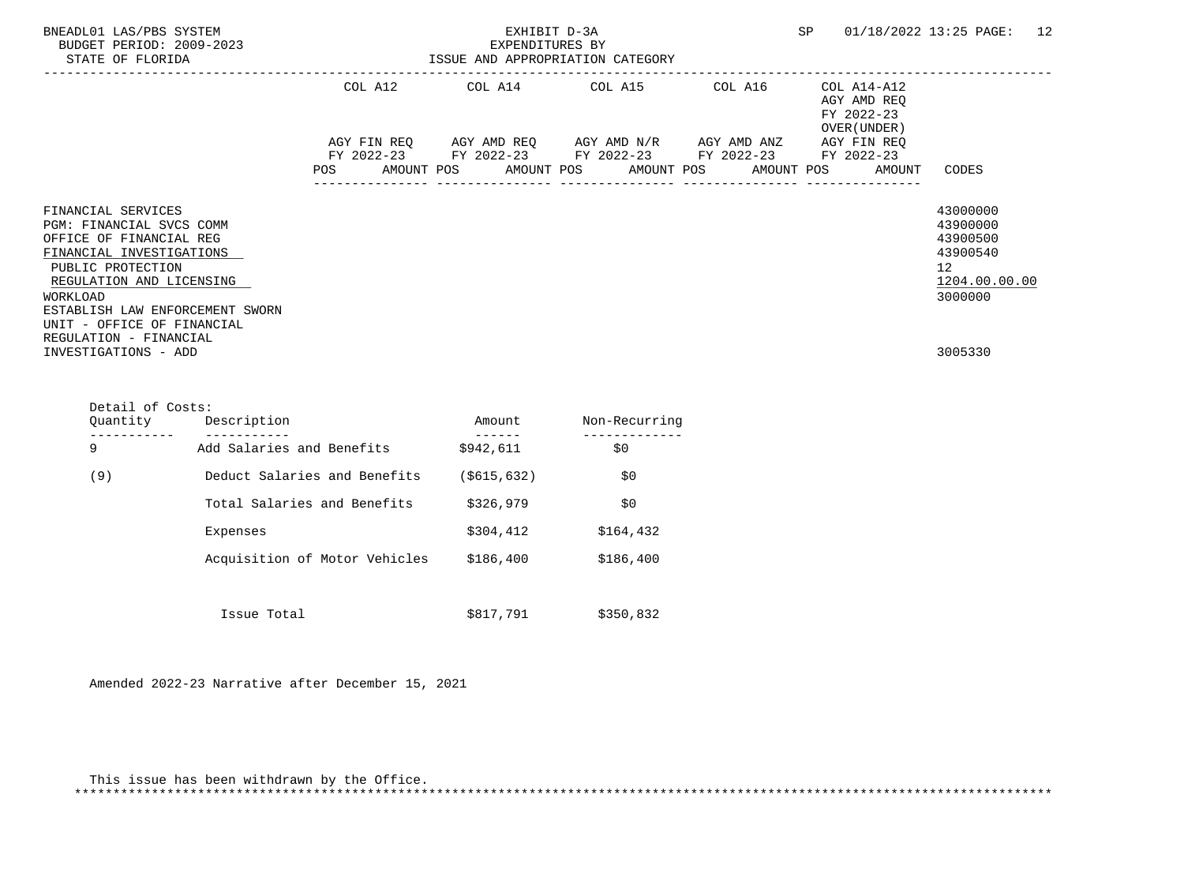| BNEADL01 LAS/PBS SYSTEM<br>BUDGET PERIOD: 2009-2023<br>STATE OF FLORIDA                                                                                                                                                                                       | SP<br>EXHIBIT D-3A<br>EXPENDITURES BY<br>ISSUE AND APPROPRIATION CATEGORY                                                                                                                               | $01/18/2022$ 13:25 PAGE: 12                                                                 |
|---------------------------------------------------------------------------------------------------------------------------------------------------------------------------------------------------------------------------------------------------------------|---------------------------------------------------------------------------------------------------------------------------------------------------------------------------------------------------------|---------------------------------------------------------------------------------------------|
|                                                                                                                                                                                                                                                               | COL A12 COL A14 COL A15 COL A16<br>COL A14-A12<br>AGY AMD REO<br>FY 2022-23<br>OVER (UNDER)                                                                                                             |                                                                                             |
|                                                                                                                                                                                                                                                               | AGY FIN REQ      AGY AMD REQ      AGY AMD N/R      AGY AMD ANZ<br>AGY FIN REO<br>FY 2022-23 FY 2022-23 FY 2022-23 FY 2022-23 FY 2022-23<br>POS<br>AMOUNT POS AMOUNT POS AMOUNT POS AMOUNT POS<br>AMOUNT | CODES                                                                                       |
| FINANCIAL SERVICES<br>PGM: FINANCIAL SVCS COMM<br>OFFICE OF FINANCIAL REG<br>FINANCIAL INVESTIGATIONS<br>PUBLIC PROTECTION<br>REGULATION AND LICENSING<br>WORKLOAD<br>ESTABLISH LAW ENFORCEMENT SWORN<br>UNIT - OFFICE OF FINANCIAL<br>REGULATION - FINANCIAL |                                                                                                                                                                                                         | 43000000<br>43900000<br>43900500<br>43900540<br>12 <sup>°</sup><br>1204.00.00.00<br>3000000 |
| INVESTIGATIONS - ADD                                                                                                                                                                                                                                          |                                                                                                                                                                                                         | 3005330                                                                                     |

| Ouantity | Description                   | Amount        | Non-Recurring |
|----------|-------------------------------|---------------|---------------|
| 9        | Add Salaries and Benefits     | \$942,611     | \$0\$         |
| (9)      | Deduct Salaries and Benefits  | ( \$615, 632) | \$0           |
|          | Total Salaries and Benefits   | \$326,979     | \$0           |
|          | Expenses                      | \$304,412     | \$164,432     |
|          | Acquisition of Motor Vehicles | \$186,400     | \$186,400     |
|          |                               |               |               |
|          | Issue Total                   | \$817,791     | \$350,832     |

Amended 2022-23 Narrative after December 15, 2021

Detail of Costs:

| This issue has been withdrawn by the Office. |  |
|----------------------------------------------|--|
|                                              |  |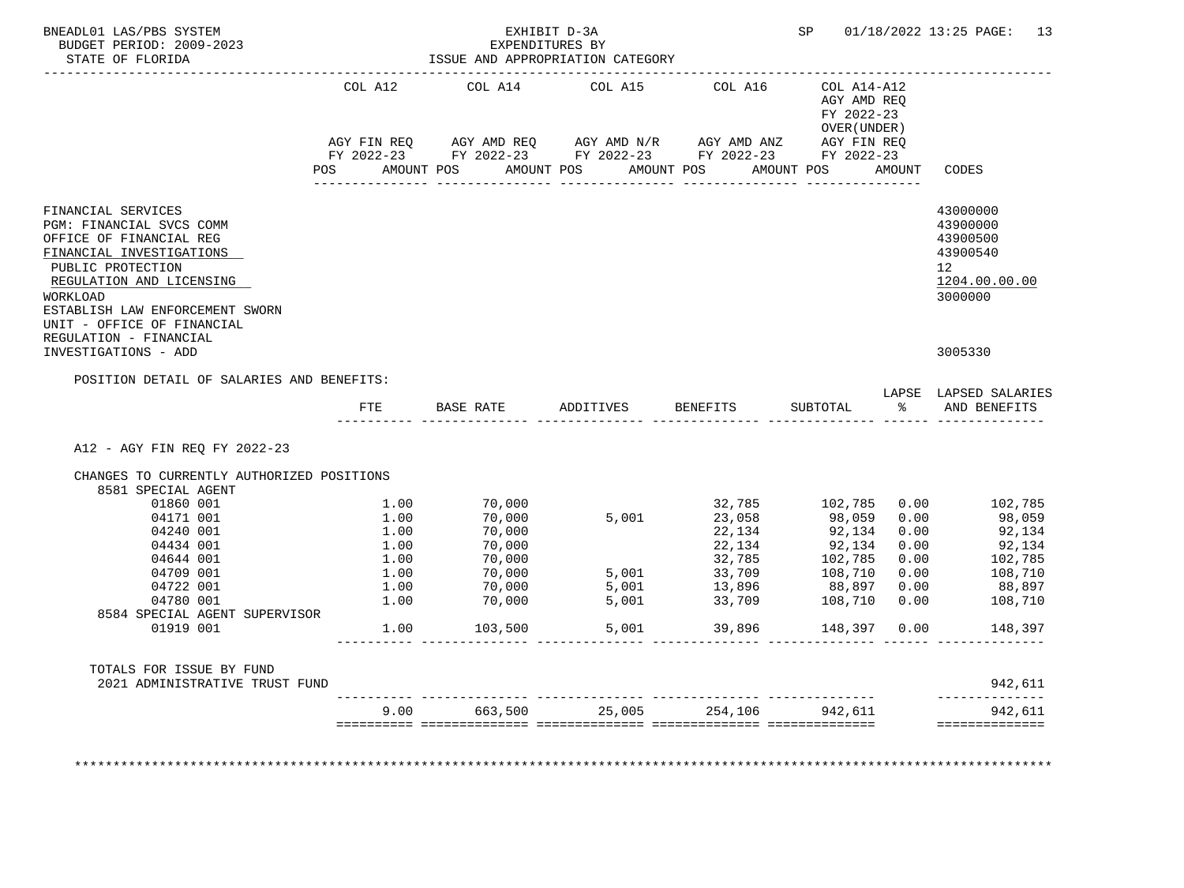| BNEADL01 LAS/PBS SYSTEM<br>BUDGET PERIOD: 2009-2023                                                                                                                                                                                 |                              | EXHIBIT D-3A<br>EXPENDITURES BY                                                                                                  |                |                                |                                                                                |                      | SP 01/18/2022 13:25 PAGE: 13                                                                |
|-------------------------------------------------------------------------------------------------------------------------------------------------------------------------------------------------------------------------------------|------------------------------|----------------------------------------------------------------------------------------------------------------------------------|----------------|--------------------------------|--------------------------------------------------------------------------------|----------------------|---------------------------------------------------------------------------------------------|
| STATE OF FLORIDA                                                                                                                                                                                                                    |                              | ISSUE AND APPROPRIATION CATEGORY                                                                                                 |                |                                |                                                                                |                      |                                                                                             |
|                                                                                                                                                                                                                                     | COL A12                      | COL A14<br>AGY FIN REQ AGY AMD REQ AGY AMD N/R AGY AMD ANZ AGY FIN REQ<br>FY 2022-23 FY 2022-23 FY 2022-23 FY 2022-23 FY 2022-23 | COL A15        | COL A16                        | COL A14-A12<br>AGY AMD REO<br>FY 2022-23<br>OVER (UNDER)                       |                      |                                                                                             |
|                                                                                                                                                                                                                                     | <b>POS</b>                   | AMOUNT POS AMOUNT POS                                                                                                            |                | AMOUNT POS AMOUNT POS          |                                                                                | AMOUNT               | CODES                                                                                       |
| FINANCIAL SERVICES<br>PGM: FINANCIAL SVCS COMM<br>OFFICE OF FINANCIAL REG<br>FINANCIAL INVESTIGATIONS<br>PUBLIC PROTECTION<br>REGULATION AND LICENSING<br>WORKLOAD<br>ESTABLISH LAW ENFORCEMENT SWORN<br>UNIT - OFFICE OF FINANCIAL |                              |                                                                                                                                  |                |                                |                                                                                |                      | 43000000<br>43900000<br>43900500<br>43900540<br>12 <sup>°</sup><br>1204.00.00.00<br>3000000 |
| REGULATION - FINANCIAL<br>INVESTIGATIONS - ADD                                                                                                                                                                                      |                              |                                                                                                                                  |                |                                |                                                                                |                      | 3005330                                                                                     |
| POSITION DETAIL OF SALARIES AND BENEFITS:                                                                                                                                                                                           |                              |                                                                                                                                  |                |                                |                                                                                |                      | LAPSE LAPSED SALARIES                                                                       |
|                                                                                                                                                                                                                                     | ETE                          | <b>BASE RATE</b>                                                                                                                 |                | ADDITIVES BENEFITS             | SUBTOTAL                                                                       |                      | % AND BENEFITS                                                                              |
| A12 - AGY FIN REQ FY 2022-23                                                                                                                                                                                                        |                              |                                                                                                                                  |                |                                |                                                                                |                      |                                                                                             |
| CHANGES TO CURRENTLY AUTHORIZED POSITIONS<br>8581 SPECIAL AGENT                                                                                                                                                                     |                              |                                                                                                                                  |                |                                |                                                                                |                      |                                                                                             |
| 01860 001<br>04171 001<br>04240 001<br>04434 001<br>04644 001                                                                                                                                                                       | 1.00<br>1.00<br>1.00<br>1.00 | 70,000<br>70,000<br>70,000<br>$70,000$<br>$70,000$                                                                               | 5.001          | 23,058<br>22,134               | 32,785 102,785 0.00<br>98,059 0.00<br>92,134<br>22, 134<br>32, 785<br>102, 785 | 0.00<br>0.00<br>0.00 | 102,785<br>98,059<br>92,134<br>92,134<br>102,785                                            |
| 04709 001                                                                                                                                                                                                                           |                              | $1.00$ $70,000$<br>$1.00$ $70,000$<br>$1.00$ $70,000$                                                                            | 5,001          |                                |                                                                                |                      | 108,710<br>88,897                                                                           |
| 04722 001<br>04780 001                                                                                                                                                                                                              | 1.00                         | 70,000                                                                                                                           | 5,001<br>5,001 | 33,709                         | 108,710 0.00                                                                   |                      | 108,710                                                                                     |
| 8584 SPECIAL AGENT SUPERVISOR<br>01919 001                                                                                                                                                                                          |                              | 1.00 103,500                                                                                                                     | 5,001          |                                | 39,896 148,397 0.00                                                            |                      | 148,397                                                                                     |
| TOTALS FOR ISSUE BY FUND<br>2021 ADMINISTRATIVE TRUST FUND                                                                                                                                                                          |                              |                                                                                                                                  |                |                                |                                                                                |                      | 942,611                                                                                     |
|                                                                                                                                                                                                                                     | 9.00                         |                                                                                                                                  |                | 663,500 25,005 254,106 942,611 |                                                                                |                      | --------------<br>942,611                                                                   |
|                                                                                                                                                                                                                                     |                              |                                                                                                                                  |                |                                |                                                                                |                      |                                                                                             |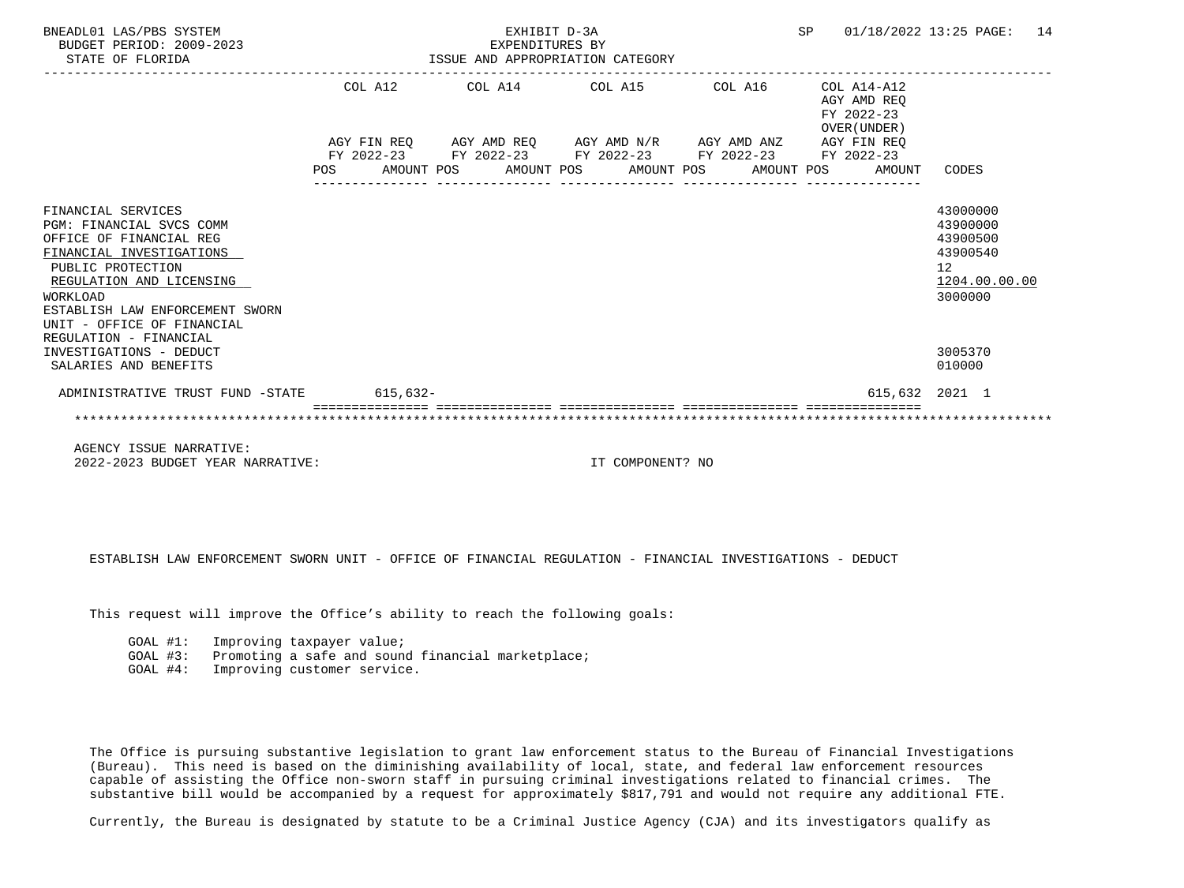| BNEADL01 LAS/PBS SYSTEM<br>BUDGET PERIOD: 2009-2023<br>STATE OF FLORIDA                                                                                                                                                                    |            |  | EXHIBIT D-3A<br>EXPENDITURES BY | ISSUE AND APPROPRIATION CATEGORY                            |                       | <b>SP</b> |                                                          | 01/18/2022 13:25 PAGE: 14                                                                   |  |
|--------------------------------------------------------------------------------------------------------------------------------------------------------------------------------------------------------------------------------------------|------------|--|---------------------------------|-------------------------------------------------------------|-----------------------|-----------|----------------------------------------------------------|---------------------------------------------------------------------------------------------|--|
|                                                                                                                                                                                                                                            | COL A12    |  |                                 | COL A14 COL A15 COL A16                                     |                       |           | COL A14-A12<br>AGY AMD REO<br>FY 2022-23<br>OVER (UNDER) |                                                                                             |  |
|                                                                                                                                                                                                                                            |            |  |                                 | AGY FIN REQ AGY AMD REQ AGY AMD N/R AGY AMD ANZ AGY FIN REQ |                       |           |                                                          |                                                                                             |  |
|                                                                                                                                                                                                                                            | <b>POS</b> |  | AMOUNT POS AMOUNT POS           | FY 2022-23 FY 2022-23 FY 2022-23 FY 2022-23                 | AMOUNT POS AMOUNT POS |           | FY 2022-23<br>AMOUNT                                     | CODES                                                                                       |  |
| FINANCIAL SERVICES<br><b>PGM: FINANCIAL SVCS COMM</b><br>OFFICE OF FINANCIAL REG<br>FINANCIAL INVESTIGATIONS<br>PUBLIC PROTECTION<br>REGULATION AND LICENSING<br>WORKLOAD<br>ESTABLISH LAW ENFORCEMENT SWORN<br>UNIT - OFFICE OF FINANCIAL |            |  |                                 |                                                             |                       |           |                                                          | 43000000<br>43900000<br>43900500<br>43900540<br>12 <sup>°</sup><br>1204.00.00.00<br>3000000 |  |
| REGULATION - FINANCIAL<br>INVESTIGATIONS - DEDUCT<br>SALARIES AND BENEFITS                                                                                                                                                                 |            |  |                                 |                                                             |                       |           |                                                          | 3005370<br>010000                                                                           |  |
| ADMINISTRATIVE TRUST FUND -STATE                                                                                                                                                                                                           | $615,632-$ |  |                                 |                                                             |                       |           |                                                          | 615,632 2021 1                                                                              |  |
|                                                                                                                                                                                                                                            |            |  |                                 |                                                             |                       |           |                                                          |                                                                                             |  |

 AGENCY ISSUE NARRATIVE: 2022-2023 BUDGET YEAR NARRATIVE: IT COMPONENT? NO

ESTABLISH LAW ENFORCEMENT SWORN UNIT - OFFICE OF FINANCIAL REGULATION - FINANCIAL INVESTIGATIONS - DEDUCT

This request will improve the Office's ability to reach the following goals:

GOAL #1: Improving taxpayer value;

GOAL #3: Promoting a safe and sound financial marketplace;

GOAL #4: Improving customer service.

 The Office is pursuing substantive legislation to grant law enforcement status to the Bureau of Financial Investigations (Bureau). This need is based on the diminishing availability of local, state, and federal law enforcement resources capable of assisting the Office non-sworn staff in pursuing criminal investigations related to financial crimes. The substantive bill would be accompanied by a request for approximately \$817,791 and would not require any additional FTE.

Currently, the Bureau is designated by statute to be a Criminal Justice Agency (CJA) and its investigators qualify as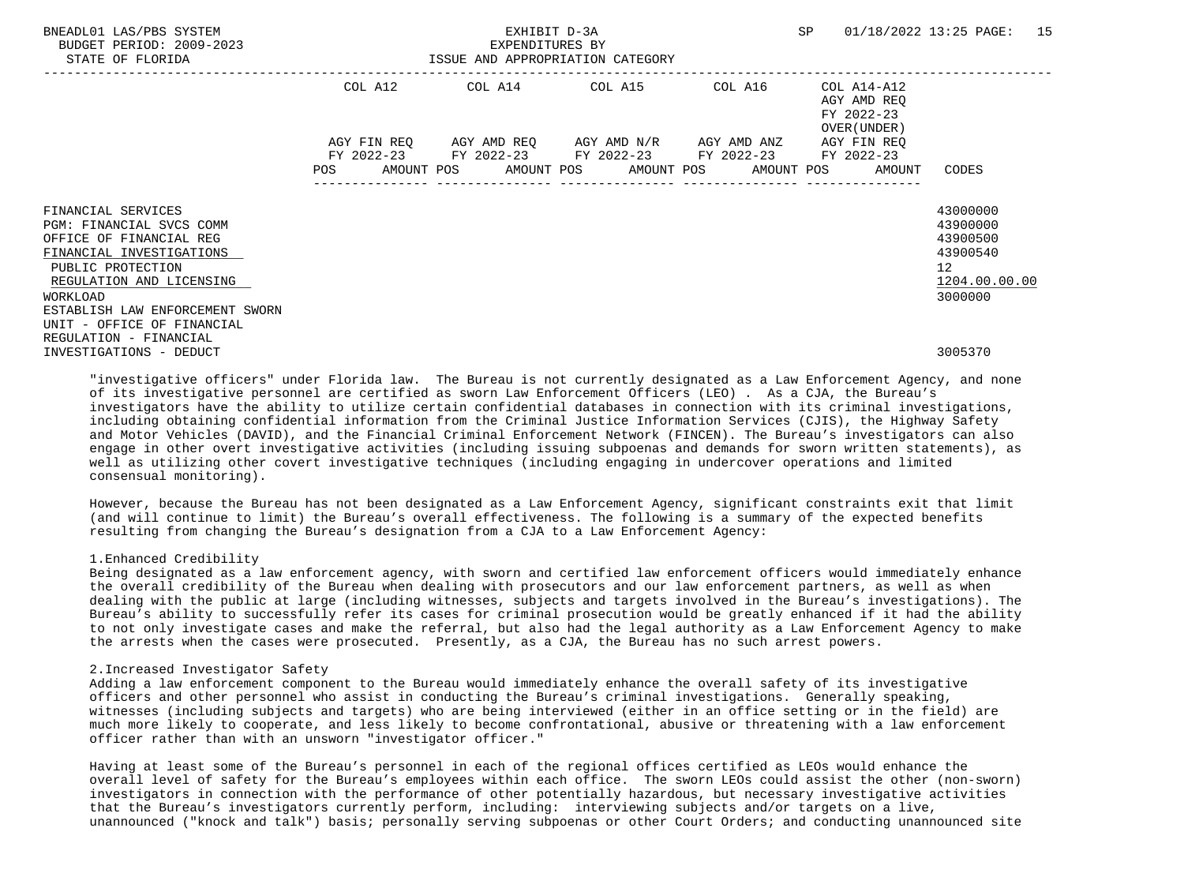| BNEADL01 LAS/PBS SYSTEM<br>BUDGET PERIOD: 2009-2023<br>STATE OF FLORIDA                                                                                |            | EXHIBIT D-3A<br>EXPENDITURES BY | ISSUE AND APPROPRIATION CATEGORY                                                                                                                         |         | SP                                                        | 01/18/2022 13:25 PAGE: 15                                                          |  |
|--------------------------------------------------------------------------------------------------------------------------------------------------------|------------|---------------------------------|----------------------------------------------------------------------------------------------------------------------------------------------------------|---------|-----------------------------------------------------------|------------------------------------------------------------------------------------|--|
|                                                                                                                                                        | COL A12    |                                 | COL A14 COL A15                                                                                                                                          | COL A16 | COL A14-A12<br>AGY AMD REO<br>FY 2022-23<br>OVER (UNDER ) |                                                                                    |  |
|                                                                                                                                                        | <b>POS</b> |                                 | AGY FIN REQ 6GY AMD REQ 6GY AMD N/R 6GY AMD ANZ<br>FY 2022-23 FY 2022-23 FY 2022-23 FY 2022-23 FY 2022-23<br>AMOUNT POS AMOUNT POS AMOUNT POS AMOUNT POS |         | AGY FIN REO<br>AMOUNT                                     | CODES                                                                              |  |
| FINANCIAL SERVICES<br>PGM: FINANCIAL SVCS COMM<br>OFFICE OF FINANCIAL REG<br>FINANCIAL INVESTIGATIONS<br>PUBLIC PROTECTION<br>REGULATION AND LICENSING |            |                                 |                                                                                                                                                          |         |                                                           | 43000000<br>43900000<br>43900500<br>43900540<br>$12 \overline{ }$<br>1204.00.00.00 |  |
| WORKLOAD<br>ESTABLISH LAW ENFORCEMENT SWORN<br>UNIT - OFFICE OF FINANCIAL<br>REGULATION - FINANCIAL<br>INVESTIGATIONS - DEDUCT                         |            |                                 |                                                                                                                                                          |         |                                                           | 3000000<br>3005370                                                                 |  |

 "investigative officers" under Florida law. The Bureau is not currently designated as a Law Enforcement Agency, and none of its investigative personnel are certified as sworn Law Enforcement Officers (LEO) . As a CJA, the Bureau's investigators have the ability to utilize certain confidential databases in connection with its criminal investigations, including obtaining confidential information from the Criminal Justice Information Services (CJIS), the Highway Safety and Motor Vehicles (DAVID), and the Financial Criminal Enforcement Network (FINCEN). The Bureau's investigators can also engage in other overt investigative activities (including issuing subpoenas and demands for sworn written statements), as well as utilizing other covert investigative techniques (including engaging in undercover operations and limited consensual monitoring).

 However, because the Bureau has not been designated as a Law Enforcement Agency, significant constraints exit that limit (and will continue to limit) the Bureau's overall effectiveness. The following is a summary of the expected benefits resulting from changing the Bureau's designation from a CJA to a Law Enforcement Agency:

### 1.Enhanced Credibility

 Being designated as a law enforcement agency, with sworn and certified law enforcement officers would immediately enhance the overall credibility of the Bureau when dealing with prosecutors and our law enforcement partners, as well as when dealing with the public at large (including witnesses, subjects and targets involved in the Bureau's investigations). The Bureau's ability to successfully refer its cases for criminal prosecution would be greatly enhanced if it had the ability to not only investigate cases and make the referral, but also had the legal authority as a Law Enforcement Agency to make the arrests when the cases were prosecuted. Presently, as a CJA, the Bureau has no such arrest powers.

#### 2.Increased Investigator Safety

 Adding a law enforcement component to the Bureau would immediately enhance the overall safety of its investigative officers and other personnel who assist in conducting the Bureau's criminal investigations. Generally speaking, witnesses (including subjects and targets) who are being interviewed (either in an office setting or in the field) are much more likely to cooperate, and less likely to become confrontational, abusive or threatening with a law enforcement officer rather than with an unsworn "investigator officer."

 Having at least some of the Bureau's personnel in each of the regional offices certified as LEOs would enhance the overall level of safety for the Bureau's employees within each office. The sworn LEOs could assist the other (non-sworn) investigators in connection with the performance of other potentially hazardous, but necessary investigative activities that the Bureau's investigators currently perform, including: interviewing subjects and/or targets on a live, unannounced ("knock and talk") basis; personally serving subpoenas or other Court Orders; and conducting unannounced site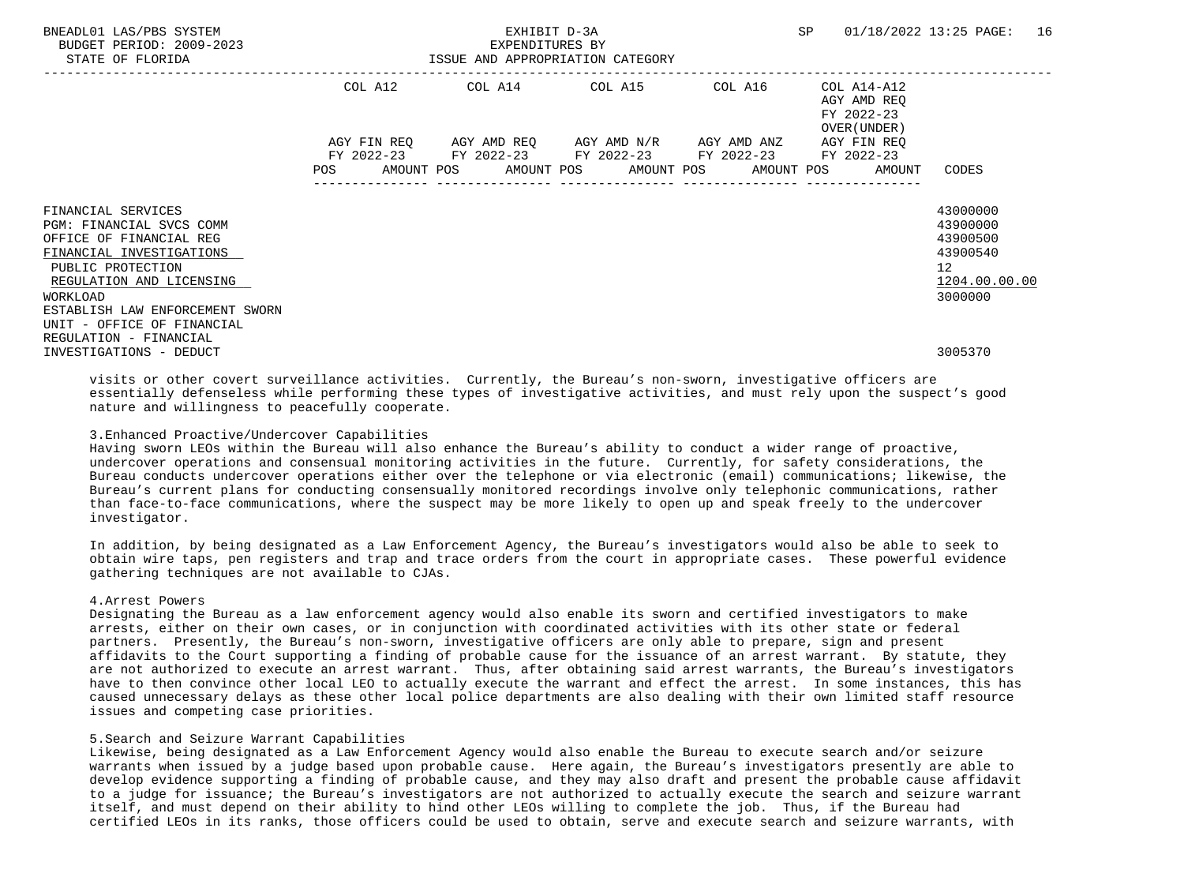| BNEADL01 LAS/PBS SYSTEM<br>BUDGET PERIOD: 2009-2023<br>STATE OF FLORIDA                                                                                |            | EXPENDITURES BY | EXHIBIT D-3A<br>ISSUE AND APPROPRIATION CATEGORY                                                                                                         |         | SP                                                        | 01/18/2022 13:25 PAGE: 16                                           |
|--------------------------------------------------------------------------------------------------------------------------------------------------------|------------|-----------------|----------------------------------------------------------------------------------------------------------------------------------------------------------|---------|-----------------------------------------------------------|---------------------------------------------------------------------|
|                                                                                                                                                        |            |                 | COL A12 COL A14 COL A15                                                                                                                                  | COL A16 | COL A14-A12<br>AGY AMD REO<br>FY 2022-23<br>OVER (UNDER ) |                                                                     |
|                                                                                                                                                        | <b>POS</b> |                 | AGY FIN REQ 6GY AMD REQ 6GY AMD N/R 6GY AMD ANZ<br>FY 2022-23 FY 2022-23 FY 2022-23 FY 2022-23 FY 2022-23<br>AMOUNT POS AMOUNT POS AMOUNT POS AMOUNT POS |         | AGY FIN REO<br>AMOUNT                                     | CODES                                                               |
| FINANCIAL SERVICES<br>PGM: FINANCIAL SVCS COMM<br>OFFICE OF FINANCIAL REG<br>FINANCIAL INVESTIGATIONS<br>PUBLIC PROTECTION<br>REGULATION AND LICENSING |            |                 |                                                                                                                                                          |         |                                                           | 43000000<br>43900000<br>43900500<br>43900540<br>12<br>1204.00.00.00 |
| WORKLOAD<br>ESTABLISH LAW ENFORCEMENT SWORN<br>UNIT - OFFICE OF FINANCIAL<br>REGULATION - FINANCIAL<br>INVESTIGATIONS - DEDUCT                         |            |                 |                                                                                                                                                          |         |                                                           | 3000000<br>3005370                                                  |

 visits or other covert surveillance activities. Currently, the Bureau's non-sworn, investigative officers are essentially defenseless while performing these types of investigative activities, and must rely upon the suspect's good nature and willingness to peacefully cooperate.

### 3.Enhanced Proactive/Undercover Capabilities

 Having sworn LEOs within the Bureau will also enhance the Bureau's ability to conduct a wider range of proactive, undercover operations and consensual monitoring activities in the future. Currently, for safety considerations, the Bureau conducts undercover operations either over the telephone or via electronic (email) communications; likewise, the Bureau's current plans for conducting consensually monitored recordings involve only telephonic communications, rather than face-to-face communications, where the suspect may be more likely to open up and speak freely to the undercover investigator.

 In addition, by being designated as a Law Enforcement Agency, the Bureau's investigators would also be able to seek to obtain wire taps, pen registers and trap and trace orders from the court in appropriate cases. These powerful evidence gathering techniques are not available to CJAs.

## 4.Arrest Powers

 Designating the Bureau as a law enforcement agency would also enable its sworn and certified investigators to make arrests, either on their own cases, or in conjunction with coordinated activities with its other state or federal partners. Presently, the Bureau's non-sworn, investigative officers are only able to prepare, sign and present affidavits to the Court supporting a finding of probable cause for the issuance of an arrest warrant. By statute, they are not authorized to execute an arrest warrant. Thus, after obtaining said arrest warrants, the Bureau's investigators have to then convince other local LEO to actually execute the warrant and effect the arrest. In some instances, this has caused unnecessary delays as these other local police departments are also dealing with their own limited staff resource issues and competing case priorities.

#### 5.Search and Seizure Warrant Capabilities

 Likewise, being designated as a Law Enforcement Agency would also enable the Bureau to execute search and/or seizure warrants when issued by a judge based upon probable cause. Here again, the Bureau's investigators presently are able to develop evidence supporting a finding of probable cause, and they may also draft and present the probable cause affidavit to a judge for issuance; the Bureau's investigators are not authorized to actually execute the search and seizure warrant itself, and must depend on their ability to hind other LEOs willing to complete the job. Thus, if the Bureau had certified LEOs in its ranks, those officers could be used to obtain, serve and execute search and seizure warrants, with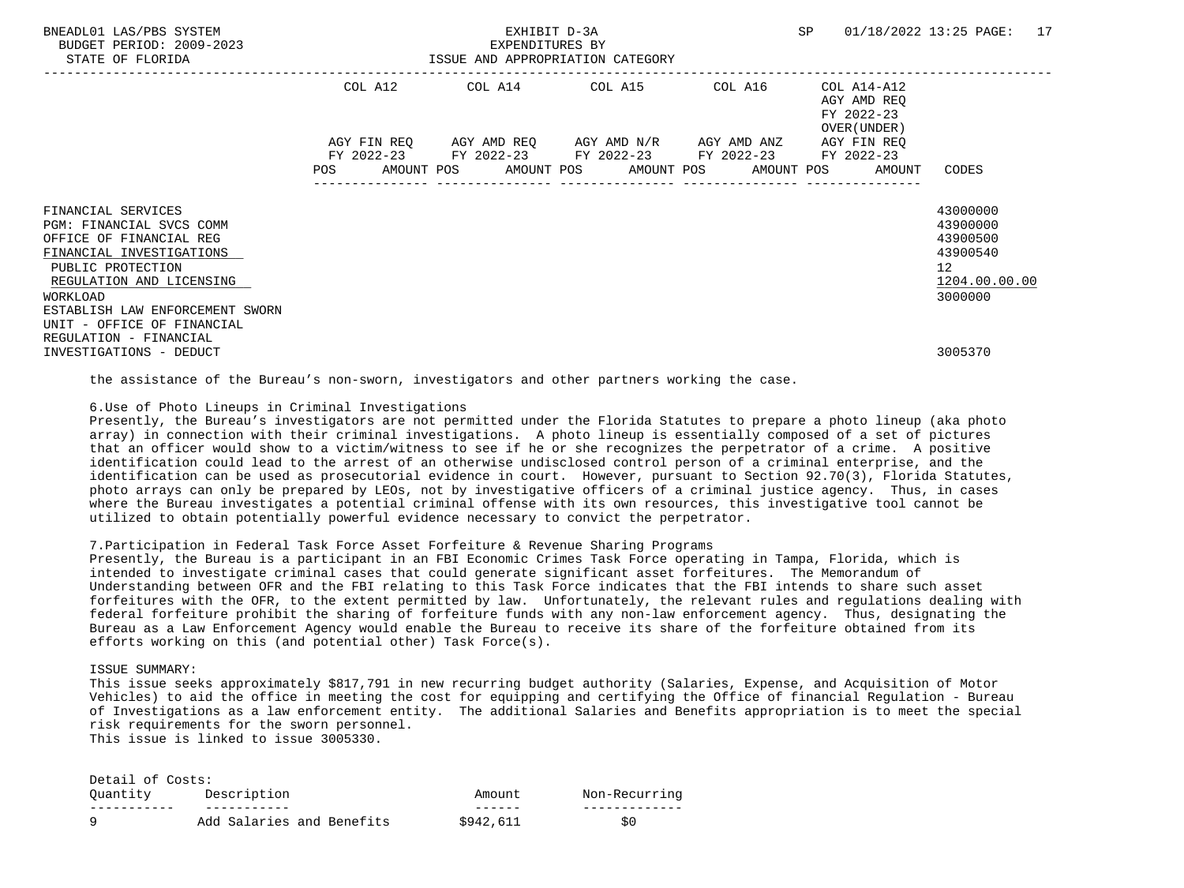| BNEADL01 LAS/PBS SYSTEM<br>BUDGET PERIOD: 2009-2023<br>STATE OF FLORIDA                                                                                            |            | EXHIBIT D-3A<br>EXPENDITURES BY | ISSUE AND APPROPRIATION CATEGORY                                                                                                                         |         | SP                                                        | 01/18/2022 13:25 PAGE: 17                                                      |  |
|--------------------------------------------------------------------------------------------------------------------------------------------------------------------|------------|---------------------------------|----------------------------------------------------------------------------------------------------------------------------------------------------------|---------|-----------------------------------------------------------|--------------------------------------------------------------------------------|--|
|                                                                                                                                                                    | COL A12    |                                 | COL A14 COL A15                                                                                                                                          | COL A16 | COL A14-A12<br>AGY AMD REO<br>FY 2022-23<br>OVER (UNDER ) |                                                                                |  |
|                                                                                                                                                                    | <b>POS</b> |                                 | AGY FIN REO AGY AMD REO AGY AMD N/R AGY AMD ANZ<br>FY 2022-23 FY 2022-23 FY 2022-23 FY 2022-23 FY 2022-23<br>AMOUNT POS AMOUNT POS AMOUNT POS AMOUNT POS |         | AGY FIN REO<br>AMOUNT                                     | CODES                                                                          |  |
| FINANCIAL SERVICES<br>PGM: FINANCIAL SVCS COMM<br>OFFICE OF FINANCIAL REG<br>FINANCIAL INVESTIGATIONS<br>PUBLIC PROTECTION<br>REGULATION AND LICENSING<br>WORKLOAD |            |                                 |                                                                                                                                                          |         |                                                           | 43000000<br>43900000<br>43900500<br>43900540<br>12<br>1204.00.00.00<br>3000000 |  |
| ESTABLISH LAW ENFORCEMENT SWORN<br>UNIT - OFFICE OF FINANCIAL<br>REGULATION - FINANCIAL<br>INVESTIGATIONS - DEDUCT                                                 |            |                                 |                                                                                                                                                          |         |                                                           | 3005370                                                                        |  |

the assistance of the Bureau's non-sworn, investigators and other partners working the case.

6.Use of Photo Lineups in Criminal Investigations

 Presently, the Bureau's investigators are not permitted under the Florida Statutes to prepare a photo lineup (aka photo array) in connection with their criminal investigations. A photo lineup is essentially composed of a set of pictures that an officer would show to a victim/witness to see if he or she recognizes the perpetrator of a crime. A positive identification could lead to the arrest of an otherwise undisclosed control person of a criminal enterprise, and the identification can be used as prosecutorial evidence in court. However, pursuant to Section 92.70(3), Florida Statutes, photo arrays can only be prepared by LEOs, not by investigative officers of a criminal justice agency. Thus, in cases where the Bureau investigates a potential criminal offense with its own resources, this investigative tool cannot be utilized to obtain potentially powerful evidence necessary to convict the perpetrator.

## 7.Participation in Federal Task Force Asset Forfeiture & Revenue Sharing Programs

 Presently, the Bureau is a participant in an FBI Economic Crimes Task Force operating in Tampa, Florida, which is intended to investigate criminal cases that could generate significant asset forfeitures. The Memorandum of Understanding between OFR and the FBI relating to this Task Force indicates that the FBI intends to share such asset forfeitures with the OFR, to the extent permitted by law. Unfortunately, the relevant rules and regulations dealing with federal forfeiture prohibit the sharing of forfeiture funds with any non-law enforcement agency. Thus, designating the Bureau as a Law Enforcement Agency would enable the Bureau to receive its share of the forfeiture obtained from its efforts working on this (and potential other) Task Force(s).

### ISSUE SUMMARY:

 This issue seeks approximately \$817,791 in new recurring budget authority (Salaries, Expense, and Acquisition of Motor Vehicles) to aid the office in meeting the cost for equipping and certifying the Office of financial Regulation - Bureau of Investigations as a law enforcement entity. The additional Salaries and Benefits appropriation is to meet the special risk requirements for the sworn personnel. This issue is linked to issue 3005330.

| Detail of Costs: |                           |           |               |
|------------------|---------------------------|-----------|---------------|
| Ouantity         | Description               | Amount    | Non-Recurring |
|                  |                           |           |               |
|                  | Add Salaries and Benefits | \$942,611 | S0            |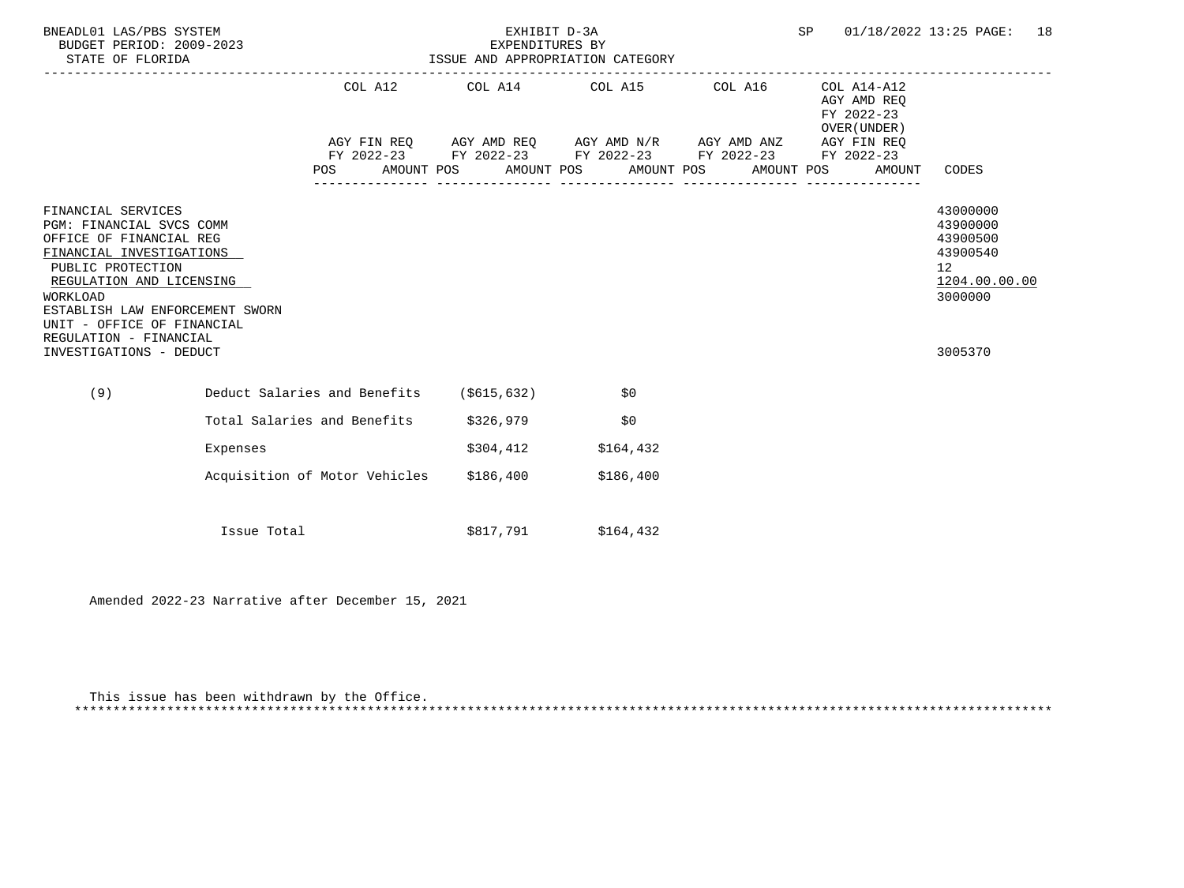| BNEADL01 LAS/PBS SYSTEM<br>BUDGET PERIOD: 2009-2023<br>STATE OF FLORIDA                                                                                                                                                                                                                         |                                          | EXPENDITURES BY | EXHIBIT D-3A<br>ISSUE AND APPROPRIATION CATEGORY                                                                                                                                                        | SP                                                                 | 01/18/2022 13:25 PAGE:<br>18                                                                           |
|-------------------------------------------------------------------------------------------------------------------------------------------------------------------------------------------------------------------------------------------------------------------------------------------------|------------------------------------------|-----------------|---------------------------------------------------------------------------------------------------------------------------------------------------------------------------------------------------------|--------------------------------------------------------------------|--------------------------------------------------------------------------------------------------------|
|                                                                                                                                                                                                                                                                                                 | <b>POS</b>                               |                 | COL A12 COL A14 COL A15 COL A16<br>AGY FIN REQ AGY AMD REQ AGY AMD N/R AGY AMD ANZ AGY FIN REQ<br>FY 2022-23 FY 2022-23 FY 2022-23 FY 2022-23 FY 2022-23<br>AMOUNT POS AMOUNT POS AMOUNT POS AMOUNT POS | COL A14-A12<br>AGY AMD REQ<br>FY 2022-23<br>OVER (UNDER)<br>AMOUNT | CODES                                                                                                  |
| FINANCIAL SERVICES<br>PGM: FINANCIAL SVCS COMM<br>OFFICE OF FINANCIAL REG<br>FINANCIAL INVESTIGATIONS<br>PUBLIC PROTECTION<br>REGULATION AND LICENSING<br><b>WORKLOAD</b><br>ESTABLISH LAW ENFORCEMENT SWORN<br>UNIT - OFFICE OF FINANCIAL<br>REGULATION - FINANCIAL<br>INVESTIGATIONS - DEDUCT |                                          |                 |                                                                                                                                                                                                         |                                                                    | 43000000<br>43900000<br>43900500<br>43900540<br>12 <sup>7</sup><br>1204.00.00.00<br>3000000<br>3005370 |
| (9)                                                                                                                                                                                                                                                                                             | Deduct Salaries and Benefits (\$615,632) |                 | \$0                                                                                                                                                                                                     |                                                                    |                                                                                                        |
|                                                                                                                                                                                                                                                                                                 | Total Salaries and Benefits              | \$326,979       | \$0                                                                                                                                                                                                     |                                                                    |                                                                                                        |
| Expenses                                                                                                                                                                                                                                                                                        |                                          | \$304,412       | \$164,432                                                                                                                                                                                               |                                                                    |                                                                                                        |
|                                                                                                                                                                                                                                                                                                 | Acquisition of Motor Vehicles            | \$186,400       | \$186,400                                                                                                                                                                                               |                                                                    |                                                                                                        |
| Issue Total                                                                                                                                                                                                                                                                                     |                                          | \$817,791       | \$164,432                                                                                                                                                                                               |                                                                    |                                                                                                        |

Amended 2022-23 Narrative after December 15, 2021

 This issue has been withdrawn by the Office. \*\*\*\*\*\*\*\*\*\*\*\*\*\*\*\*\*\*\*\*\*\*\*\*\*\*\*\*\*\*\*\*\*\*\*\*\*\*\*\*\*\*\*\*\*\*\*\*\*\*\*\*\*\*\*\*\*\*\*\*\*\*\*\*\*\*\*\*\*\*\*\*\*\*\*\*\*\*\*\*\*\*\*\*\*\*\*\*\*\*\*\*\*\*\*\*\*\*\*\*\*\*\*\*\*\*\*\*\*\*\*\*\*\*\*\*\*\*\*\*\*\*\*\*\*\*\*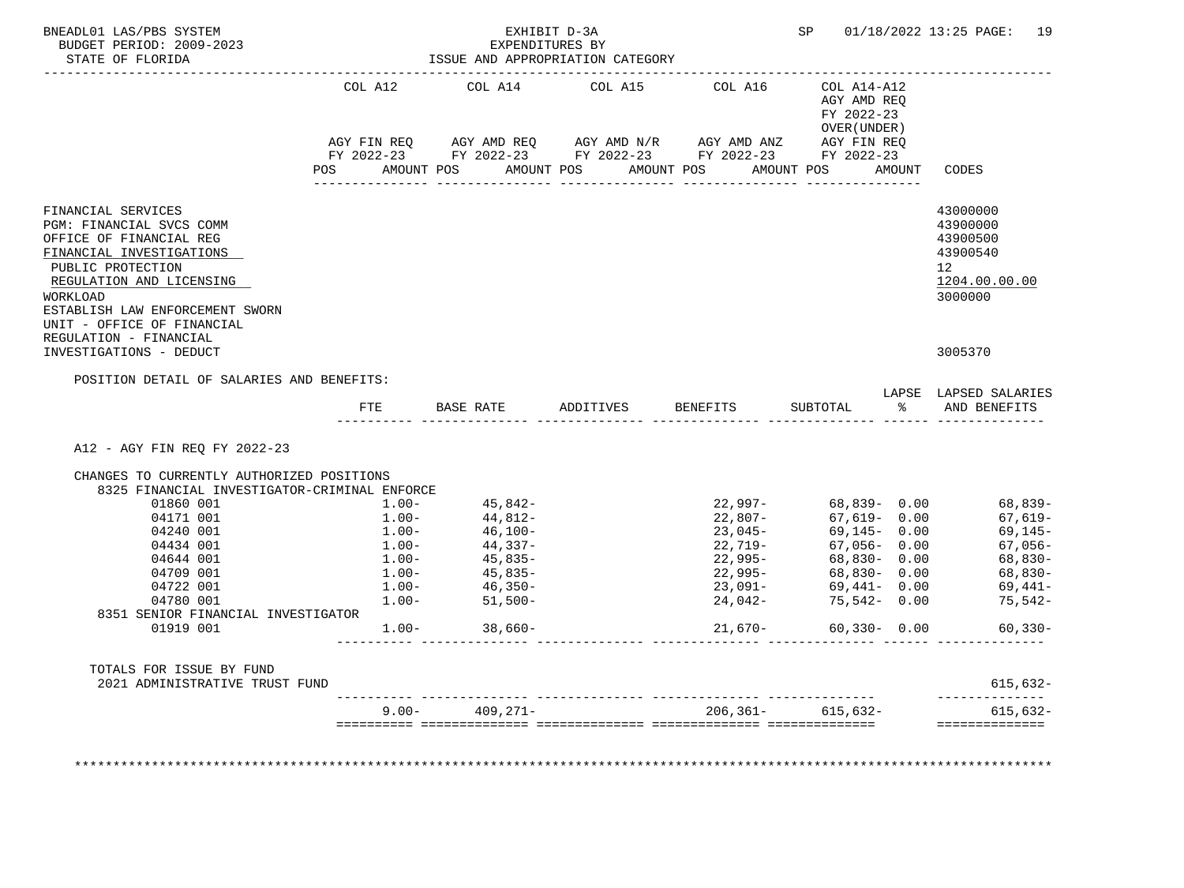| BNEADL01 LAS/PBS SYSTEM<br>BUDGET PERIOD: 2009-2023                                                                        |            | EXHIBIT D-3A<br>EXPENDITURES BY                                                                                    |                                                                                                                       |                       |                                                              |        | SP 01/18/2022 13:25 PAGE: 19                 |
|----------------------------------------------------------------------------------------------------------------------------|------------|--------------------------------------------------------------------------------------------------------------------|-----------------------------------------------------------------------------------------------------------------------|-----------------------|--------------------------------------------------------------|--------|----------------------------------------------|
| STATE OF FLORIDA                                                                                                           |            |                                                                                                                    | ISSUE AND APPROPRIATION CATEGORY                                                                                      |                       |                                                              |        |                                              |
|                                                                                                                            | COL A12    | COL A14                                                                                                            | COL A15                                                                                                               | COL A16               | $COL A14 - A12$<br>AGY AMD REO<br>FY 2022-23<br>OVER (UNDER) |        |                                              |
|                                                                                                                            |            |                                                                                                                    | AGY FIN REQ AGY AMD REQ AGY AMD N/R AGY AMD ANZ AGY FIN REQ<br>FY 2022-23 FY 2022-23 FY 2022-23 FY 2022-23 FY 2022-23 |                       |                                                              |        |                                              |
|                                                                                                                            | <b>POS</b> | AMOUNT POS AMOUNT POS                                                                                              |                                                                                                                       | AMOUNT POS AMOUNT POS |                                                              | AMOUNT | CODES                                        |
| FINANCIAL SERVICES<br>PGM: FINANCIAL SVCS COMM<br>OFFICE OF FINANCIAL REG<br>FINANCIAL INVESTIGATIONS                      |            |                                                                                                                    |                                                                                                                       |                       |                                                              |        | 43000000<br>43900000<br>43900500<br>43900540 |
| PUBLIC PROTECTION<br>REGULATION AND LICENSING<br>WORKLOAD<br>ESTABLISH LAW ENFORCEMENT SWORN<br>UNIT - OFFICE OF FINANCIAL |            |                                                                                                                    |                                                                                                                       |                       |                                                              |        | 12 <sup>°</sup><br>1204.00.00.00<br>3000000  |
| REGULATION - FINANCIAL<br>INVESTIGATIONS - DEDUCT                                                                          |            |                                                                                                                    |                                                                                                                       |                       |                                                              |        | 3005370                                      |
| POSITION DETAIL OF SALARIES AND BENEFITS:                                                                                  |            |                                                                                                                    |                                                                                                                       |                       |                                                              |        | LAPSE LAPSED SALARIES                        |
|                                                                                                                            |            |                                                                                                                    | FTE BASE RATE ADDITIVES BENEFITS                                                                                      |                       | SUBTOTAL                                                     |        | % AND BENEFITS                               |
| A12 - AGY FIN REQ FY 2022-23                                                                                               |            |                                                                                                                    |                                                                                                                       |                       |                                                              |        |                                              |
| CHANGES TO CURRENTLY AUTHORIZED POSITIONS                                                                                  |            |                                                                                                                    |                                                                                                                       |                       |                                                              |        |                                              |
| 8325 FINANCIAL INVESTIGATOR-CRIMINAL ENFORCE                                                                               |            |                                                                                                                    |                                                                                                                       |                       |                                                              |        |                                              |
| 01860 001                                                                                                                  | $1.00 -$   | $45,842-$                                                                                                          |                                                                                                                       |                       | $22,997-$ 68,839- 0.00                                       |        | 68,839-                                      |
| 04171 001                                                                                                                  | $1.00-$    | 44,812-                                                                                                            |                                                                                                                       | 22,807-               | 67,619-0.00                                                  |        | 67,619-                                      |
| 04240 001                                                                                                                  |            |                                                                                                                    |                                                                                                                       | $23,045-$             | $69,145 - 0.00$                                              |        | 69,145-                                      |
| 04434 001                                                                                                                  |            |                                                                                                                    |                                                                                                                       | 22,719-               | 67,056-0.00                                                  |        | 67,056-                                      |
| 04644 001                                                                                                                  |            |                                                                                                                    |                                                                                                                       | 22,995-               | 68,830- 0.00                                                 |        | 68,830-                                      |
| 04709 001                                                                                                                  |            | $1.00-$<br>$1.00-$<br>$1.00-$<br>$44,337-$<br>$1.00-$<br>$45,835-$<br>$1.00-$<br>$45,835-$<br>$1.00-$<br>$46,350-$ |                                                                                                                       | $22,995 -$            | 68,830- 0.00                                                 |        | 68,830-                                      |
| 04722 001                                                                                                                  |            |                                                                                                                    |                                                                                                                       | 23,091-               | 69,441- 0.00                                                 |        | 69,441–                                      |
| 04780 001                                                                                                                  | $1.00 -$   | $51,500-$                                                                                                          |                                                                                                                       | $24,042-$             | 75,542- 0.00                                                 |        | 75,542-                                      |
| 8351 SENIOR FINANCIAL INVESTIGATOR<br>01919 001                                                                            |            | $1.00 - 38.660 -$                                                                                                  |                                                                                                                       | $21,670-$             | $60,330 - 0.00$                                              |        | $60, 330 -$                                  |
| TOTALS FOR ISSUE BY FUND<br>2021 ADMINISTRATIVE TRUST FUND                                                                 |            |                                                                                                                    |                                                                                                                       |                       |                                                              |        | 615,632-                                     |
|                                                                                                                            |            |                                                                                                                    |                                                                                                                       |                       |                                                              |        | ______________                               |
|                                                                                                                            |            | $9.00 - 409.271 -$                                                                                                 |                                                                                                                       |                       | $206, 361 - 615, 632 -$                                      |        | $615,632-$                                   |
|                                                                                                                            |            |                                                                                                                    |                                                                                                                       |                       |                                                              |        | ==============                               |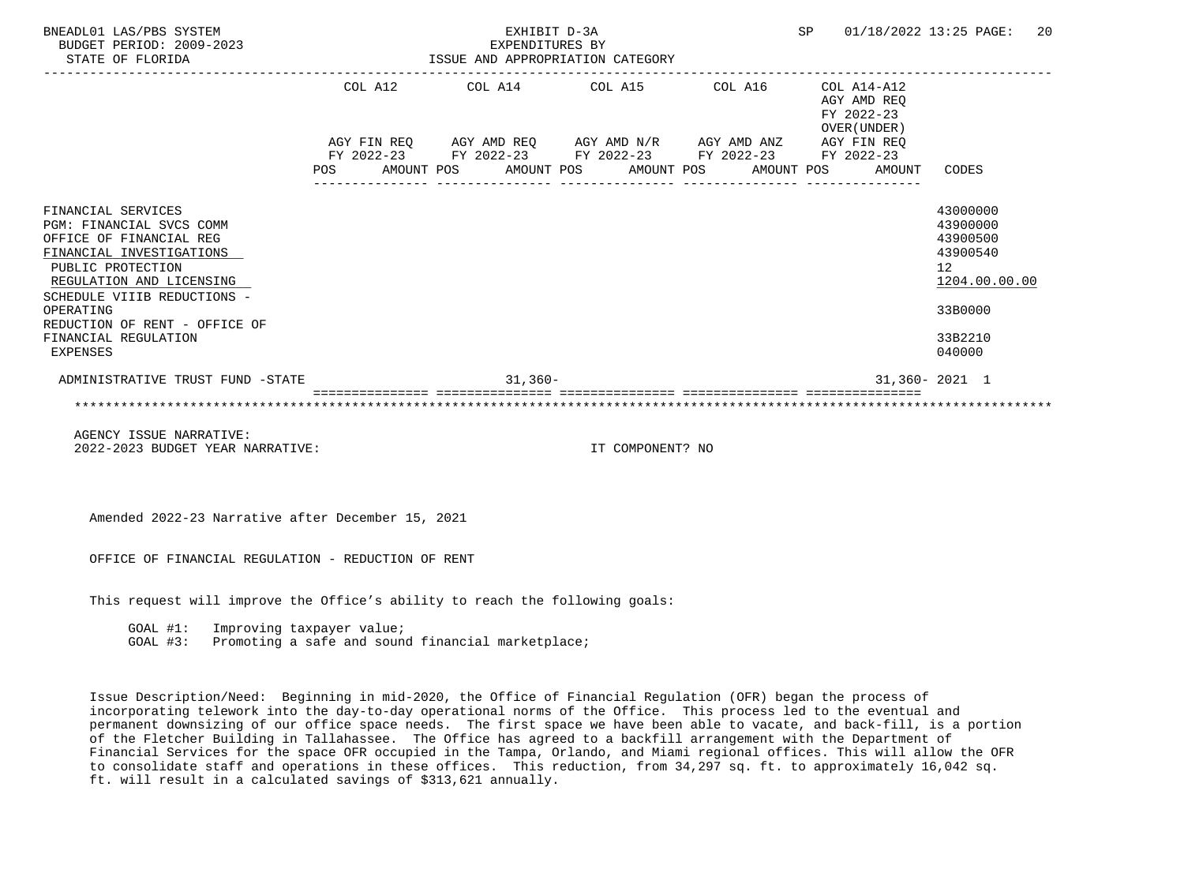| BNEADL01 LAS/PBS SYSTEM<br>BUDGET PERIOD: 2009-2023<br>STATE OF FLORIDA                                                                                                                                                                                                        | EXHIBIT D-3A<br>EXPENDITURES BY<br>ISSUE AND APPROPRIATION CATEGORY |         |  |                                                                                                                       |  |                  |  |  | <b>SP</b> |                                              | 01/18/2022 13:25 PAGE:                                                                              | 20 |
|--------------------------------------------------------------------------------------------------------------------------------------------------------------------------------------------------------------------------------------------------------------------------------|---------------------------------------------------------------------|---------|--|-----------------------------------------------------------------------------------------------------------------------|--|------------------|--|--|-----------|----------------------------------------------|-----------------------------------------------------------------------------------------------------|----|
|                                                                                                                                                                                                                                                                                |                                                                     | COL A12 |  | COL A14 COL A15 COL A16                                                                                               |  |                  |  |  |           | $COL A14 - A12$<br>AGY AMD REO<br>FY 2022-23 |                                                                                                     |    |
|                                                                                                                                                                                                                                                                                |                                                                     |         |  | AGY FIN REQ AGY AMD REQ AGY AMD N/R AGY AMD ANZ AGY FIN REQ<br>FY 2022-23 FY 2022-23 FY 2022-23 FY 2022-23 FY 2022-23 |  |                  |  |  |           | OVER (UNDER)                                 |                                                                                                     |    |
|                                                                                                                                                                                                                                                                                | <b>POS</b>                                                          |         |  | AMOUNT POS AMOUNT POS AMOUNT POS AMOUNT POS                                                                           |  |                  |  |  |           | AMOUNT                                       | CODES                                                                                               |    |
| FINANCIAL SERVICES<br>PGM: FINANCIAL SVCS COMM<br>OFFICE OF FINANCIAL REG<br>FINANCIAL INVESTIGATIONS<br>PUBLIC PROTECTION<br>REGULATION AND LICENSING<br>SCHEDULE VIIIB REDUCTIONS -<br>OPERATING<br>REDUCTION OF RENT - OFFICE OF<br>FINANCIAL REGULATION<br><b>EXPENSES</b> |                                                                     |         |  |                                                                                                                       |  |                  |  |  |           |                                              | 43000000<br>43900000<br>43900500<br>43900540<br>12<br>1204.00.00.00<br>33B0000<br>33B2210<br>040000 |    |
| ADMINISTRATIVE TRUST FUND -STATE                                                                                                                                                                                                                                               |                                                                     |         |  | $31,360-$                                                                                                             |  |                  |  |  |           |                                              | $31,360 - 2021$ 1                                                                                   |    |
|                                                                                                                                                                                                                                                                                |                                                                     |         |  |                                                                                                                       |  |                  |  |  |           |                                              |                                                                                                     |    |
| AGENCY ISSUE NARRATIVE:<br>2022-2023 BUDGET YEAR NARRATIVE:                                                                                                                                                                                                                    |                                                                     |         |  |                                                                                                                       |  | IT COMPONENT? NO |  |  |           |                                              |                                                                                                     |    |

Amended 2022-23 Narrative after December 15, 2021

OFFICE OF FINANCIAL REGULATION - REDUCTION OF RENT

This request will improve the Office's ability to reach the following goals:

GOAL #1: Improving taxpayer value;

GOAL #3: Promoting a safe and sound financial marketplace;

 Issue Description/Need: Beginning in mid-2020, the Office of Financial Regulation (OFR) began the process of incorporating telework into the day-to-day operational norms of the Office. This process led to the eventual and permanent downsizing of our office space needs. The first space we have been able to vacate, and back-fill, is a portion of the Fletcher Building in Tallahassee. The Office has agreed to a backfill arrangement with the Department of Financial Services for the space OFR occupied in the Tampa, Orlando, and Miami regional offices. This will allow the OFR to consolidate staff and operations in these offices. This reduction, from 34,297 sq. ft. to approximately 16,042 sq. ft. will result in a calculated savings of \$313,621 annually.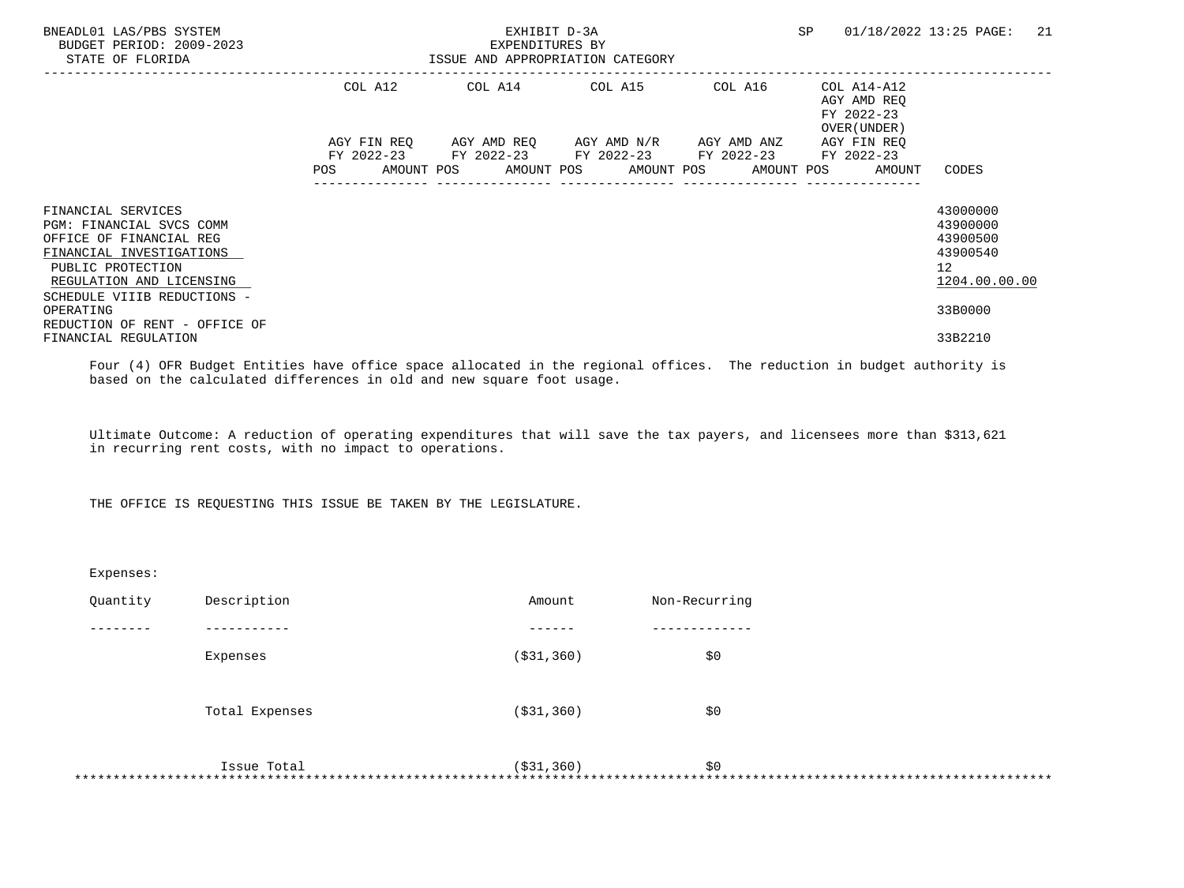| BNEADL01 LAS/PBS SYSTEM<br>BUDGET PERIOD: 2009-2023<br>STATE OF FLORIDA                                                                                                               |         | EXHIBIT D-3A<br>EXPENDITURES BY<br>ISSUE AND APPROPRIATION CATEGORY                                                                           | SP. | 21<br>01/18/2022 13:25 PAGE:                             |                                                                                  |
|---------------------------------------------------------------------------------------------------------------------------------------------------------------------------------------|---------|-----------------------------------------------------------------------------------------------------------------------------------------------|-----|----------------------------------------------------------|----------------------------------------------------------------------------------|
|                                                                                                                                                                                       | COL A12 | COL A14 COL A15 COL A16                                                                                                                       |     | COL A14-A12<br>AGY AMD REO<br>FY 2022-23<br>OVER (UNDER) |                                                                                  |
|                                                                                                                                                                                       | POS     | AGY FIN REO AGY AMD REO AGY AMD N/R AGY AMD ANZ<br>FY 2022-23 FY 2022-23 FY 2022-23 FY 2022-23<br>AMOUNT POS AMOUNT POS AMOUNT POS AMOUNT POS |     | AGY FIN REO<br>FY 2022-23<br>AMOUNT                      | CODES                                                                            |
| FINANCIAL SERVICES<br>PGM: FINANCIAL SVCS COMM<br>OFFICE OF FINANCIAL REG<br>FINANCIAL INVESTIGATIONS<br>PUBLIC PROTECTION<br>REGULATION AND LICENSING<br>SCHEDULE VIIIB REDUCTIONS - |         |                                                                                                                                               |     |                                                          | 43000000<br>43900000<br>43900500<br>43900540<br>12 <sup>7</sup><br>1204.00.00.00 |
| OPERATING<br>REDUCTION OF RENT - OFFICE OF<br>FINANCIAL REGULATION                                                                                                                    |         |                                                                                                                                               |     |                                                          | 33B0000<br>33B2210                                                               |

 Four (4) OFR Budget Entities have office space allocated in the regional offices. The reduction in budget authority is based on the calculated differences in old and new square foot usage.

 Ultimate Outcome: A reduction of operating expenditures that will save the tax payers, and licensees more than \$313,621 in recurring rent costs, with no impact to operations.

THE OFFICE IS REQUESTING THIS ISSUE BE TAKEN BY THE LEGISLATURE.

| Expenses: |                |              |               |
|-----------|----------------|--------------|---------------|
| Quantity  | Description    | Amount       | Non-Recurring |
|           |                |              |               |
|           | Expenses       | ( \$31, 360) | \$0           |
|           | Total Expenses | ( \$31, 360) | \$0           |
|           | Issue Total    | ( \$31, 360) | \$0<br>*****  |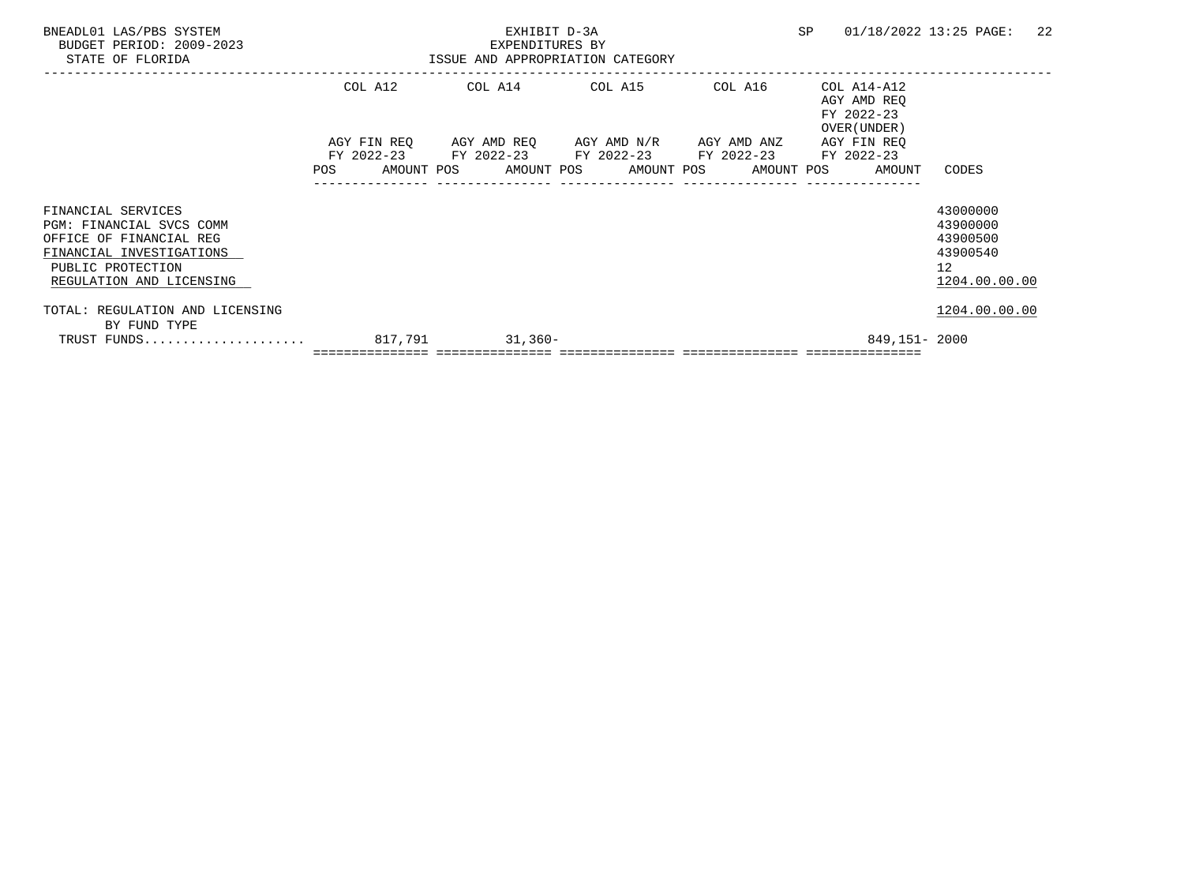| BNEADL01 LAS/PBS SYSTEM<br>BUDGET PERIOD: 2009-2023                                                                                                           | EXHIBIT D-3A<br>EXPENDITURES BY |                                  |                 |  |  |                                                                                                                                                          |  |         |  |                                                          | 01/18/2022 13:25 PAGE:                                                           | -22 |
|---------------------------------------------------------------------------------------------------------------------------------------------------------------|---------------------------------|----------------------------------|-----------------|--|--|----------------------------------------------------------------------------------------------------------------------------------------------------------|--|---------|--|----------------------------------------------------------|----------------------------------------------------------------------------------|-----|
| STATE OF FLORIDA                                                                                                                                              |                                 | ISSUE AND APPROPRIATION CATEGORY |                 |  |  |                                                                                                                                                          |  |         |  |                                                          |                                                                                  |     |
|                                                                                                                                                               | COL A12                         |                                  | COL A14 COL A15 |  |  |                                                                                                                                                          |  | COL A16 |  | COL A14-A12<br>AGY AMD REO<br>FY 2022-23<br>OVER (UNDER) |                                                                                  |     |
|                                                                                                                                                               | <b>POS</b>                      |                                  |                 |  |  | AGY FIN REQ AGY AMD REQ AGY AMD N/R AGY AMD ANZ<br>FY 2022-23 FY 2022-23 FY 2022-23 FY 2022-23 FY 2022-23<br>AMOUNT POS AMOUNT POS AMOUNT POS AMOUNT POS |  |         |  | AGY FIN REO<br>AMOUNT                                    | CODES                                                                            |     |
| FINANCIAL SERVICES<br><b>PGM: FINANCIAL SVCS COMM</b><br>OFFICE OF FINANCIAL REG<br>FINANCIAL INVESTIGATIONS<br>PUBLIC PROTECTION<br>REGULATION AND LICENSING |                                 |                                  |                 |  |  |                                                                                                                                                          |  |         |  |                                                          | 43000000<br>43900000<br>43900500<br>43900540<br>12 <sup>°</sup><br>1204.00.00.00 |     |
| TOTAL: REGULATION AND LICENSING                                                                                                                               |                                 |                                  |                 |  |  |                                                                                                                                                          |  |         |  |                                                          | 1204.00.00.00                                                                    |     |
| BY FUND TYPE                                                                                                                                                  |                                 |                                  |                 |  |  |                                                                                                                                                          |  |         |  | 849,151-2000                                             |                                                                                  |     |
|                                                                                                                                                               |                                 |                                  |                 |  |  |                                                                                                                                                          |  |         |  |                                                          |                                                                                  |     |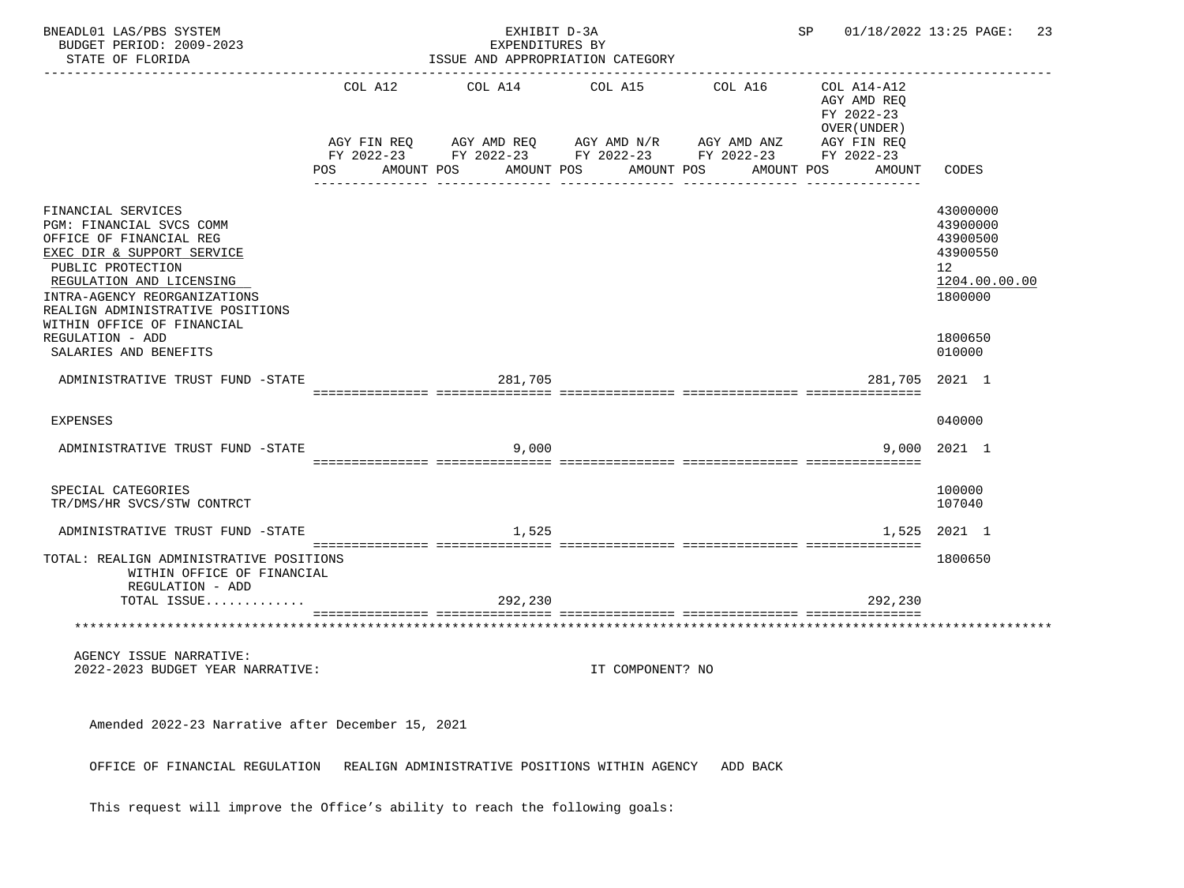| BNEADL01 LAS/PBS SYSTEM<br>BUDGET PERIOD: 2009-2023<br>STATE OF FLORIDA                                                                                                                                                                                    | EXHIBIT D-3A<br>SP and the set of the set of the set of the set of the set of the set of the set of the set of the set of the set of the set of the set of the set of the set of the set of the set of the set of the set of the set of the se<br>EXPENDITURES BY<br>ISSUE AND APPROPRIATION CATEGORY |                       |  |                                                                                                                         |  |                       |  |                       |  |                                                                                                 | 01/18/2022 13:25 PAGE: 23                                                      |
|------------------------------------------------------------------------------------------------------------------------------------------------------------------------------------------------------------------------------------------------------------|-------------------------------------------------------------------------------------------------------------------------------------------------------------------------------------------------------------------------------------------------------------------------------------------------------|-----------------------|--|-------------------------------------------------------------------------------------------------------------------------|--|-----------------------|--|-----------------------|--|-------------------------------------------------------------------------------------------------|--------------------------------------------------------------------------------|
|                                                                                                                                                                                                                                                            | POS                                                                                                                                                                                                                                                                                                   | COL A12<br>AMOUNT POS |  | COL A14<br>AGY FIN REQ 6GY AMD REQ 6GY AMD N/R 6GY AMD ANZ<br>FY 2022-23 FY 2022-23 FY 2022-23 FY 2022-23<br>AMOUNT POS |  | COL A15<br>AMOUNT POS |  | COL A16<br>AMOUNT POS |  | COL A14-A12<br>AGY AMD REQ<br>FY 2022-23<br>OVER (UNDER)<br>AGY FIN REQ<br>FY 2022-23<br>AMOUNT | CODES                                                                          |
| FINANCIAL SERVICES<br>PGM: FINANCIAL SVCS COMM<br>OFFICE OF FINANCIAL REG<br>EXEC DIR & SUPPORT SERVICE<br>PUBLIC PROTECTION<br>REGULATION AND LICENSING<br>INTRA-AGENCY REORGANIZATIONS<br>REALIGN ADMINISTRATIVE POSITIONS<br>WITHIN OFFICE OF FINANCIAL |                                                                                                                                                                                                                                                                                                       |                       |  |                                                                                                                         |  |                       |  |                       |  |                                                                                                 | 43000000<br>43900000<br>43900500<br>43900550<br>12<br>1204.00.00.00<br>1800000 |
| REGULATION - ADD<br>SALARIES AND BENEFITS                                                                                                                                                                                                                  |                                                                                                                                                                                                                                                                                                       |                       |  |                                                                                                                         |  |                       |  |                       |  |                                                                                                 | 1800650<br>010000                                                              |
| ADMINISTRATIVE TRUST FUND -STATE                                                                                                                                                                                                                           |                                                                                                                                                                                                                                                                                                       |                       |  | 281,705                                                                                                                 |  |                       |  |                       |  | 281,705                                                                                         | 2021 1                                                                         |
| EXPENSES                                                                                                                                                                                                                                                   |                                                                                                                                                                                                                                                                                                       |                       |  |                                                                                                                         |  |                       |  |                       |  |                                                                                                 | 040000                                                                         |
| ADMINISTRATIVE TRUST FUND -STATE                                                                                                                                                                                                                           |                                                                                                                                                                                                                                                                                                       |                       |  | 9,000                                                                                                                   |  |                       |  |                       |  | 9,000                                                                                           | 2021 1                                                                         |
| SPECIAL CATEGORIES<br>TR/DMS/HR SVCS/STW CONTRCT                                                                                                                                                                                                           |                                                                                                                                                                                                                                                                                                       |                       |  |                                                                                                                         |  |                       |  |                       |  |                                                                                                 | 100000<br>107040                                                               |
| ADMINISTRATIVE TRUST FUND -STATE                                                                                                                                                                                                                           |                                                                                                                                                                                                                                                                                                       |                       |  | 1,525                                                                                                                   |  |                       |  |                       |  |                                                                                                 | 1,525 2021 1                                                                   |
| TOTAL: REALIGN ADMINISTRATIVE POSITIONS<br>WITHIN OFFICE OF FINANCIAL<br>REGULATION - ADD                                                                                                                                                                  |                                                                                                                                                                                                                                                                                                       |                       |  |                                                                                                                         |  |                       |  |                       |  |                                                                                                 | 1800650                                                                        |
| TOTAL ISSUE                                                                                                                                                                                                                                                |                                                                                                                                                                                                                                                                                                       |                       |  | 292,230                                                                                                                 |  |                       |  |                       |  | 292,230                                                                                         |                                                                                |
|                                                                                                                                                                                                                                                            |                                                                                                                                                                                                                                                                                                       |                       |  |                                                                                                                         |  |                       |  |                       |  |                                                                                                 |                                                                                |
| AGENCY ISSUE NARRATIVE:<br>2022-2023 BUDGET YEAR NARRATIVE:                                                                                                                                                                                                |                                                                                                                                                                                                                                                                                                       |                       |  |                                                                                                                         |  | IT COMPONENT? NO      |  |                       |  |                                                                                                 |                                                                                |
| Amended 2022-23 Narrative after December 15, 2021                                                                                                                                                                                                          |                                                                                                                                                                                                                                                                                                       |                       |  |                                                                                                                         |  |                       |  |                       |  |                                                                                                 |                                                                                |
| OFFICE OF FINANCIAL REGULATION                                                                                                                                                                                                                             |                                                                                                                                                                                                                                                                                                       |                       |  | REALIGN ADMINISTRATIVE POSITIONS WITHIN AGENCY                                                                          |  |                       |  | ADD BACK              |  |                                                                                                 |                                                                                |

This request will improve the Office's ability to reach the following goals: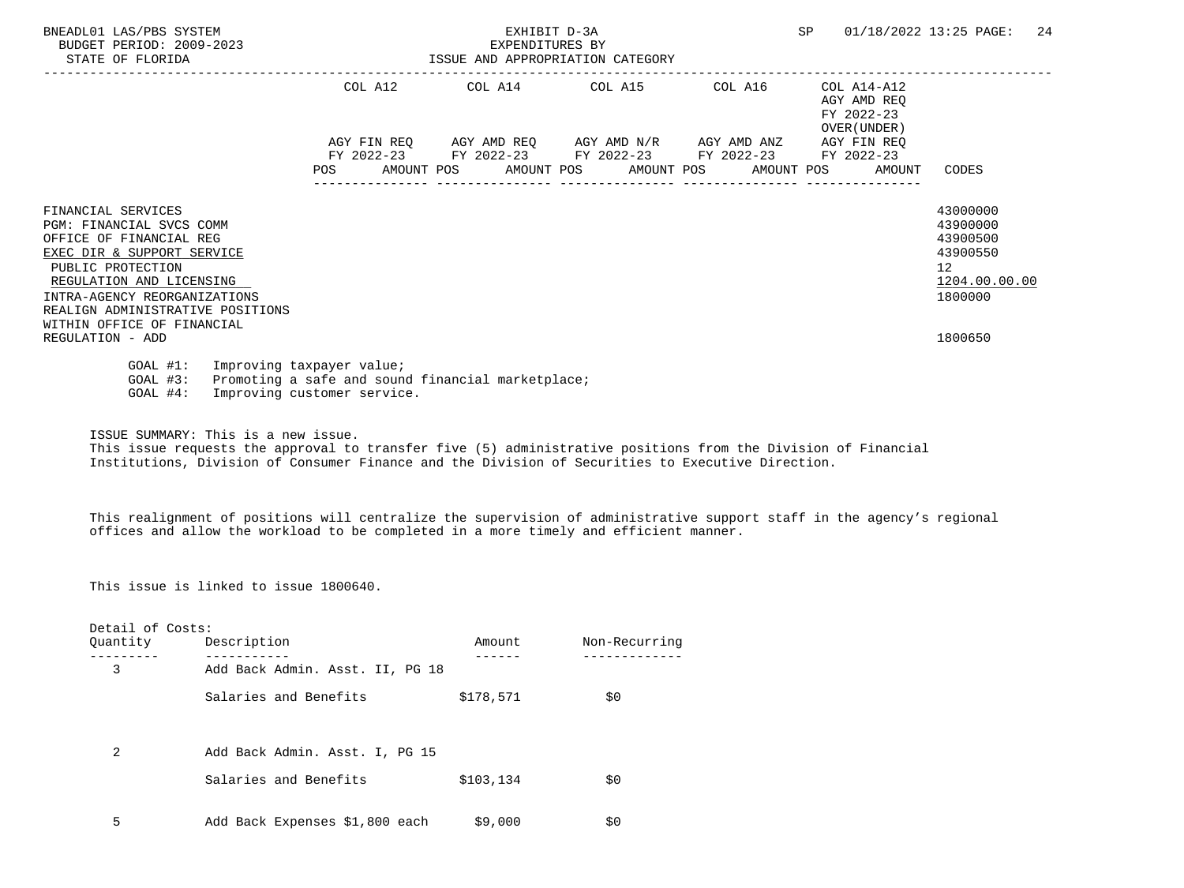| BNEADL01 LAS/PBS SYSTEM<br>BUDGET PERIOD: 2009-2023<br>STATE OF FLORIDA                                                                                                                                                                                    |                                                          | EXHIBIT D-3A<br>EXPENDITURES BY<br>ISSUE AND APPROPRIATION CATEGORY                            | SP | 01/18/2022 13:25 PAGE:<br>24                             |                                                                                               |
|------------------------------------------------------------------------------------------------------------------------------------------------------------------------------------------------------------------------------------------------------------|----------------------------------------------------------|------------------------------------------------------------------------------------------------|----|----------------------------------------------------------|-----------------------------------------------------------------------------------------------|
|                                                                                                                                                                                                                                                            |                                                          | COL A12 COL A14 COL A15 COL A16                                                                |    | COL A14-A12<br>AGY AMD REO<br>FY 2022-23<br>OVER (UNDER) |                                                                                               |
|                                                                                                                                                                                                                                                            |                                                          | AGY FIN REQ AGY AMD REQ AGY AMD N/R AGY AMD ANZ<br>FY 2022-23 FY 2022-23 FY 2022-23 FY 2022-23 |    | AGY FIN REO<br>FY 2022-23                                |                                                                                               |
|                                                                                                                                                                                                                                                            |                                                          | POS AMOUNT POS AMOUNT POS AMOUNT POS AMOUNT POS AMOUNT TOS                                     |    |                                                          | CODES                                                                                         |
| FINANCIAL SERVICES<br>PGM: FINANCIAL SVCS COMM<br>OFFICE OF FINANCIAL REG<br>EXEC DIR & SUPPORT SERVICE<br>PUBLIC PROTECTION<br>REGULATION AND LICENSING<br>INTRA-AGENCY REORGANIZATIONS<br>REALIGN ADMINISTRATIVE POSITIONS<br>WITHIN OFFICE OF FINANCIAL |                                                          |                                                                                                |    |                                                          | 43000000<br>43900000<br>43900500<br>43900550<br>$12 \overline{ }$<br>1204.00.00.00<br>1800000 |
| REGULATION - ADD                                                                                                                                                                                                                                           |                                                          |                                                                                                |    |                                                          | 1800650                                                                                       |
| GOAL #1:<br>$GOAL$ #3:<br>$GOAL$ #4:                                                                                                                                                                                                                       | Improving taxpayer value;<br>Improving customer service. | Promoting a safe and sound financial marketplace;                                              |    |                                                          |                                                                                               |

ISSUE SUMMARY: This is a new issue.

 This issue requests the approval to transfer five (5) administrative positions from the Division of Financial Institutions, Division of Consumer Finance and the Division of Securities to Executive Direction.

 This realignment of positions will centralize the supervision of administrative support staff in the agency's regional offices and allow the workload to be completed in a more timely and efficient manner.

This issue is linked to issue 1800640.

| Detail of Costs: |                                 |           |               |
|------------------|---------------------------------|-----------|---------------|
| Ouantity         | Description                     | Amount    | Non-Recurring |
| 3                | Add Back Admin. Asst. II, PG 18 |           |               |
|                  | Salaries and Benefits           | \$178,571 | \$0           |
|                  |                                 |           |               |
| 2                | Add Back Admin. Asst. I, PG 15  |           |               |
|                  | Salaries and Benefits           | \$103,134 | \$0           |
| 5                | Add Back Expenses \$1,800 each  | \$9,000   | \$0           |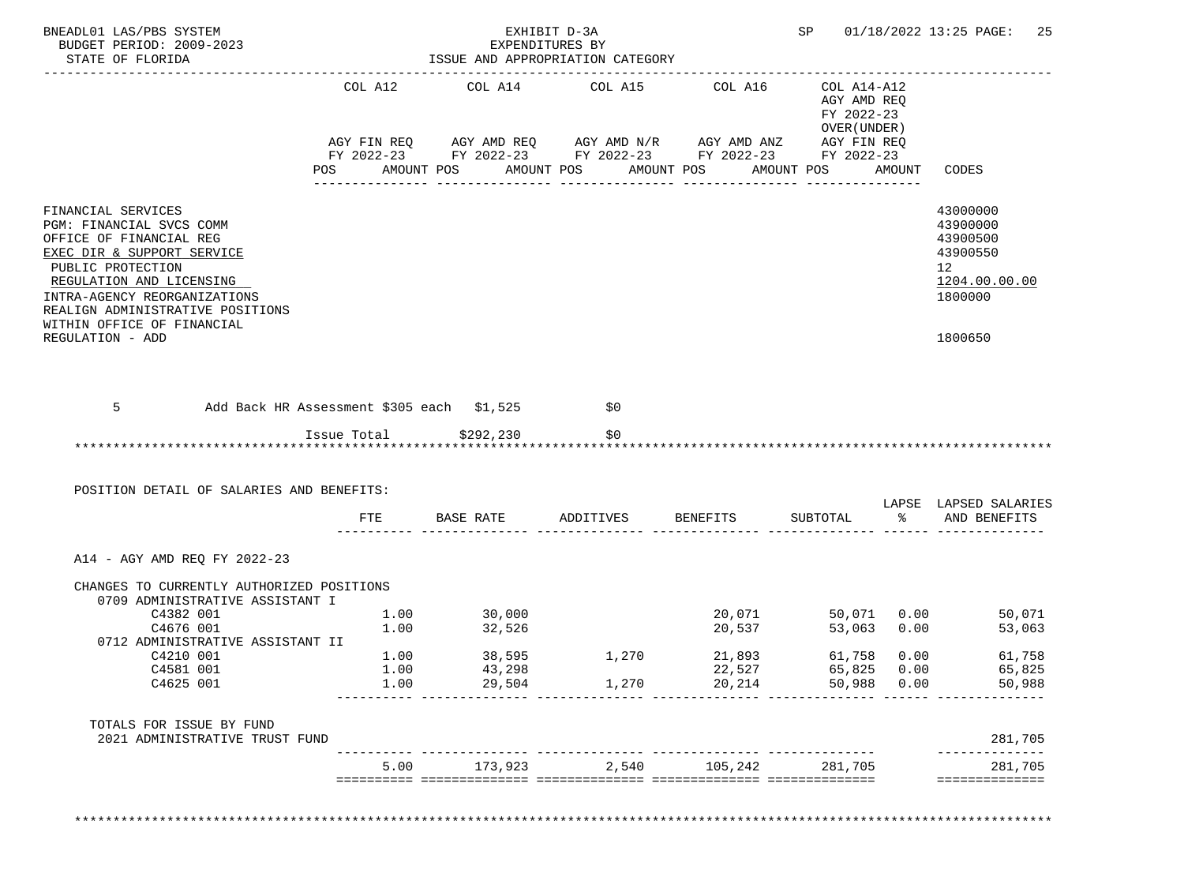| BNEADL01 LAS/PBS SYSTEM<br>BUDGET PERIOD: 2009-2023<br>STATE OF FLORIDA                                                                                                                                                                                                        |                      | EXPENDITURES BY<br>ISSUE AND APPROPRIATION CATEGORY                                                                                                                 | EXHIBIT D-3A   |                                      |                                                          |                             | SP 01/18/2022 13:25 PAGE:<br>25                                                                        |
|--------------------------------------------------------------------------------------------------------------------------------------------------------------------------------------------------------------------------------------------------------------------------------|----------------------|---------------------------------------------------------------------------------------------------------------------------------------------------------------------|----------------|--------------------------------------|----------------------------------------------------------|-----------------------------|--------------------------------------------------------------------------------------------------------|
|                                                                                                                                                                                                                                                                                | COL A12              | COL A14 COL A15 COL A16                                                                                                                                             |                |                                      | COL A14-A12<br>AGY AMD REQ<br>FY 2022-23<br>OVER (UNDER) |                             |                                                                                                        |
|                                                                                                                                                                                                                                                                                |                      | AGY FIN REQ      AGY AMD REQ      AGY AMD N/R      AGY AMD ANZ      AGY FIN REQ<br>FY 2022-23        FY 2022-23       FY 2022-23        FY 2022-23       FY 2022-23 |                |                                      |                                                          |                             |                                                                                                        |
|                                                                                                                                                                                                                                                                                |                      | POS AMOUNT POS AMOUNT POS AMOUNT POS                                                                                                                                |                |                                      | AMOUNT POS                                               | AMOUNT                      | CODES                                                                                                  |
| FINANCIAL SERVICES<br>PGM: FINANCIAL SVCS COMM<br>OFFICE OF FINANCIAL REG<br>EXEC DIR & SUPPORT SERVICE<br>PUBLIC PROTECTION<br>REGULATION AND LICENSING<br>INTRA-AGENCY REORGANIZATIONS<br>REALIGN ADMINISTRATIVE POSITIONS<br>WITHIN OFFICE OF FINANCIAL<br>REGULATION - ADD |                      |                                                                                                                                                                     |                |                                      |                                                          |                             | 43000000<br>43900000<br>43900500<br>43900550<br>12 <sub>2</sub><br>1204.00.00.00<br>1800000<br>1800650 |
|                                                                                                                                                                                                                                                                                |                      |                                                                                                                                                                     |                |                                      |                                                          |                             |                                                                                                        |
| 5<br>Add Back HR Assessment \$305 each \$1,525<br>POSITION DETAIL OF SALARIES AND BENEFITS:                                                                                                                                                                                    |                      | Issue Total \$292,230                                                                                                                                               | \$0<br>\$0     |                                      |                                                          |                             |                                                                                                        |
|                                                                                                                                                                                                                                                                                | FTE                  | BASE RATE ADDITIVES BENEFITS                                                                                                                                        |                |                                      | SUBTOTAL                                                 |                             | % AND BENEFITS                                                                                         |
| A14 - AGY AMD REQ FY 2022-23<br>CHANGES TO CURRENTLY AUTHORIZED POSITIONS<br>0709 ADMINISTRATIVE ASSISTANT I<br>C4382 001<br>C4676 001<br>0712 ADMINISTRATIVE ASSISTANT II<br>C4210 001<br>C4581 001<br>C4625 001<br>TOTALS FOR ISSUE BY FUND                                  | 1.00<br>1.00<br>1.00 | $1.00$ $30,000$<br>$1.00$ $32,526$<br>32,526<br>38,595<br>43,298<br>29,504                                                                                          | 1,270<br>1,270 | 20,537<br>21,893<br>22,527<br>20,214 | 53,063 0.00<br>61,758<br>50,988<br>_______________       | 0.00<br>65,825 0.00<br>0.00 | 20,071 50,071 0.00 50,071<br>53,063<br>61,758<br>65,825<br>50,988                                      |
| 2021 ADMINISTRATIVE TRUST FUND                                                                                                                                                                                                                                                 |                      |                                                                                                                                                                     |                |                                      |                                                          |                             | LAPSE LAPSED SALARIES<br>281,705<br>___________                                                        |

\*\*\*\*\*\*\*\*\*\*\*\*\*\*\*\*\*\*\*\*\*\*\*\*\*\*\*\*\*\*\*\*\*\*\*\*\*\*\*\*\*\*\*\*\*\*\*\*\*\*\*\*\*\*\*\*\*\*\*\*\*\*\*\*\*\*\*\*\*\*\*\*\*\*\*\*\*\*\*\*\*\*\*\*\*\*\*\*\*\*\*\*\*\*\*\*\*\*\*\*\*\*\*\*\*\*\*\*\*\*\*\*\*\*\*\*\*\*\*\*\*\*\*\*\*\*\*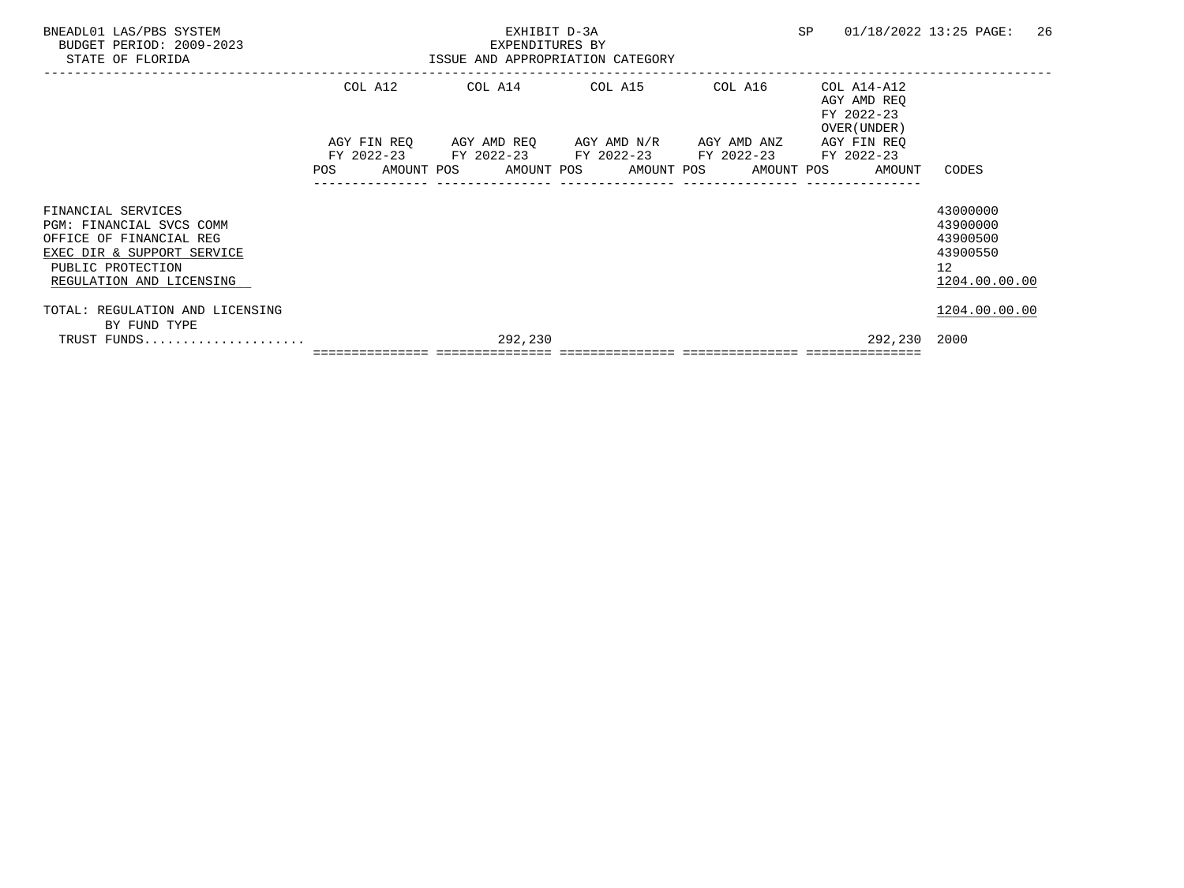| BNEADL01 LAS/PBS SYSTEM<br>BUDGET PERIOD: 2009-2023<br>STATE OF FLORIDA                                                                                  |            | EXHIBIT D-3A<br>EXPENDITURES BY<br>ISSUE AND APPROPRIATION CATEGORY                                                                                      |  | SP      | 26<br>01/18/2022 13:25 PAGE:                             |                                                                                  |
|----------------------------------------------------------------------------------------------------------------------------------------------------------|------------|----------------------------------------------------------------------------------------------------------------------------------------------------------|--|---------|----------------------------------------------------------|----------------------------------------------------------------------------------|
|                                                                                                                                                          | COL A12    | COL A14 COL A15                                                                                                                                          |  | COL A16 | COL A14-A12<br>AGY AMD REO<br>FY 2022-23<br>OVER (UNDER) |                                                                                  |
|                                                                                                                                                          | <b>POS</b> | AGY FIN REO AGY AMD REO AGY AMD N/R AGY AMD ANZ<br>FY 2022-23 FY 2022-23 FY 2022-23 FY 2022-23 FY 2022-23<br>AMOUNT POS AMOUNT POS AMOUNT POS AMOUNT POS |  |         | AGY FIN REO<br>AMOUNT                                    | CODES                                                                            |
| FINANCIAL SERVICES<br>PGM: FINANCIAL SVCS COMM<br>OFFICE OF FINANCIAL REG<br>EXEC DIR & SUPPORT SERVICE<br>PUBLIC PROTECTION<br>REGULATION AND LICENSING |            |                                                                                                                                                          |  |         |                                                          | 43000000<br>43900000<br>43900500<br>43900550<br>12 <sup>°</sup><br>1204.00.00.00 |
| TOTAL: REGULATION AND LICENSING                                                                                                                          |            |                                                                                                                                                          |  |         |                                                          | 1204.00.00.00                                                                    |
| BY FUND TYPE<br>TRUST FUNDS                                                                                                                              |            | 292,230                                                                                                                                                  |  |         | 292,230 2000                                             |                                                                                  |
|                                                                                                                                                          |            |                                                                                                                                                          |  |         |                                                          |                                                                                  |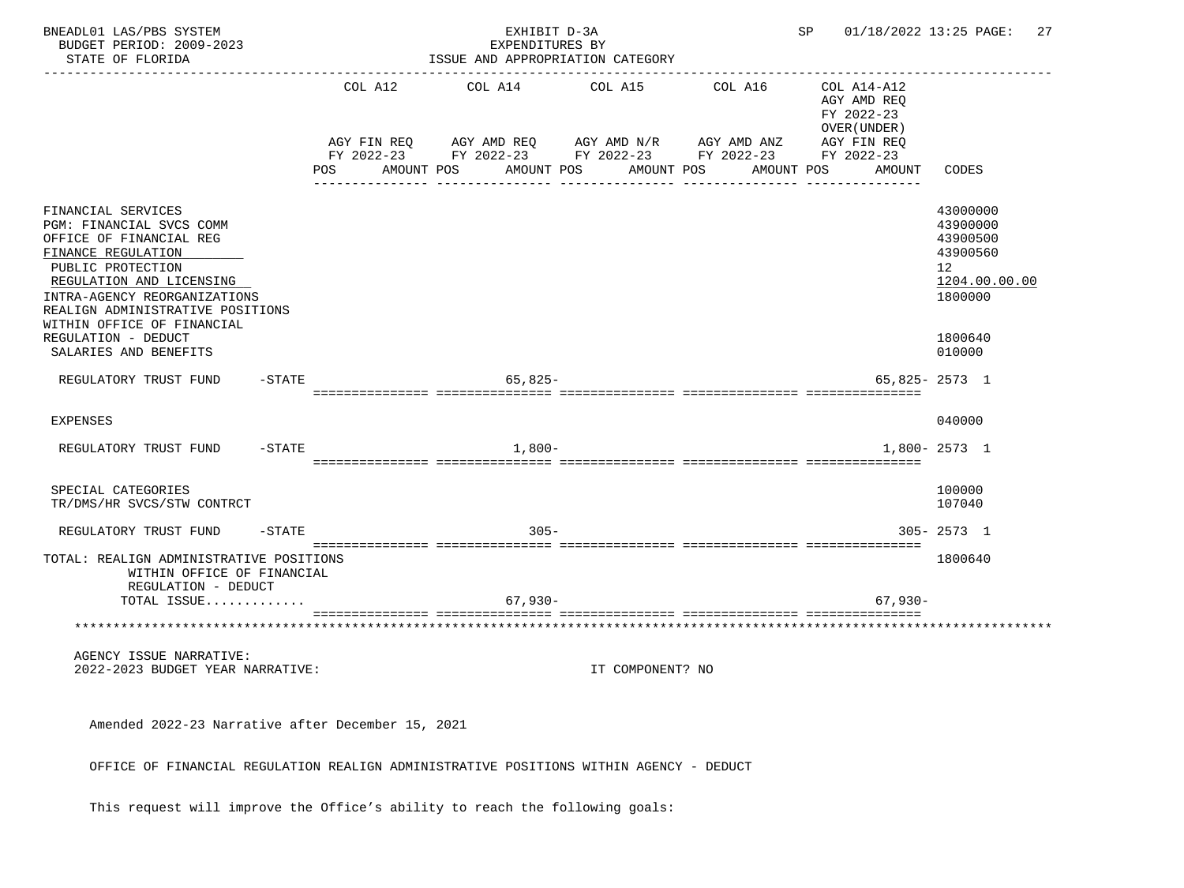| BNEADL01 LAS/PBS SYSTEM<br>BUDGET PERIOD: 2009-2023<br>STATE OF FLORIDA                                                                                                                                                                            |           |     |                        |            | EXHIBIT D-3A<br>EXPENDITURES BY<br>ISSUE AND APPROPRIATION CATEGORY                                         |                       |                       | SP |                                                                                                 | 01/18/2022 13:25 PAGE:<br>27                                                   |
|----------------------------------------------------------------------------------------------------------------------------------------------------------------------------------------------------------------------------------------------------|-----------|-----|------------------------|------------|-------------------------------------------------------------------------------------------------------------|-----------------------|-----------------------|----|-------------------------------------------------------------------------------------------------|--------------------------------------------------------------------------------|
|                                                                                                                                                                                                                                                    |           | POS | COL A12<br>AGY FIN REQ | AMOUNT POS | COL A14<br>AGY AMD REQ AGY AMD N/R AGY AMD ANZ<br>FY 2022-23 FY 2022-23 FY 2022-23 FY 2022-23<br>AMOUNT POS | COL A15<br>AMOUNT POS | COL A16<br>AMOUNT POS |    | COL A14-A12<br>AGY AMD REO<br>FY 2022-23<br>OVER (UNDER)<br>AGY FIN REQ<br>FY 2022-23<br>AMOUNT | CODES                                                                          |
| FINANCIAL SERVICES<br>PGM: FINANCIAL SVCS COMM<br>OFFICE OF FINANCIAL REG<br>FINANCE REGULATION<br>PUBLIC PROTECTION<br>REGULATION AND LICENSING<br>INTRA-AGENCY REORGANIZATIONS<br>REALIGN ADMINISTRATIVE POSITIONS<br>WITHIN OFFICE OF FINANCIAL |           |     |                        |            |                                                                                                             |                       |                       |    |                                                                                                 | 43000000<br>43900000<br>43900500<br>43900560<br>12<br>1204.00.00.00<br>1800000 |
| REGULATION - DEDUCT<br>SALARIES AND BENEFITS<br>REGULATORY TRUST FUND                                                                                                                                                                              | -STATE    |     |                        |            | $65.825 -$                                                                                                  |                       |                       |    |                                                                                                 | 1800640<br>010000<br>$65,825 - 2573$ 1                                         |
|                                                                                                                                                                                                                                                    |           |     |                        |            |                                                                                                             |                       |                       |    |                                                                                                 |                                                                                |
| <b>EXPENSES</b>                                                                                                                                                                                                                                    |           |     |                        |            |                                                                                                             |                       |                       |    |                                                                                                 | 040000                                                                         |
| REGULATORY TRUST FUND                                                                                                                                                                                                                              | $-$ STATE |     |                        |            | $1,800-$                                                                                                    |                       |                       |    |                                                                                                 | 1,800-2573 1                                                                   |
| SPECIAL CATEGORIES<br>TR/DMS/HR SVCS/STW CONTRCT                                                                                                                                                                                                   |           |     |                        |            |                                                                                                             |                       |                       |    |                                                                                                 | 100000<br>107040                                                               |
| REGULATORY TRUST FUND                                                                                                                                                                                                                              | $-$ STATE |     |                        |            | $305 -$                                                                                                     |                       |                       |    |                                                                                                 | $305 - 2573$ 1                                                                 |
| TOTAL: REALIGN ADMINISTRATIVE POSITIONS<br>WITHIN OFFICE OF FINANCIAL<br>REGULATION - DEDUCT<br>TOTAL ISSUE                                                                                                                                        |           |     |                        |            | $67,930-$                                                                                                   |                       |                       |    | $67,930-$                                                                                       | 1800640                                                                        |
| **********************************                                                                                                                                                                                                                 |           |     |                        |            |                                                                                                             |                       |                       |    |                                                                                                 |                                                                                |
| AGENCY ISSUE NARRATIVE:<br>2022-2023 BUDGET YEAR NARRATIVE:                                                                                                                                                                                        |           |     |                        |            |                                                                                                             | IT COMPONENT? NO      |                       |    |                                                                                                 |                                                                                |
| Amended 2022-23 Narrative after December 15, 2021                                                                                                                                                                                                  |           |     |                        |            |                                                                                                             |                       |                       |    |                                                                                                 |                                                                                |
| OFFICE OF FINANCIAL REGULATION REALIGN ADMINISTRATIVE POSITIONS WITHIN AGENCY - DEDUCT                                                                                                                                                             |           |     |                        |            |                                                                                                             |                       |                       |    |                                                                                                 |                                                                                |

This request will improve the Office's ability to reach the following goals: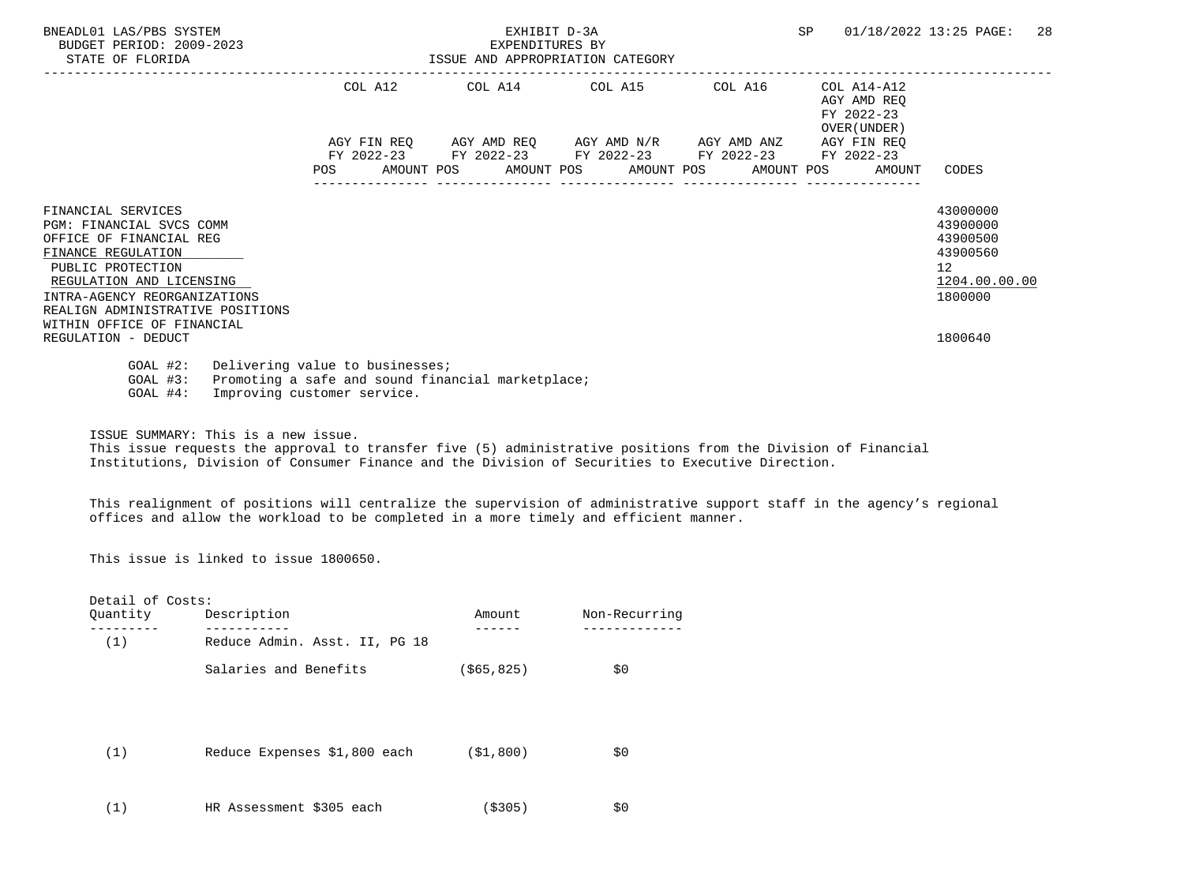| BNEADL01 LAS/PBS SYSTEM<br>BUDGET PERIOD: 2009-2023<br>STATE OF FLORIDA                                                                                                                                                                                   | EXHIBIT D-3A<br>EXPENDITURES BY<br>ISSUE AND APPROPRIATION CATEGORY |                                                 |  |  |  |                                             |  |         | <b>SP</b> | 01/18/2022 13:25 PAGE:                                   |                                                                                | 28 |
|-----------------------------------------------------------------------------------------------------------------------------------------------------------------------------------------------------------------------------------------------------------|---------------------------------------------------------------------|-------------------------------------------------|--|--|--|---------------------------------------------|--|---------|-----------|----------------------------------------------------------|--------------------------------------------------------------------------------|----|
|                                                                                                                                                                                                                                                           |                                                                     | COL A12                                         |  |  |  | COL A14 COL A15                             |  | COL A16 |           | COL A14-A12<br>AGY AMD REO<br>FY 2022-23<br>OVER (UNDER) |                                                                                |    |
|                                                                                                                                                                                                                                                           |                                                                     | AGY FIN REO AGY AMD REO AGY AMD N/R AGY AMD ANZ |  |  |  |                                             |  |         |           | AGY FIN REO                                              |                                                                                |    |
|                                                                                                                                                                                                                                                           |                                                                     | FY 2022-23 FY 2022-23 FY 2022-23 FY 2022-23     |  |  |  |                                             |  |         |           | FY 2022-23                                               |                                                                                |    |
|                                                                                                                                                                                                                                                           | POS FOR                                                             |                                                 |  |  |  | AMOUNT POS AMOUNT POS AMOUNT POS AMOUNT POS |  |         |           | AMOUNT                                                   | CODES                                                                          |    |
| FINANCIAL SERVICES<br><b>PGM: FINANCIAL SVCS COMM</b><br>OFFICE OF FINANCIAL REG<br>FINANCE REGULATION<br>PUBLIC PROTECTION<br>REGULATION AND LICENSING<br>INTRA-AGENCY REORGANIZATIONS<br>REALIGN ADMINISTRATIVE POSITIONS<br>WITHIN OFFICE OF FINANCIAL |                                                                     |                                                 |  |  |  |                                             |  |         |           |                                                          | 43000000<br>43900000<br>43900500<br>43900560<br>12<br>1204.00.00.00<br>1800000 |    |
| REGULATION - DEDUCT                                                                                                                                                                                                                                       |                                                                     |                                                 |  |  |  |                                             |  |         |           |                                                          | 1800640                                                                        |    |
| $GOAL$ #2:<br>Delivering value to businesses;<br>Promoting a safe and sound financial marketplace;<br>$GOAL$ #3:<br>Improving customer service.<br>$GOAL$ #4:                                                                                             |                                                                     |                                                 |  |  |  |                                             |  |         |           |                                                          |                                                                                |    |

ISSUE SUMMARY: This is a new issue.

 This issue requests the approval to transfer five (5) administrative positions from the Division of Financial Institutions, Division of Consumer Finance and the Division of Securities to Executive Direction.

 This realignment of positions will centralize the supervision of administrative support staff in the agency's regional offices and allow the workload to be completed in a more timely and efficient manner.

This issue is linked to issue 1800650.

| Detail of Costs: |                               |              |               |  |  |
|------------------|-------------------------------|--------------|---------------|--|--|
| Quantity         | Description                   | Amount       | Non-Recurring |  |  |
| (1)              | Reduce Admin. Asst. II, PG 18 |              |               |  |  |
|                  | Salaries and Benefits         | ( \$65, 825) | \$0\$         |  |  |
|                  |                               |              |               |  |  |
|                  |                               |              |               |  |  |
| (1)              | Reduce Expenses \$1,800 each  | (S1, 800)    | \$0           |  |  |
|                  |                               |              |               |  |  |
| (1)              | HR Assessment \$305 each      | ( \$305)     | \$0           |  |  |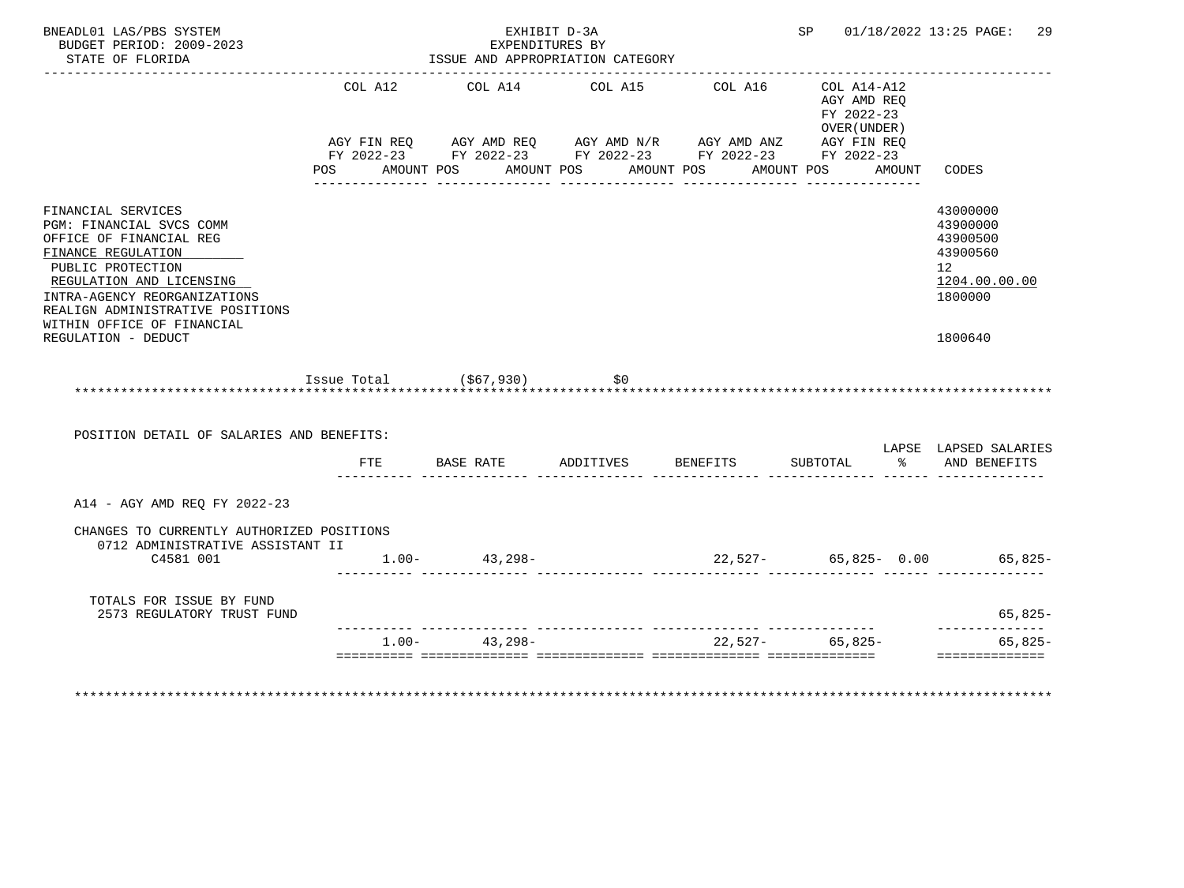| BUDGET PERIOD: 2009-2023<br>STATE OF FLORIDA                                                                                                                                                                                                       |                | EXPENDITURES BY<br>ISSUE AND APPROPRIATION CATEGORY                                                                                            | EXHIBIT D-3A                        |                       |                                                           |        | SP 01/18/2022 13:25 PAGE: 29                                                   |
|----------------------------------------------------------------------------------------------------------------------------------------------------------------------------------------------------------------------------------------------------|----------------|------------------------------------------------------------------------------------------------------------------------------------------------|-------------------------------------|-----------------------|-----------------------------------------------------------|--------|--------------------------------------------------------------------------------|
|                                                                                                                                                                                                                                                    | COL A12<br>POS | COL A14<br>AGY FIN REQ AGY AMD REQ AGY AMD N/R AGY AMD ANZ AGY FIN REQ<br>FY 2022-23 FY 2022-23 FY 2022-23 FY 2022-23 FY 2022-23<br>AMOUNT POS | COL A15<br>AMOUNT POS<br>AMOUNT POS | COL A16<br>AMOUNT POS | COL A14-A12<br>AGY AMD REO<br>FY 2022-23<br>OVER (UNDER ) | AMOUNT | CODES                                                                          |
| FINANCIAL SERVICES<br>PGM: FINANCIAL SVCS COMM<br>OFFICE OF FINANCIAL REG<br>FINANCE REGULATION<br>PUBLIC PROTECTION<br>REGULATION AND LICENSING<br>INTRA-AGENCY REORGANIZATIONS<br>REALIGN ADMINISTRATIVE POSITIONS<br>WITHIN OFFICE OF FINANCIAL |                |                                                                                                                                                |                                     |                       |                                                           |        | 43000000<br>43900000<br>43900500<br>43900560<br>12<br>1204.00.00.00<br>1800000 |
| REGULATION - DEDUCT                                                                                                                                                                                                                                |                |                                                                                                                                                |                                     |                       |                                                           |        | 1800640                                                                        |
|                                                                                                                                                                                                                                                    |                |                                                                                                                                                |                                     |                       |                                                           |        |                                                                                |
|                                                                                                                                                                                                                                                    |                | Issue Total $( $67, 930)$                                                                                                                      | \$0                                 |                       |                                                           |        |                                                                                |
| POSITION DETAIL OF SALARIES AND BENEFITS:                                                                                                                                                                                                          |                |                                                                                                                                                |                                     |                       |                                                           |        |                                                                                |
|                                                                                                                                                                                                                                                    |                | FTE BASE RATE                                                                                                                                  | ADDITIVES                           | BENEFITS              | SUBTOTAL                                                  |        | LAPSE LAPSED SALARIES<br>% AND BENEFITS                                        |
| A14 - AGY AMD REQ FY 2022-23                                                                                                                                                                                                                       |                |                                                                                                                                                |                                     |                       |                                                           |        |                                                                                |
| CHANGES TO CURRENTLY AUTHORIZED POSITIONS<br>0712 ADMINISTRATIVE ASSISTANT II<br>C4581 001                                                                                                                                                         |                | $1.00 - 43,298 -$                                                                                                                              |                                     |                       |                                                           |        | $22,527 - 65,825 - 0.00$ 65,825-                                               |
| TOTALS FOR ISSUE BY FUND<br>2573 REGULATORY TRUST FUND                                                                                                                                                                                             |                |                                                                                                                                                |                                     |                       |                                                           |        | $65,825-$<br>-------------                                                     |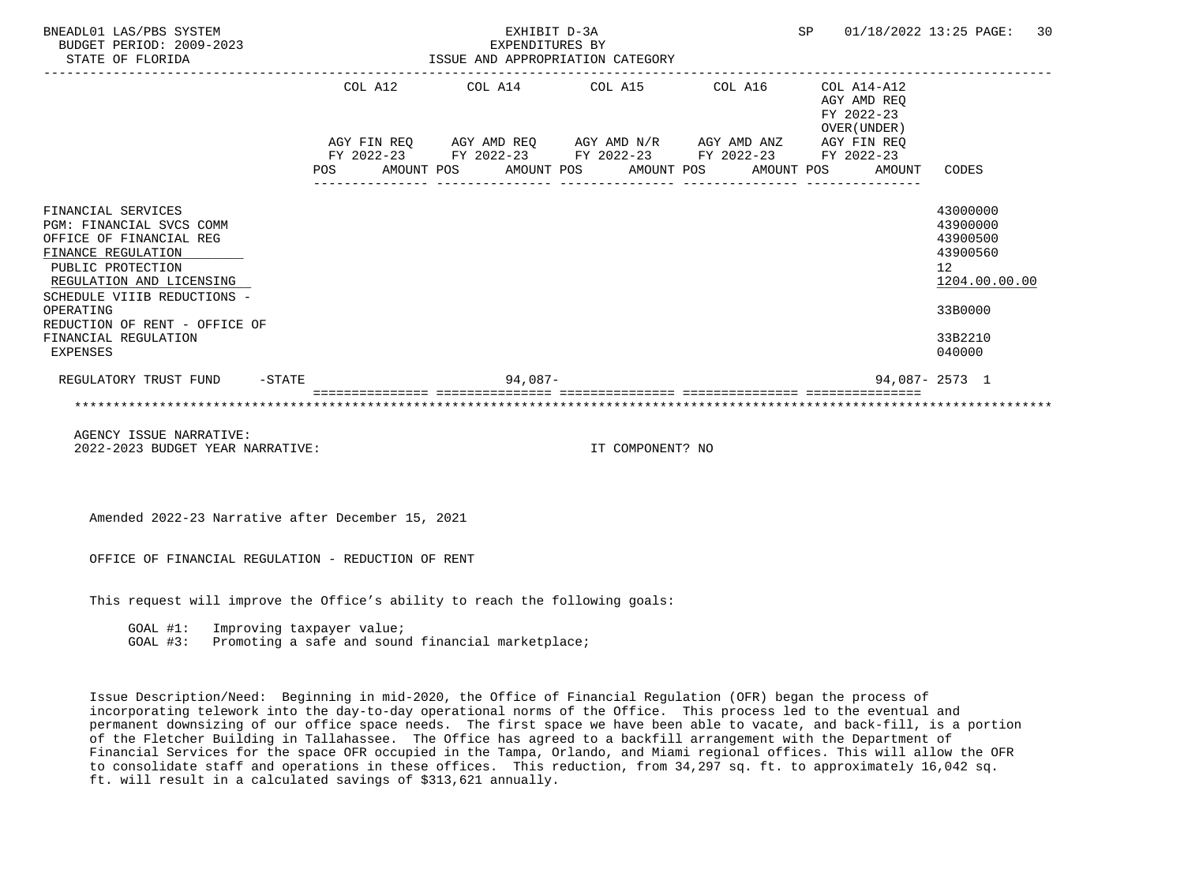| BNEADL01 LAS/PBS SYSTEM<br>BUDGET PERIOD: 2009-2023<br>STATE OF FLORIDA                                                                                                                                                                                           |         | ISSUE AND APPROPRIATION CATEGORY | EXPENDITURES BY | SP      |                                                                                                                                                                      | 01/18/2022 13:25 PAGE: | 30 |                                          |                                                                                                                  |  |
|-------------------------------------------------------------------------------------------------------------------------------------------------------------------------------------------------------------------------------------------------------------------|---------|----------------------------------|-----------------|---------|----------------------------------------------------------------------------------------------------------------------------------------------------------------------|------------------------|----|------------------------------------------|------------------------------------------------------------------------------------------------------------------|--|
|                                                                                                                                                                                                                                                                   |         |                                  |                 |         | COL A12 COL A14 COL A15 COL A16                                                                                                                                      |                        |    | COL A14-A12<br>AGY AMD REO<br>FY 2022-23 |                                                                                                                  |  |
|                                                                                                                                                                                                                                                                   | POS FOR |                                  |                 |         | AGY FIN REQ AGY AMD REQ AGY AMD N/R AGY AMD ANZ AGY FIN REQ<br>FY 2022-23 FY 2022-23 FY 2022-23 FY 2022-23 FY 2022-23<br>AMOUNT POS AMOUNT POS AMOUNT POS AMOUNT POS |                        |    | OVER (UNDER)<br>AMOUNT                   | CODES                                                                                                            |  |
| FINANCIAL SERVICES<br>PGM: FINANCIAL SVCS COMM<br>OFFICE OF FINANCIAL REG<br>FINANCE REGULATION<br>PUBLIC PROTECTION<br>REGULATION AND LICENSING<br>SCHEDULE VIIIB REDUCTIONS -<br>OPERATING<br>REDUCTION OF RENT - OFFICE OF<br>FINANCIAL REGULATION<br>EXPENSES |         |                                  |                 |         |                                                                                                                                                                      |                        |    |                                          | 43000000<br>43900000<br>43900500<br>43900560<br>12 <sup>°</sup><br>1204.00.00.00<br>33B0000<br>33B2210<br>040000 |  |
| REGULATORY TRUST FUND -STATE                                                                                                                                                                                                                                      |         |                                  |                 | 94,087- |                                                                                                                                                                      |                        |    |                                          | 94,087-2573 1                                                                                                    |  |
| AGENCY ISSUE NARRATIVE:                                                                                                                                                                                                                                           |         |                                  |                 |         |                                                                                                                                                                      |                        |    |                                          |                                                                                                                  |  |

2022-2023 BUDGET YEAR NARRATIVE: IT COMPONENT? NO

Amended 2022-23 Narrative after December 15, 2021

OFFICE OF FINANCIAL REGULATION - REDUCTION OF RENT

This request will improve the Office's ability to reach the following goals:

GOAL #1: Improving taxpayer value;

GOAL #3: Promoting a safe and sound financial marketplace;

 Issue Description/Need: Beginning in mid-2020, the Office of Financial Regulation (OFR) began the process of incorporating telework into the day-to-day operational norms of the Office. This process led to the eventual and permanent downsizing of our office space needs. The first space we have been able to vacate, and back-fill, is a portion of the Fletcher Building in Tallahassee. The Office has agreed to a backfill arrangement with the Department of Financial Services for the space OFR occupied in the Tampa, Orlando, and Miami regional offices. This will allow the OFR to consolidate staff and operations in these offices. This reduction, from 34,297 sq. ft. to approximately 16,042 sq. ft. will result in a calculated savings of \$313,621 annually.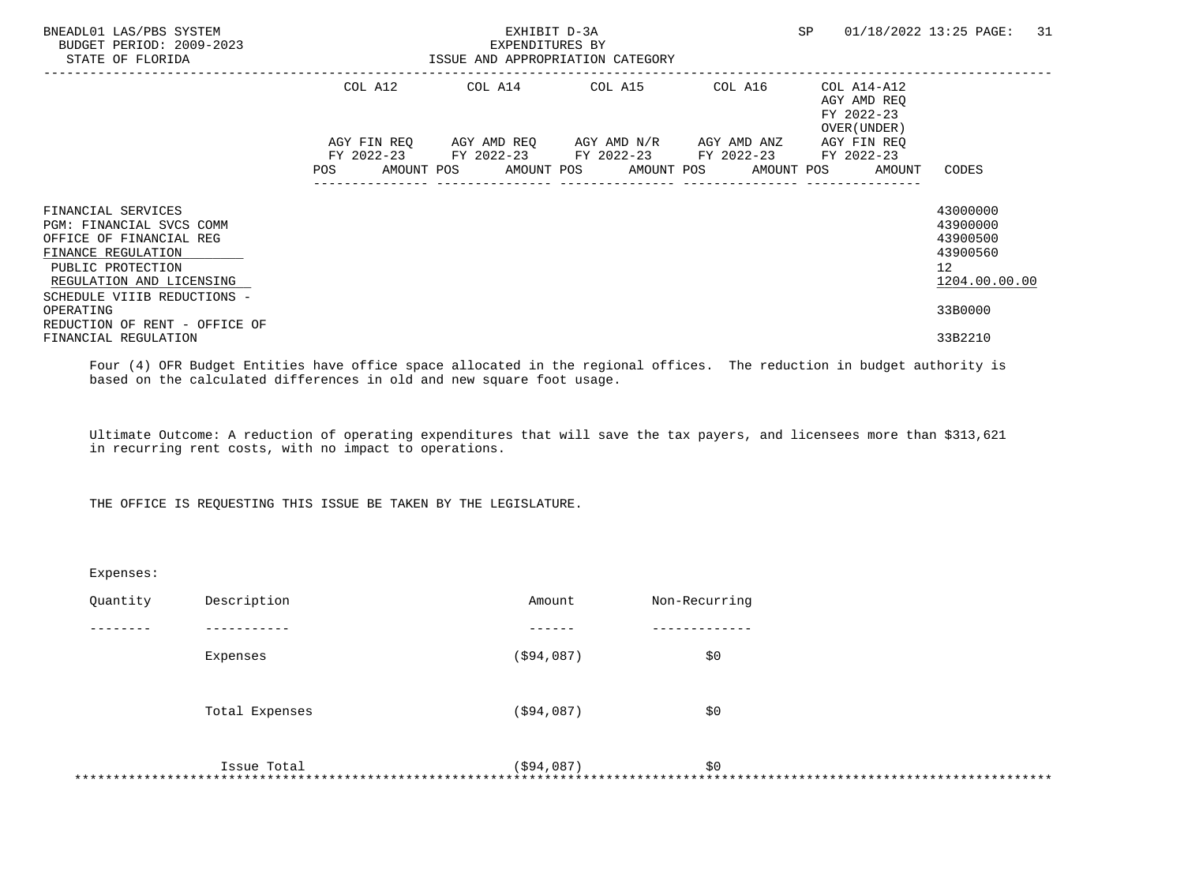| BNEADL01 LAS/PBS SYSTEM<br>BUDGET PERIOD: 2009-2023<br>STATE OF FLORIDA                                                                                                         |         | EXHIBIT D-3A<br>EXPENDITURES BY<br>ISSUE AND APPROPRIATION CATEGORY                                                                           | SP      | 01/18/2022 13:25 PAGE:<br>31                             |                                     |                                                                                  |
|---------------------------------------------------------------------------------------------------------------------------------------------------------------------------------|---------|-----------------------------------------------------------------------------------------------------------------------------------------------|---------|----------------------------------------------------------|-------------------------------------|----------------------------------------------------------------------------------|
|                                                                                                                                                                                 | COL A12 | COL A14 COL A15                                                                                                                               | COL A16 | COL A14-A12<br>AGY AMD REO<br>FY 2022-23<br>OVER (UNDER) |                                     |                                                                                  |
|                                                                                                                                                                                 | POS     | AGY FIN REQ AGY AMD REQ AGY AMD N/R AGY AMD ANZ<br>FY 2022-23 FY 2022-23 FY 2022-23 FY 2022-23<br>AMOUNT POS AMOUNT POS AMOUNT POS AMOUNT POS |         |                                                          | AGY FIN REO<br>FY 2022-23<br>AMOUNT | CODES                                                                            |
| FINANCIAL SERVICES<br>PGM: FINANCIAL SVCS COMM<br>OFFICE OF FINANCIAL REG<br>FINANCE REGULATION<br>PUBLIC PROTECTION<br>REGULATION AND LICENSING<br>SCHEDULE VIIIB REDUCTIONS - |         |                                                                                                                                               |         |                                                          |                                     | 43000000<br>43900000<br>43900500<br>43900560<br>12 <sup>7</sup><br>1204.00.00.00 |
| OPERATING<br>REDUCTION OF RENT - OFFICE OF<br>FINANCIAL REGULATION                                                                                                              |         |                                                                                                                                               |         |                                                          |                                     | 33B0000<br>33B2210                                                               |

 Four (4) OFR Budget Entities have office space allocated in the regional offices. The reduction in budget authority is based on the calculated differences in old and new square foot usage.

 Ultimate Outcome: A reduction of operating expenditures that will save the tax payers, and licensees more than \$313,621 in recurring rent costs, with no impact to operations.

THE OFFICE IS REQUESTING THIS ISSUE BE TAKEN BY THE LEGISLATURE.

| Expenses: |                |             |               |
|-----------|----------------|-------------|---------------|
| Quantity  | Description    | Amount      | Non-Recurring |
|           |                |             |               |
|           | Expenses       | ( \$94,087) | \$0           |
|           | Total Expenses | ( \$94,087) | \$0           |
|           | Issue Total    | ( \$94,087) | \$0<br>*****  |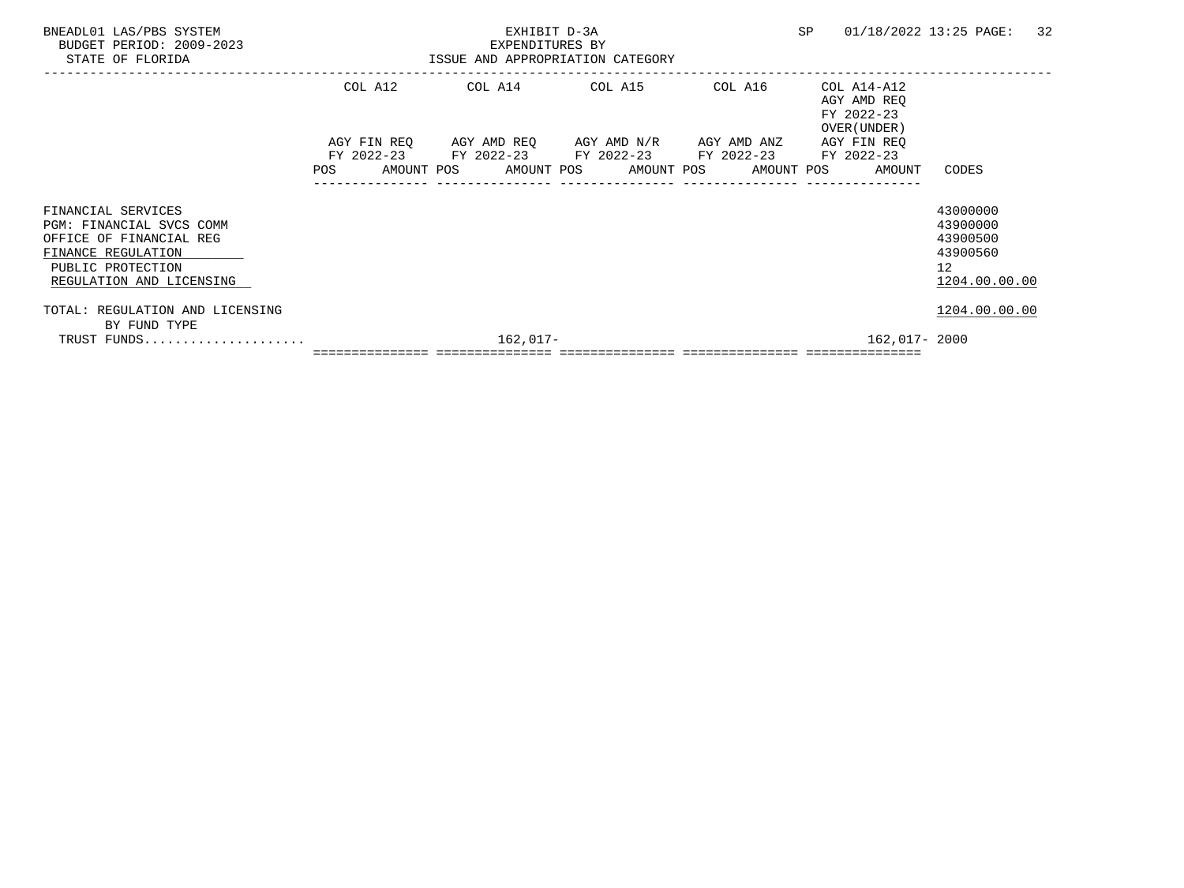| BNEADL01 LAS/PBS SYSTEM<br>BUDGET PERIOD: 2009-2023<br>STATE OF FLORIDA                                                                          |            |  | EXPENDITURES BY<br>ISSUE AND APPROPRIATION CATEGORY | <b>SP</b> |  | 01/18/2022 13:25 PAGE:                          | 32 |                                                        |  |                                                                                   |                                                                                  |  |
|--------------------------------------------------------------------------------------------------------------------------------------------------|------------|--|-----------------------------------------------------|-----------|--|-------------------------------------------------|----|--------------------------------------------------------|--|-----------------------------------------------------------------------------------|----------------------------------------------------------------------------------|--|
|                                                                                                                                                  | COL A12    |  |                                                     |           |  | COL A14 COL A15                                 |    | COL A16                                                |  | COL A14-A12<br>AGY AMD REO<br>FY 2022-23<br>OVER (UNDER)                          |                                                                                  |  |
|                                                                                                                                                  |            |  |                                                     |           |  | AGY FIN REQ AGY AMD REQ AGY AMD N/R AGY AMD ANZ |    |                                                        |  | AGY FIN REO                                                                       |                                                                                  |  |
|                                                                                                                                                  | <b>POS</b> |  |                                                     |           |  |                                                 |    | FY 2022-23 FY 2022-23 FY 2022-23 FY 2022-23 FY 2022-23 |  | AMOUNT POS AMOUNT POS AMOUNT POS AMOUNT POS AMOUNT                                | CODES                                                                            |  |
| FINANCIAL SERVICES<br>PGM: FINANCIAL SVCS COMM<br>OFFICE OF FINANCIAL REG<br>FINANCE REGULATION<br>PUBLIC PROTECTION<br>REGULATION AND LICENSING |            |  |                                                     |           |  |                                                 |    |                                                        |  |                                                                                   | 43000000<br>43900000<br>43900500<br>43900560<br>12 <sup>°</sup><br>1204.00.00.00 |  |
| TOTAL: REGULATION AND LICENSING                                                                                                                  |            |  |                                                     |           |  |                                                 |    |                                                        |  |                                                                                   | 1204.00.00.00                                                                    |  |
| BY FUND TYPE                                                                                                                                     | 162,017-   |  |                                                     |           |  |                                                 |    |                                                        |  | 162,017- 2000                                                                     |                                                                                  |  |
|                                                                                                                                                  |            |  |                                                     |           |  |                                                 |    |                                                        |  | <u> soosoosoosoos soosoosoosoosa soosoosoosoosa soosoosoosoosa soosoosoosooso</u> |                                                                                  |  |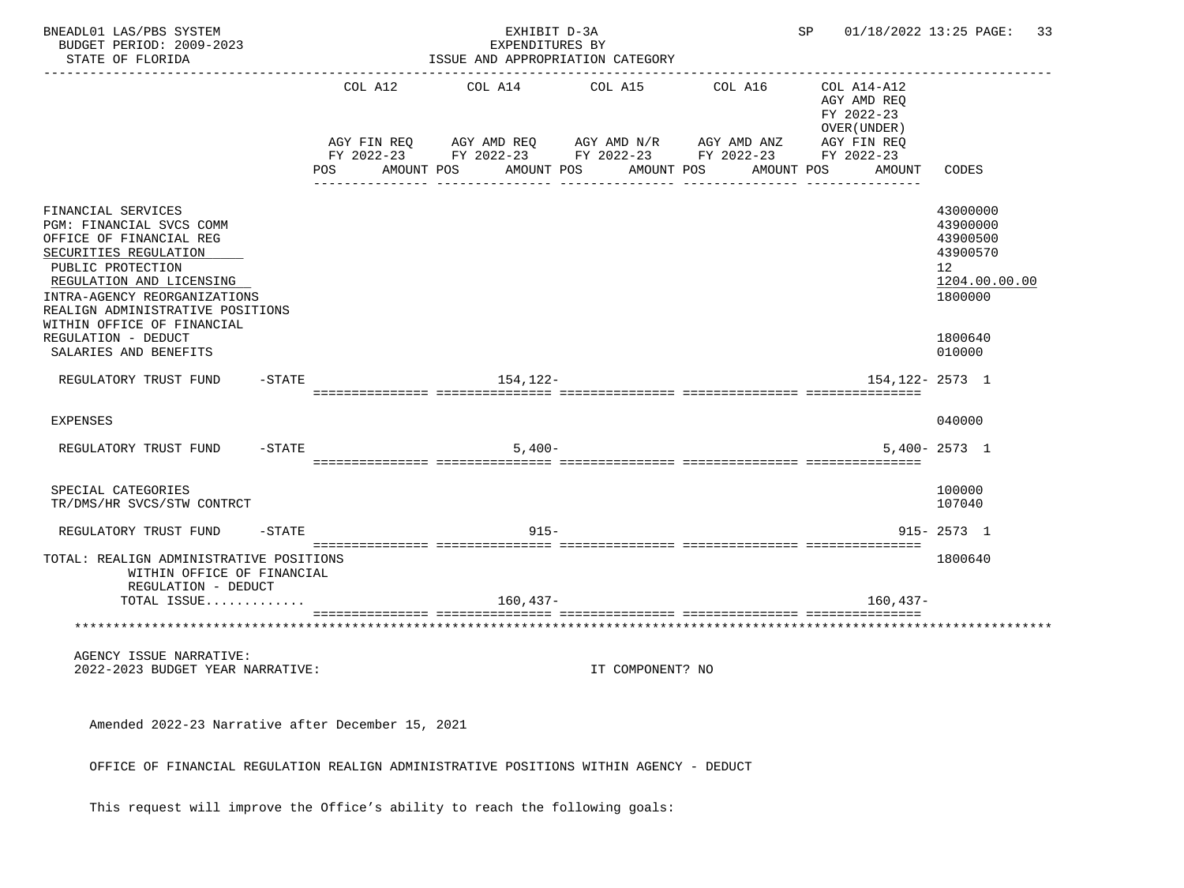| BNEADL01 LAS/PBS SYSTEM<br>BUDGET PERIOD: 2009-2023<br>STATE OF FLORIDA                                                                                                                                                                               |           |                                                                                            |  | EXHIBIT D-3A<br>EXPENDITURES BY<br>ISSUE AND APPROPRIATION CATEGORY |         | SP               |  | 01/18/2022 13:25 PAGE:<br>33 |  |                                                                                                 |                                                                                |
|-------------------------------------------------------------------------------------------------------------------------------------------------------------------------------------------------------------------------------------------------------|-----------|--------------------------------------------------------------------------------------------|--|---------------------------------------------------------------------|---------|------------------|--|------------------------------|--|-------------------------------------------------------------------------------------------------|--------------------------------------------------------------------------------|
|                                                                                                                                                                                                                                                       |           | COL A12<br>AGY FIN REQ<br>FY 2022-23 FY 2022-23 FY 2022-23 FY 2022-23<br>POS<br>AMOUNT POS |  | COL A14<br>AGY AMD REQ AGY AMD N/R AGY AMD ANZ<br>AMOUNT POS        | COL A15 | AMOUNT POS       |  | COL A16<br>AMOUNT POS        |  | COL A14-A12<br>AGY AMD REO<br>FY 2022-23<br>OVER (UNDER)<br>AGY FIN REQ<br>FY 2022-23<br>AMOUNT | CODES                                                                          |
| FINANCIAL SERVICES<br>PGM: FINANCIAL SVCS COMM<br>OFFICE OF FINANCIAL REG<br>SECURITIES REGULATION<br>PUBLIC PROTECTION<br>REGULATION AND LICENSING<br>INTRA-AGENCY REORGANIZATIONS<br>REALIGN ADMINISTRATIVE POSITIONS<br>WITHIN OFFICE OF FINANCIAL |           |                                                                                            |  |                                                                     |         |                  |  |                              |  |                                                                                                 | 43000000<br>43900000<br>43900500<br>43900570<br>12<br>1204.00.00.00<br>1800000 |
| REGULATION - DEDUCT<br>SALARIES AND BENEFITS                                                                                                                                                                                                          |           |                                                                                            |  |                                                                     |         |                  |  |                              |  |                                                                                                 | 1800640<br>010000                                                              |
| REGULATORY TRUST FUND                                                                                                                                                                                                                                 | $-$ STATE |                                                                                            |  | 154,122-                                                            |         |                  |  |                              |  | $154.122 - 2573$ 1                                                                              |                                                                                |
| <b>EXPENSES</b>                                                                                                                                                                                                                                       |           |                                                                                            |  |                                                                     |         |                  |  |                              |  |                                                                                                 | 040000                                                                         |
| REGULATORY TRUST FUND                                                                                                                                                                                                                                 | $-$ STATE |                                                                                            |  | $5,400-$                                                            |         |                  |  |                              |  |                                                                                                 | $5,400 - 2573$ 1                                                               |
| SPECIAL CATEGORIES<br>TR/DMS/HR SVCS/STW CONTRCT                                                                                                                                                                                                      |           |                                                                                            |  |                                                                     |         |                  |  |                              |  |                                                                                                 | 100000<br>107040                                                               |
| REGULATORY TRUST FUND                                                                                                                                                                                                                                 | $-$ STATE |                                                                                            |  | $915 -$                                                             |         |                  |  |                              |  |                                                                                                 | $915 - 2573$ 1                                                                 |
| TOTAL: REALIGN ADMINISTRATIVE POSITIONS<br>WITHIN OFFICE OF FINANCIAL<br>REGULATION - DEDUCT<br>TOTAL ISSUE                                                                                                                                           |           |                                                                                            |  | $160, 437 -$                                                        |         |                  |  |                              |  | $160, 437 -$                                                                                    | 1800640                                                                        |
| **********************************                                                                                                                                                                                                                    |           |                                                                                            |  |                                                                     |         |                  |  |                              |  |                                                                                                 |                                                                                |
| AGENCY ISSUE NARRATIVE:<br>2022-2023 BUDGET YEAR NARRATIVE:                                                                                                                                                                                           |           |                                                                                            |  |                                                                     |         | IT COMPONENT? NO |  |                              |  |                                                                                                 |                                                                                |
| Amended 2022-23 Narrative after December 15, 2021                                                                                                                                                                                                     |           |                                                                                            |  |                                                                     |         |                  |  |                              |  |                                                                                                 |                                                                                |
| OFFICE OF FINANCIAL REGULATION REALIGN ADMINISTRATIVE POSITIONS WITHIN AGENCY - DEDUCT                                                                                                                                                                |           |                                                                                            |  |                                                                     |         |                  |  |                              |  |                                                                                                 |                                                                                |

This request will improve the Office's ability to reach the following goals: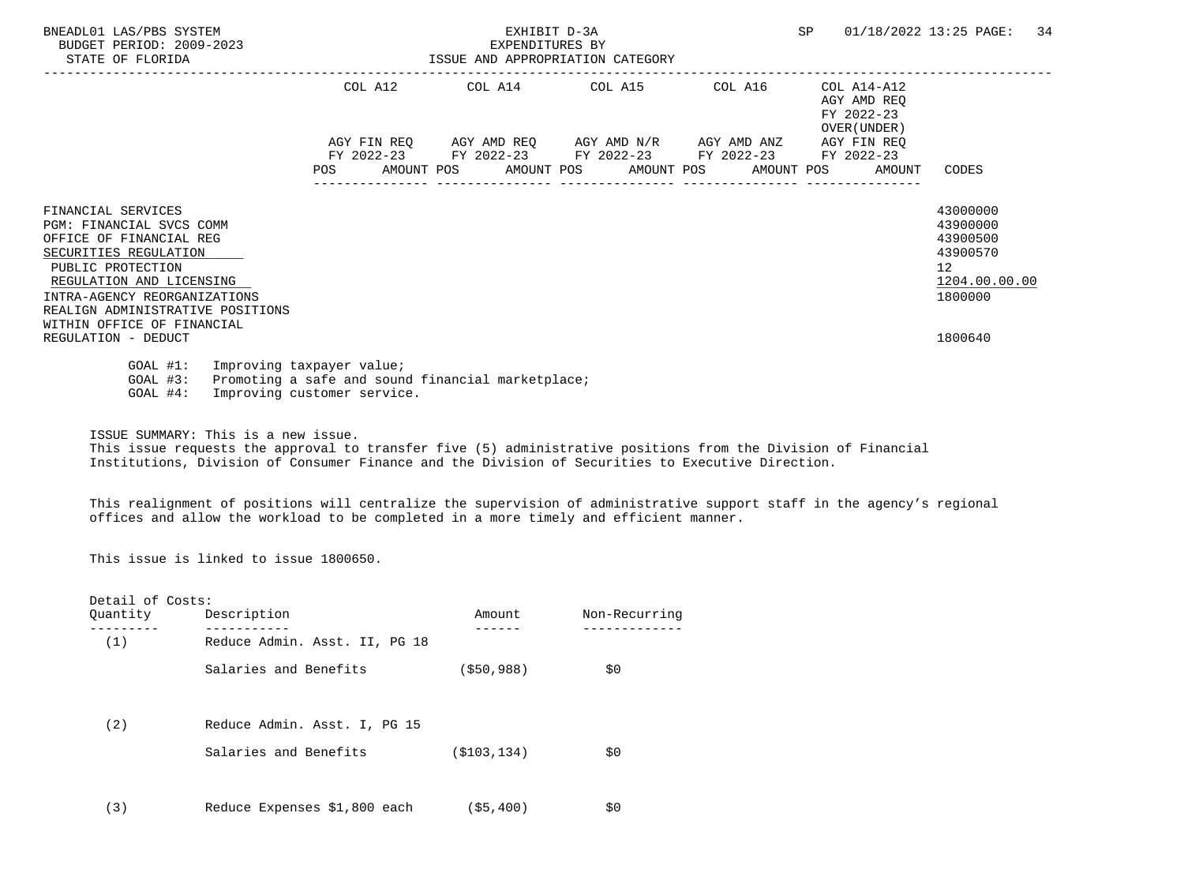| BNEADL01 LAS/PBS SYSTEM<br>BUDGET PERIOD: 2009-2023<br>STATE OF FLORIDA                                                                                                                                                                                      |     | ISSUE AND APPROPRIATION CATEGORY |  | <b>SP</b>       |                                                                 | 01/18/2022 13:25 PAGE: | 34 |                                                          |                                                                                |  |
|--------------------------------------------------------------------------------------------------------------------------------------------------------------------------------------------------------------------------------------------------------------|-----|----------------------------------|--|-----------------|-----------------------------------------------------------------|------------------------|----|----------------------------------------------------------|--------------------------------------------------------------------------------|--|
|                                                                                                                                                                                                                                                              |     | COL A12                          |  | COL A14 COL A15 |                                                                 | COL A16                |    | COL A14-A12<br>AGY AMD REO<br>FY 2022-23<br>OVER (UNDER) |                                                                                |  |
|                                                                                                                                                                                                                                                              |     | AGY FIN REO                      |  |                 | AGY AMD REQ      AGY AMD N/R     AGY AMD ANZ                    |                        |    | AGY FIN REO                                              |                                                                                |  |
|                                                                                                                                                                                                                                                              |     |                                  |  |                 | FY 2022-23 FY 2022-23 FY 2022-23 FY 2022-23                     |                        |    | FY 2022-23                                               |                                                                                |  |
|                                                                                                                                                                                                                                                              | POS |                                  |  |                 | AMOUNT POS AMOUNT POS AMOUNT POS AMOUNT POS<br>---------------- | ---------------        |    | AMOUNT                                                   | CODES                                                                          |  |
| FINANCIAL SERVICES<br><b>PGM: FINANCIAL SVCS COMM</b><br>OFFICE OF FINANCIAL REG<br>SECURITIES REGULATION<br>PUBLIC PROTECTION<br>REGULATION AND LICENSING<br>INTRA-AGENCY REORGANIZATIONS<br>REALIGN ADMINISTRATIVE POSITIONS<br>WITHIN OFFICE OF FINANCIAL |     |                                  |  |                 |                                                                 |                        |    |                                                          | 43000000<br>43900000<br>43900500<br>43900570<br>12<br>1204.00.00.00<br>1800000 |  |
| REGULATION - DEDUCT                                                                                                                                                                                                                                          |     |                                  |  |                 |                                                                 |                        |    |                                                          | 1800640                                                                        |  |
| $GOAL$ #1:<br>Improving taxpayer value;<br>Promoting a safe and sound financial marketplace;<br>$GOAL$ #3:<br>Improving customer service.<br>$GOAL$ #4:                                                                                                      |     |                                  |  |                 |                                                                 |                        |    |                                                          |                                                                                |  |

ISSUE SUMMARY: This is a new issue.

 This issue requests the approval to transfer five (5) administrative positions from the Division of Financial Institutions, Division of Consumer Finance and the Division of Securities to Executive Direction.

 This realignment of positions will centralize the supervision of administrative support staff in the agency's regional offices and allow the workload to be completed in a more timely and efficient manner.

This issue is linked to issue 1800650.

| Detail of Costs:<br>Quantity | Description                                           | Amount        | Non-Recurring |
|------------------------------|-------------------------------------------------------|---------------|---------------|
| (1)                          | Reduce Admin. Asst. II, PG 18                         |               |               |
|                              | Salaries and Benefits                                 | ( \$50, 988)  | \$0           |
| (2)                          | Reduce Admin. Asst. I, PG 15<br>Salaries and Benefits | ( \$103, 134) | \$0           |
| (3)                          | Reduce Expenses \$1,800 each                          | (55, 400)     | \$0           |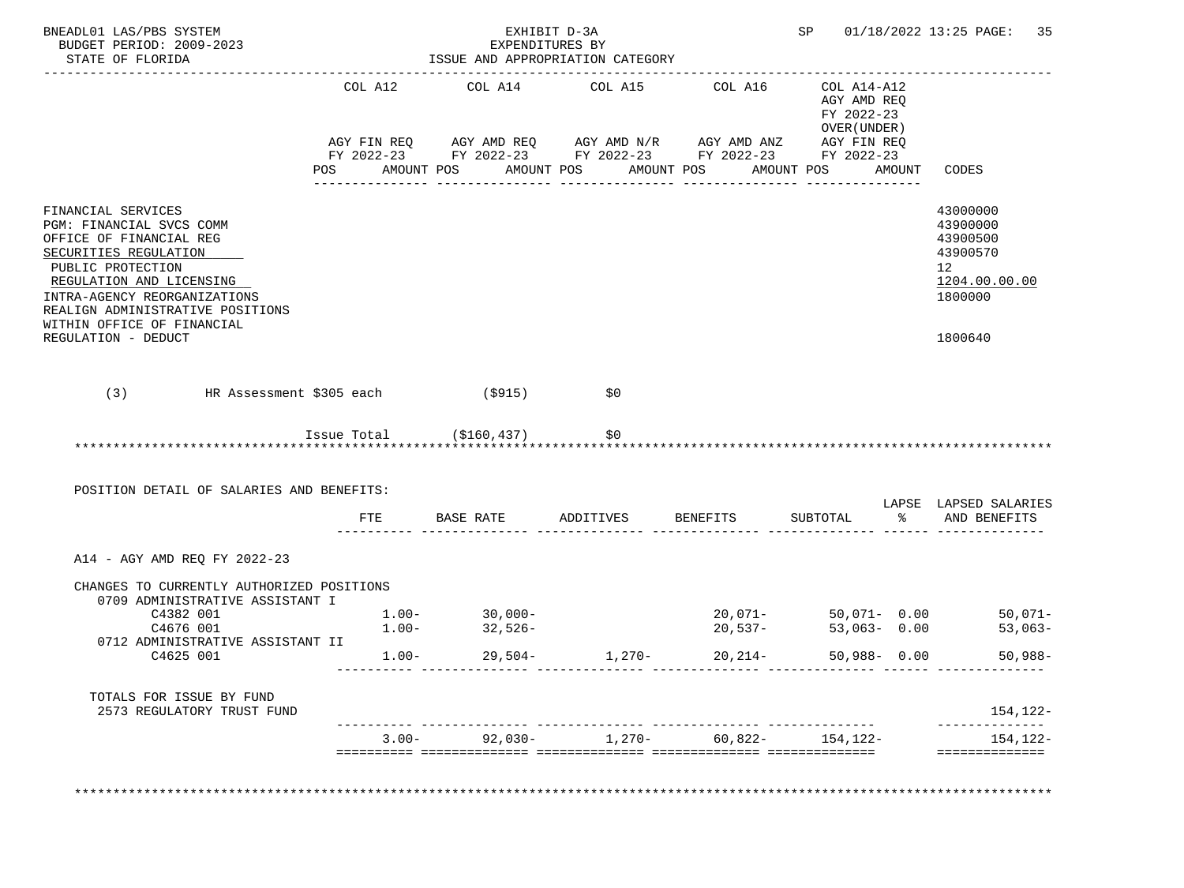| BNEADL01 LAS/PBS SYSTEM<br>BUDGET PERIOD: 2009-2023<br>STATE OF FLORIDA                                                                                                                                                 |         | EXHIBIT D-3A<br>EXPENDITURES BY<br>ISSUE AND APPROPRIATION CATEGORY                                                   |          |                    |                                                           | SP 01/18/2022 13:25 PAGE: 35                                                         |
|-------------------------------------------------------------------------------------------------------------------------------------------------------------------------------------------------------------------------|---------|-----------------------------------------------------------------------------------------------------------------------|----------|--------------------|-----------------------------------------------------------|--------------------------------------------------------------------------------------|
|                                                                                                                                                                                                                         | COL A12 | COL A14 COL A15                                                                                                       |          | COL A16            | COL A14-A12<br>AGY AMD REQ<br>FY 2022-23<br>OVER (UNDER ) |                                                                                      |
|                                                                                                                                                                                                                         |         | AGY FIN REQ AGY AMD REQ AGY AMD N/R AGY AMD ANZ AGY FIN REQ<br>FY 2022-23 FY 2022-23 FY 2022-23 FY 2022-23 FY 2022-23 |          |                    |                                                           |                                                                                      |
|                                                                                                                                                                                                                         | POS     | AMOUNT POS AMOUNT POS AMOUNT POS                                                                                      |          |                    | AMOUNT POS                                                | AMOUNT CODES                                                                         |
| FINANCIAL SERVICES<br>PGM: FINANCIAL SVCS COMM<br>OFFICE OF FINANCIAL REG<br>SECURITIES REGULATION<br>PUBLIC PROTECTION<br>REGULATION AND LICENSING<br>INTRA-AGENCY REORGANIZATIONS<br>REALIGN ADMINISTRATIVE POSITIONS |         |                                                                                                                       |          |                    |                                                           | 43000000<br>43900000<br>43900500<br>43900570<br>12<br>1204.00.00.00<br>1800000       |
| WITHIN OFFICE OF FINANCIAL<br>REGULATION - DEDUCT                                                                                                                                                                       |         |                                                                                                                       |          |                    |                                                           | 1800640                                                                              |
|                                                                                                                                                                                                                         |         |                                                                                                                       |          |                    |                                                           |                                                                                      |
| (3)<br>HR Assessment \$305 each                                                                                                                                                                                         |         | (S915)                                                                                                                | \$0      |                    |                                                           |                                                                                      |
|                                                                                                                                                                                                                         |         | $Issue Total$ $( $160, 437)$                                                                                          | \$0      |                    |                                                           |                                                                                      |
| POSITION DETAIL OF SALARIES AND BENEFITS:                                                                                                                                                                               |         |                                                                                                                       |          |                    |                                                           |                                                                                      |
|                                                                                                                                                                                                                         | FTE     | BASE RATE ADDITIVES BENEFITS                                                                                          |          |                    | SUBTOTAL                                                  | % AND BENEFITS                                                                       |
| A14 - AGY AMD REQ FY 2022-23                                                                                                                                                                                            |         |                                                                                                                       |          |                    |                                                           |                                                                                      |
| CHANGES TO CURRENTLY AUTHORIZED POSITIONS<br>0709 ADMINISTRATIVE ASSISTANT I                                                                                                                                            |         |                                                                                                                       |          |                    |                                                           |                                                                                      |
| C4382 001                                                                                                                                                                                                               |         |                                                                                                                       |          |                    | 50,071- 0.00                                              |                                                                                      |
| C4676 001<br>0712 ADMINISTRATIVE ASSISTANT II                                                                                                                                                                           |         | $1.00 - 30,000 - 1.00 - 32,526 -$                                                                                     |          | 20,071-<br>20,537- | $53,063 - 0.00$                                           |                                                                                      |
| C4625 001                                                                                                                                                                                                               |         | $1.00 - 29.504 -$                                                                                                     | $1,270-$ | 20,214-            | $50,988 - 0.00$                                           |                                                                                      |
| TOTALS FOR ISSUE BY FUND<br>2573 REGULATORY TRUST FUND                                                                                                                                                                  |         |                                                                                                                       |          |                    |                                                           |                                                                                      |
|                                                                                                                                                                                                                         |         | $3.00 - 92,030 - 1,270 - 60,822 - 154,122 -$                                                                          |          |                    |                                                           | LAPSE LAPSED SALARIES<br>$50,071-$<br>$53,063-$<br>$50,988-$<br>154,122-<br>154,122- |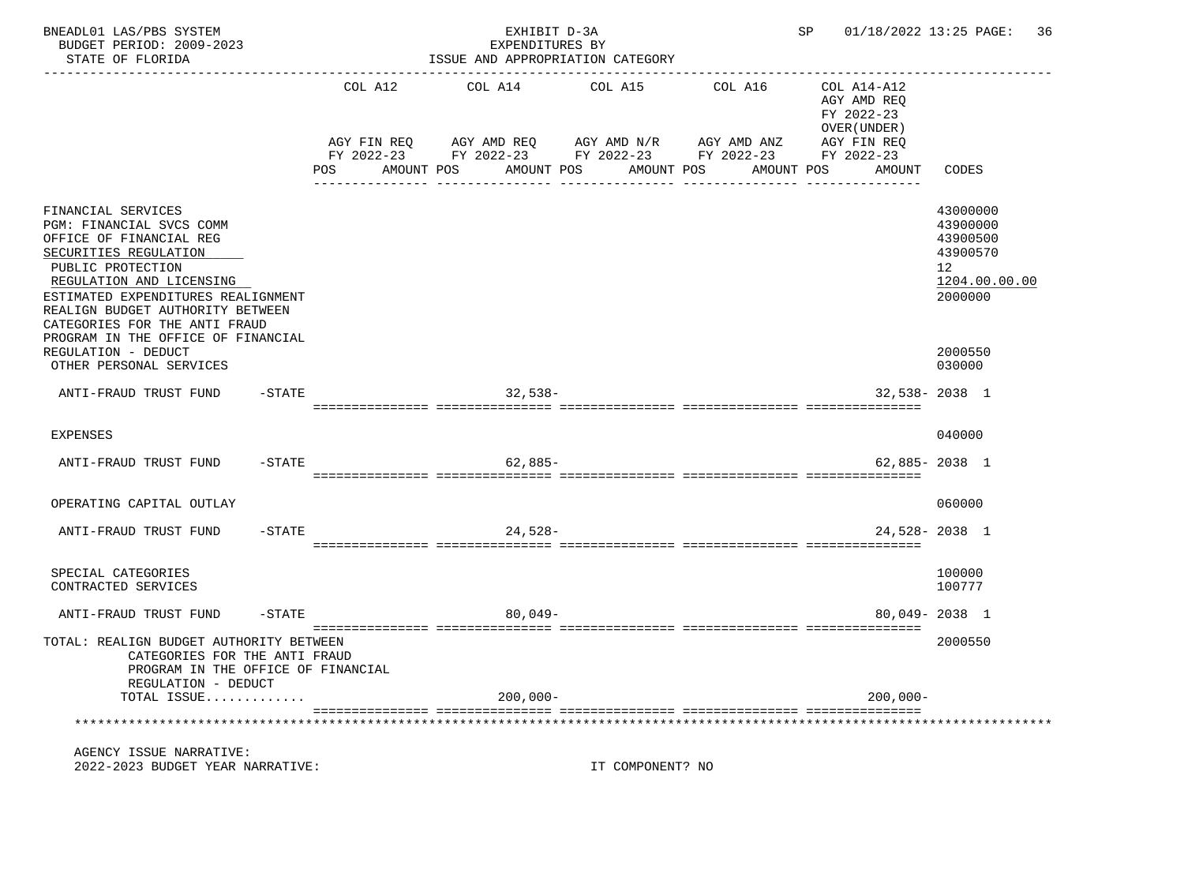| BNEADL01 LAS/PBS SYSTEM<br>BUDGET PERIOD: 2009-2023<br>STATE OF FLORIDA                                                                                                                                                                                                                              |           |                                                                                                                                       | EXHIBIT D-3A<br>EXPENDITURES BY<br>ISSUE AND APPROPRIATION CATEGORY |         |                  |                       | SP 01/18/2022 13:25 PAGE:                                                                       |                                                                                             | 36 |
|------------------------------------------------------------------------------------------------------------------------------------------------------------------------------------------------------------------------------------------------------------------------------------------------------|-----------|---------------------------------------------------------------------------------------------------------------------------------------|---------------------------------------------------------------------|---------|------------------|-----------------------|-------------------------------------------------------------------------------------------------|---------------------------------------------------------------------------------------------|----|
|                                                                                                                                                                                                                                                                                                      |           | COL A12<br>AGY FIN REQ 6 AGY AMD REQ 6 AGY AMD N/R 66 AGY AMD ANZ<br>FY 2022-23 FY 2022-23 FY 2022-23 FY 2022-23<br>POS<br>AMOUNT POS | COL A14<br>AMOUNT POS                                               | COL A15 | AMOUNT POS       | COL A16<br>AMOUNT POS | COL A14-A12<br>AGY AMD REO<br>FY 2022-23<br>OVER (UNDER)<br>AGY FIN REQ<br>FY 2022-23<br>AMOUNT | CODES                                                                                       |    |
| FINANCIAL SERVICES<br>PGM: FINANCIAL SVCS COMM<br>OFFICE OF FINANCIAL REG<br>SECURITIES REGULATION<br>PUBLIC PROTECTION<br>REGULATION AND LICENSING<br>ESTIMATED EXPENDITURES REALIGNMENT<br>REALIGN BUDGET AUTHORITY BETWEEN<br>CATEGORIES FOR THE ANTI FRAUD<br>PROGRAM IN THE OFFICE OF FINANCIAL |           |                                                                                                                                       |                                                                     |         |                  |                       |                                                                                                 | 43000000<br>43900000<br>43900500<br>43900570<br>12 <sup>°</sup><br>1204.00.00.00<br>2000000 |    |
| REGULATION - DEDUCT<br>OTHER PERSONAL SERVICES                                                                                                                                                                                                                                                       |           |                                                                                                                                       |                                                                     |         |                  |                       |                                                                                                 | 2000550<br>030000                                                                           |    |
| ANTI-FRAUD TRUST FUND<br>-STATE                                                                                                                                                                                                                                                                      |           |                                                                                                                                       | $32,538-$                                                           |         |                  |                       |                                                                                                 | $32,538 - 2038$ 1                                                                           |    |
| <b>EXPENSES</b>                                                                                                                                                                                                                                                                                      |           |                                                                                                                                       |                                                                     |         |                  |                       |                                                                                                 | 040000                                                                                      |    |
| ANTI-FRAUD TRUST FUND                                                                                                                                                                                                                                                                                | $-$ STATE |                                                                                                                                       | $62,885-$                                                           |         |                  |                       |                                                                                                 | $62.885 - 2038$ 1                                                                           |    |
| OPERATING CAPITAL OUTLAY                                                                                                                                                                                                                                                                             |           |                                                                                                                                       |                                                                     |         |                  |                       |                                                                                                 | 060000                                                                                      |    |
| ANTI-FRAUD TRUST FUND                                                                                                                                                                                                                                                                                | $-$ STATE |                                                                                                                                       | $24,528-$                                                           |         |                  |                       |                                                                                                 | 24,528-2038 1                                                                               |    |
| SPECIAL CATEGORIES<br>CONTRACTED SERVICES                                                                                                                                                                                                                                                            |           |                                                                                                                                       |                                                                     |         |                  |                       |                                                                                                 | 100000<br>100777                                                                            |    |
| ANTI-FRAUD TRUST FUND                                                                                                                                                                                                                                                                                | $-$ STATE |                                                                                                                                       | $80,049-$                                                           |         |                  |                       |                                                                                                 | 80,049-2038 1                                                                               |    |
| TOTAL: REALIGN BUDGET AUTHORITY BETWEEN<br>CATEGORIES FOR THE ANTI FRAUD<br>PROGRAM IN THE OFFICE OF FINANCIAL<br>REGULATION - DEDUCT                                                                                                                                                                |           |                                                                                                                                       |                                                                     |         |                  |                       |                                                                                                 | 2000550                                                                                     |    |
| TOTAL ISSUE                                                                                                                                                                                                                                                                                          |           |                                                                                                                                       | $200,000 -$                                                         |         |                  |                       | $200,000 -$                                                                                     |                                                                                             |    |
|                                                                                                                                                                                                                                                                                                      |           |                                                                                                                                       |                                                                     |         |                  |                       |                                                                                                 |                                                                                             |    |
| AGENCY ISSUE NARRATIVE:<br>2022-2023 BUDGET YEAR NARRATIVE:                                                                                                                                                                                                                                          |           |                                                                                                                                       |                                                                     |         | IT COMPONENT? NO |                       |                                                                                                 |                                                                                             |    |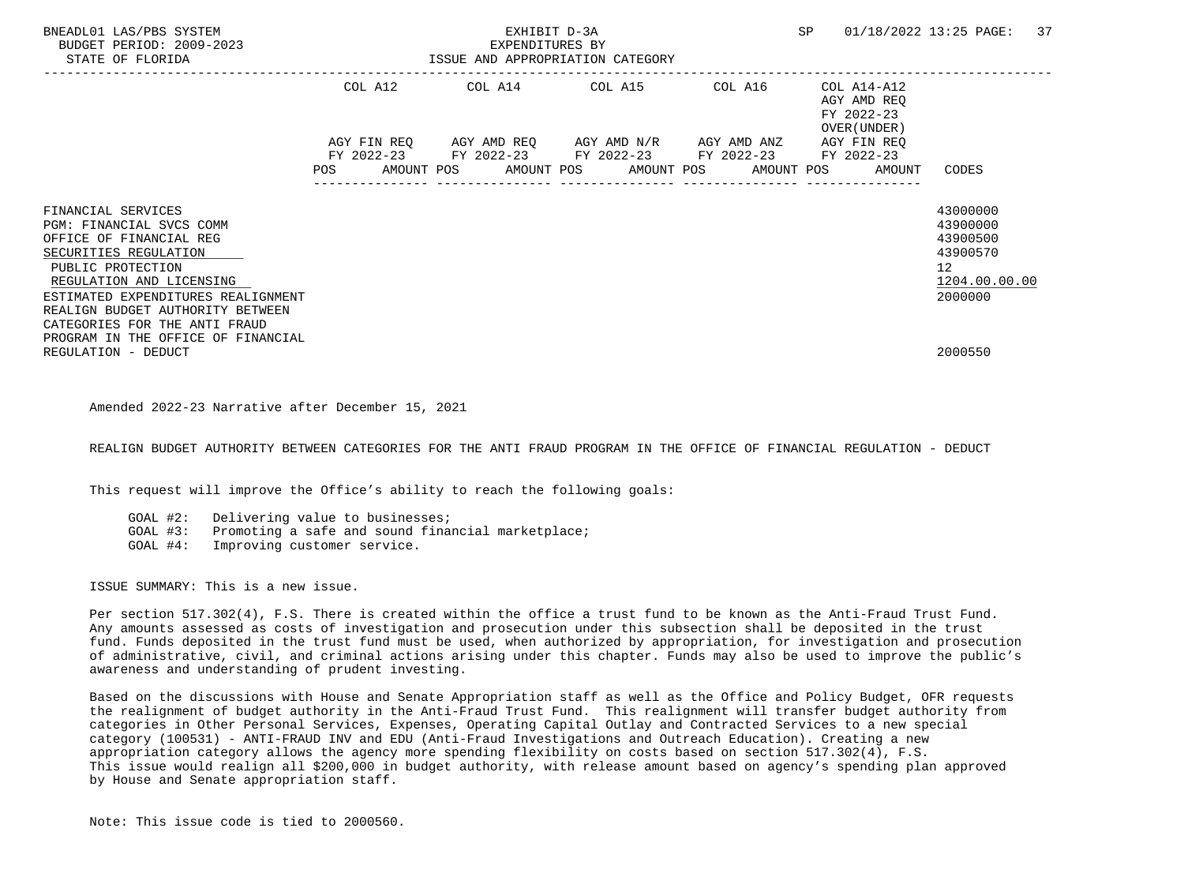| BNEADL01 LAS/PBS SYSTEM<br>BUDGET PERIOD: 2009-2023<br>STATE OF FLORIDA                                                                                                                                                                                        | ISSUE AND APPROPRIATION CATEGORY |  |  | SP                      |         | 01/18/2022 13:25 PAGE: | 37                                                     |  |                                                                       |                                                                                             |  |
|----------------------------------------------------------------------------------------------------------------------------------------------------------------------------------------------------------------------------------------------------------------|----------------------------------|--|--|-------------------------|---------|------------------------|--------------------------------------------------------|--|-----------------------------------------------------------------------|---------------------------------------------------------------------------------------------|--|
|                                                                                                                                                                                                                                                                |                                  |  |  | COL A12 COL A14 COL A15 |         |                        | COL A16                                                |  | COL A14-A12<br>AGY AMD REO<br>FY 2022-23<br>OVER (UNDER)              |                                                                                             |  |
|                                                                                                                                                                                                                                                                |                                  |  |  |                         |         |                        | FY 2022-23 FY 2022-23 FY 2022-23 FY 2022-23 FY 2022-23 |  | AGY FIN REO<br>POS AMOUNT POS AMOUNT POS AMOUNT POS AMOUNT POS AMOUNT | CODES                                                                                       |  |
| FINANCIAL SERVICES<br>PGM: FINANCIAL SVCS COMM<br>OFFICE OF FINANCIAL REG<br>SECURITIES REGULATION<br>PUBLIC PROTECTION<br>REGULATION AND LICENSING<br>ESTIMATED EXPENDITURES REALIGNMENT<br>REALIGN BUDGET AUTHORITY BETWEEN<br>CATEGORIES FOR THE ANTI FRAUD |                                  |  |  |                         |         |                        |                                                        |  |                                                                       | 43000000<br>43900000<br>43900500<br>43900570<br>12 <sup>°</sup><br>1204.00.00.00<br>2000000 |  |
| PROGRAM IN THE OFFICE OF FINANCIAL<br>REGULATION - DEDUCT                                                                                                                                                                                                      |                                  |  |  |                         | 2000550 |                        |                                                        |  |                                                                       |                                                                                             |  |

Amended 2022-23 Narrative after December 15, 2021

REALIGN BUDGET AUTHORITY BETWEEN CATEGORIES FOR THE ANTI FRAUD PROGRAM IN THE OFFICE OF FINANCIAL REGULATION - DEDUCT

This request will improve the Office's ability to reach the following goals:

GOAL #2: Delivering value to businesses;<br>GOAL #3: Promoting a safe and sound finar Promoting a safe and sound financial marketplace; GOAL #4: Improving customer service.

ISSUE SUMMARY: This is a new issue.

 Per section 517.302(4), F.S. There is created within the office a trust fund to be known as the Anti-Fraud Trust Fund. Any amounts assessed as costs of investigation and prosecution under this subsection shall be deposited in the trust fund. Funds deposited in the trust fund must be used, when authorized by appropriation, for investigation and prosecution of administrative, civil, and criminal actions arising under this chapter. Funds may also be used to improve the public's awareness and understanding of prudent investing.

 Based on the discussions with House and Senate Appropriation staff as well as the Office and Policy Budget, OFR requests the realignment of budget authority in the Anti-Fraud Trust Fund. This realignment will transfer budget authority from categories in Other Personal Services, Expenses, Operating Capital Outlay and Contracted Services to a new special category (100531) - ANTI-FRAUD INV and EDU (Anti-Fraud Investigations and Outreach Education). Creating a new appropriation category allows the agency more spending flexibility on costs based on section 517.302(4), F.S. This issue would realign all \$200,000 in budget authority, with release amount based on agency's spending plan approved by House and Senate appropriation staff.

Note: This issue code is tied to 2000560.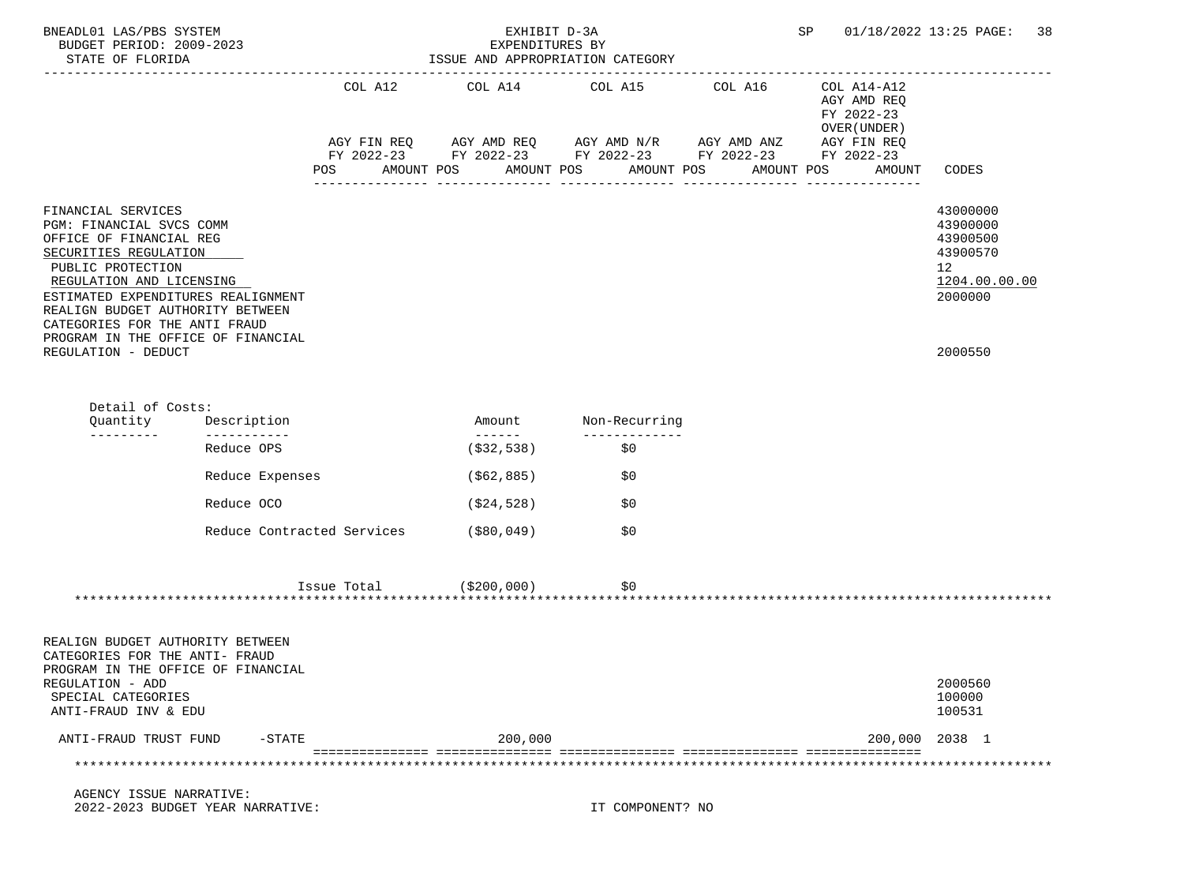| BNEADL01 LAS/PBS SYSTEM<br>BUDGET PERIOD: 2009-2023<br>STATE OF FLORIDA                                                                                                                                                                                                                              |                            |                                | EXHIBIT D-3A<br>EXPENDITURES BY<br>ISSUE AND APPROPRIATION CATEGORY | SP and the set of the set of the set of the set of the set of the set of the set of the set of the set of the set of the set of the set of the set of the set of the set of the set of the set of the set of the set of the se | 01/18/2022 13:25 PAGE: 38 |                                                          |                                                                                             |
|------------------------------------------------------------------------------------------------------------------------------------------------------------------------------------------------------------------------------------------------------------------------------------------------------|----------------------------|--------------------------------|---------------------------------------------------------------------|--------------------------------------------------------------------------------------------------------------------------------------------------------------------------------------------------------------------------------|---------------------------|----------------------------------------------------------|---------------------------------------------------------------------------------------------|
|                                                                                                                                                                                                                                                                                                      |                            | COL A12                        |                                                                     | COL A14 COL A15<br>AGY FIN REQ AGY AMD REQ AGY AMD N/R AGY AMD ANZ AGY FIN REQ                                                                                                                                                 | COL A16                   | COL A14-A12<br>AGY AMD REQ<br>FY 2022-23<br>OVER (UNDER) |                                                                                             |
|                                                                                                                                                                                                                                                                                                      |                            | POS FOR THE POST OF THE STREET | AMOUNT POS                                                          | FY 2022-23 FY 2022-23 FY 2022-23 FY 2022-23 FY 2022-23<br>AMOUNT POS<br>AMOUNT POS                                                                                                                                             |                           | AMOUNT POS<br>AMOUNT                                     | CODES                                                                                       |
| FINANCIAL SERVICES<br>PGM: FINANCIAL SVCS COMM<br>OFFICE OF FINANCIAL REG<br>SECURITIES REGULATION<br>PUBLIC PROTECTION<br>REGULATION AND LICENSING<br>ESTIMATED EXPENDITURES REALIGNMENT<br>REALIGN BUDGET AUTHORITY BETWEEN<br>CATEGORIES FOR THE ANTI FRAUD<br>PROGRAM IN THE OFFICE OF FINANCIAL |                            |                                |                                                                     |                                                                                                                                                                                                                                |                           |                                                          | 43000000<br>43900000<br>43900500<br>43900570<br>12 <sup>°</sup><br>1204.00.00.00<br>2000000 |
| REGULATION - DEDUCT                                                                                                                                                                                                                                                                                  |                            |                                |                                                                     |                                                                                                                                                                                                                                |                           |                                                          | 2000550                                                                                     |
| Detail of Costs:<br>Quantity<br>---------                                                                                                                                                                                                                                                            | Description<br>----------- |                                | Amount                                                              | Non-Recurring<br>_____________                                                                                                                                                                                                 |                           |                                                          |                                                                                             |
|                                                                                                                                                                                                                                                                                                      | Reduce OPS                 |                                | ( \$32, 538)                                                        | \$0                                                                                                                                                                                                                            |                           |                                                          |                                                                                             |
|                                                                                                                                                                                                                                                                                                      | Reduce Expenses            |                                | (\$62,885)                                                          | \$0                                                                                                                                                                                                                            |                           |                                                          |                                                                                             |
|                                                                                                                                                                                                                                                                                                      | Reduce OCO                 |                                | ( \$24, 528 )                                                       | \$0                                                                                                                                                                                                                            |                           |                                                          |                                                                                             |
|                                                                                                                                                                                                                                                                                                      | Reduce Contracted Services |                                | (\$80,049)                                                          | \$0                                                                                                                                                                                                                            |                           |                                                          |                                                                                             |
|                                                                                                                                                                                                                                                                                                      |                            | $Issue Total$ $( $200,000)$    |                                                                     | \$0                                                                                                                                                                                                                            |                           |                                                          |                                                                                             |
| REALIGN BUDGET AUTHORITY BETWEEN<br>CATEGORIES FOR THE ANTI- FRAUD<br>PROGRAM IN THE OFFICE OF FINANCIAL<br>REGULATION - ADD<br>SPECIAL CATEGORIES<br>ANTI-FRAUD INV & EDU                                                                                                                           |                            |                                |                                                                     |                                                                                                                                                                                                                                |                           |                                                          | 2000560<br>100000<br>100531                                                                 |
| ANTI-FRAUD TRUST FUND                                                                                                                                                                                                                                                                                | $-STATE$                   |                                | 200,000                                                             |                                                                                                                                                                                                                                |                           |                                                          | 200,000 2038 1                                                                              |
|                                                                                                                                                                                                                                                                                                      |                            |                                |                                                                     |                                                                                                                                                                                                                                |                           |                                                          |                                                                                             |
| AGENCY ISSUE NARRATIVE:                                                                                                                                                                                                                                                                              |                            |                                |                                                                     |                                                                                                                                                                                                                                |                           |                                                          |                                                                                             |

2022-2023 BUDGET YEAR NARRATIVE: IT COMPONENT? NO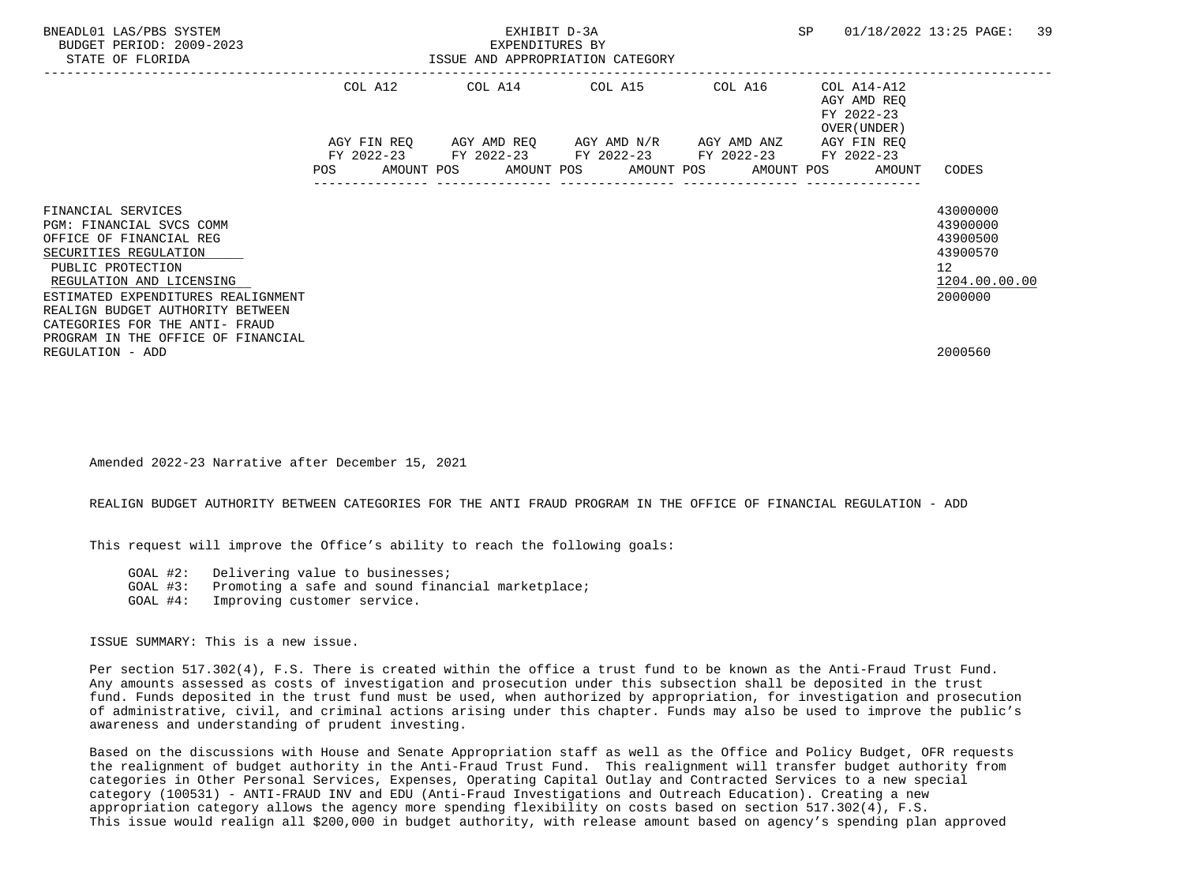| BNEADL01 LAS/PBS SYSTEM<br>BUDGET PERIOD: 2009-2023<br>STATE OF FLORIDA                                                                                                                                                                                                                               | EXHIBIT D-3A<br>EXPENDITURES BY<br>ISSUE AND APPROPRIATION CATEGORY |         |  |  |  |                                                                                                           | <b>SP</b> |  | 01/18/2022 13:25 PAGE:<br>39                                          |                                                                                |  |
|-------------------------------------------------------------------------------------------------------------------------------------------------------------------------------------------------------------------------------------------------------------------------------------------------------|---------------------------------------------------------------------|---------|--|--|--|-----------------------------------------------------------------------------------------------------------|-----------|--|-----------------------------------------------------------------------|--------------------------------------------------------------------------------|--|
|                                                                                                                                                                                                                                                                                                       |                                                                     | COL A12 |  |  |  | COL A14 COL A15 COL A16                                                                                   |           |  | COL A14-A12<br>AGY AMD REQ<br>FY 2022-23<br>OVER (UNDER)              |                                                                                |  |
|                                                                                                                                                                                                                                                                                                       |                                                                     |         |  |  |  | AGY FIN REQ AGY AMD REQ AGY AMD N/R AGY AMD ANZ<br>FY 2022-23 FY 2022-23 FY 2022-23 FY 2022-23 FY 2022-23 |           |  | AGY FIN REO<br>POS AMOUNT POS AMOUNT POS AMOUNT POS AMOUNT POS AMOUNT | CODES                                                                          |  |
| FINANCIAL SERVICES<br>PGM: FINANCIAL SVCS COMM<br>OFFICE OF FINANCIAL REG<br>SECURITIES REGULATION<br>PUBLIC PROTECTION<br>REGULATION AND LICENSING<br>ESTIMATED EXPENDITURES REALIGNMENT<br>REALIGN BUDGET AUTHORITY BETWEEN<br>CATEGORIES FOR THE ANTI- FRAUD<br>PROGRAM IN THE OFFICE OF FINANCIAL |                                                                     |         |  |  |  |                                                                                                           |           |  |                                                                       | 43000000<br>43900000<br>43900500<br>43900570<br>12<br>1204.00.00.00<br>2000000 |  |
| REGULATION - ADD                                                                                                                                                                                                                                                                                      |                                                                     |         |  |  |  |                                                                                                           |           |  |                                                                       | 2000560                                                                        |  |

Amended 2022-23 Narrative after December 15, 2021

# REALIGN BUDGET AUTHORITY BETWEEN CATEGORIES FOR THE ANTI FRAUD PROGRAM IN THE OFFICE OF FINANCIAL REGULATION - ADD

This request will improve the Office's ability to reach the following goals:

GOAL #2: Delivering value to businesses;

- GOAL #3: Promoting a safe and sound financial marketplace;
- GOAL #4: Improving customer service.

ISSUE SUMMARY: This is a new issue.

 Per section 517.302(4), F.S. There is created within the office a trust fund to be known as the Anti-Fraud Trust Fund. Any amounts assessed as costs of investigation and prosecution under this subsection shall be deposited in the trust fund. Funds deposited in the trust fund must be used, when authorized by appropriation, for investigation and prosecution of administrative, civil, and criminal actions arising under this chapter. Funds may also be used to improve the public's awareness and understanding of prudent investing.

 Based on the discussions with House and Senate Appropriation staff as well as the Office and Policy Budget, OFR requests the realignment of budget authority in the Anti-Fraud Trust Fund. This realignment will transfer budget authority from categories in Other Personal Services, Expenses, Operating Capital Outlay and Contracted Services to a new special category (100531) - ANTI-FRAUD INV and EDU (Anti-Fraud Investigations and Outreach Education). Creating a new appropriation category allows the agency more spending flexibility on costs based on section 517.302(4), F.S. This issue would realign all \$200,000 in budget authority, with release amount based on agency's spending plan approved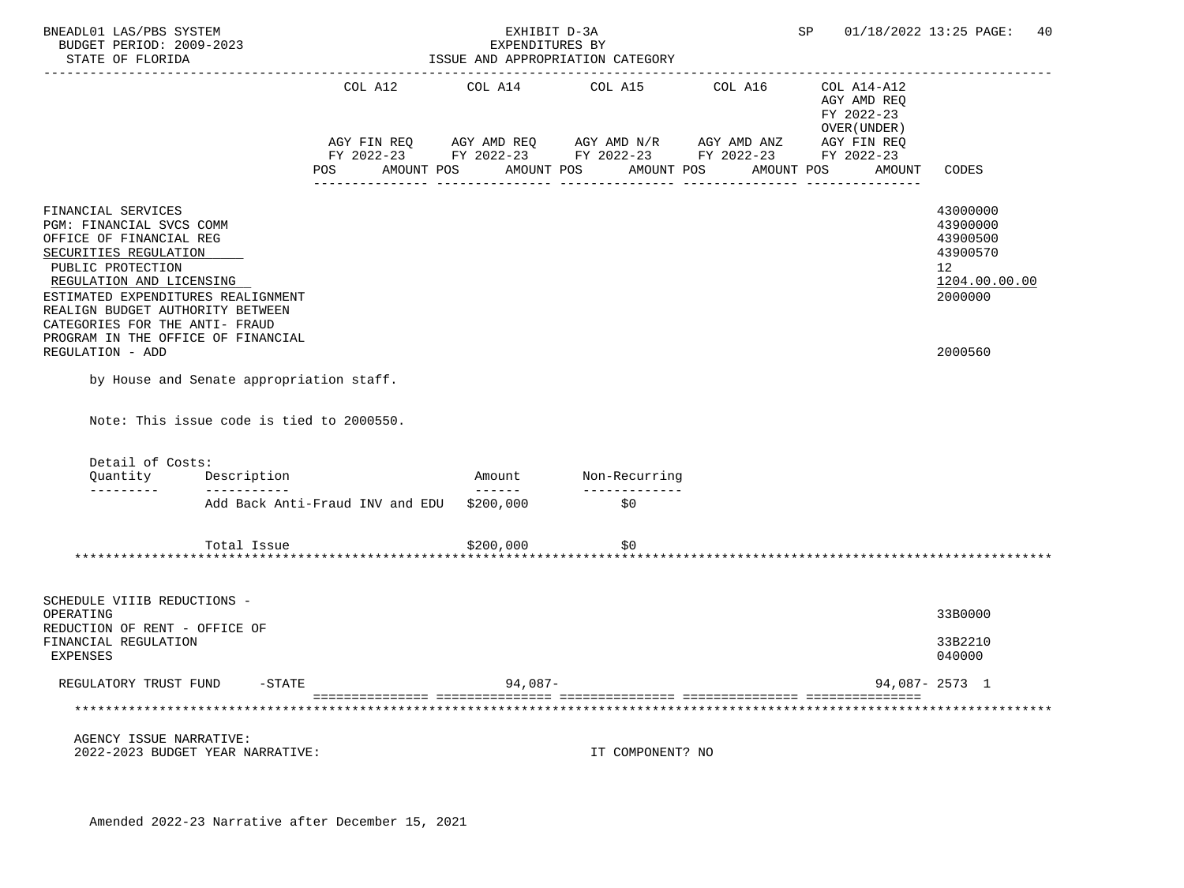| BNEADL01 LAS/PBS SYSTEM<br>BUDGET PERIOD: 2009-2023<br>STATE OF FLORIDA                                                                                                                                                                                                                                                                                               |                                           | EXHIBIT D-3A<br>EXPENDITURES BY<br>ISSUE AND APPROPRIATION CATEGORY | SP                                                                                                                                                                                                                                        | 01/18/2022 13:25 PAGE:<br>40                                                      |                                                                                           |
|-----------------------------------------------------------------------------------------------------------------------------------------------------------------------------------------------------------------------------------------------------------------------------------------------------------------------------------------------------------------------|-------------------------------------------|---------------------------------------------------------------------|-------------------------------------------------------------------------------------------------------------------------------------------------------------------------------------------------------------------------------------------|-----------------------------------------------------------------------------------|-------------------------------------------------------------------------------------------|
|                                                                                                                                                                                                                                                                                                                                                                       | COL A12<br><b>POS</b>                     | _________________________________                                   | COL A14 COL A15 COL A16<br>$\verb AGY FIN REQ  \qquad \verb AGY AMD REQ  \qquad \verb AGY AMD N/R  \qquad \verb AGY AMD ANZ  \\$<br>FY 2022-23 FY 2022-23 FY 2022-23 FY 2022-23 FY 2022-23<br>AMOUNT POS AMOUNT POS AMOUNT POS AMOUNT POS | COL A14-A12<br>AGY AMD REQ<br>FY 2022-23<br>OVER (UNDER)<br>AGY FIN REQ<br>AMOUNT | <b>CODES</b>                                                                              |
| FINANCIAL SERVICES<br>PGM: FINANCIAL SVCS COMM<br>OFFICE OF FINANCIAL REG<br>SECURITIES REGULATION<br>PUBLIC PROTECTION<br>REGULATION AND LICENSING<br>ESTIMATED EXPENDITURES REALIGNMENT<br>REALIGN BUDGET AUTHORITY BETWEEN<br>CATEGORIES FOR THE ANTI- FRAUD<br>PROGRAM IN THE OFFICE OF FINANCIAL<br>REGULATION - ADD<br>by House and Senate appropriation staff. |                                           |                                                                     |                                                                                                                                                                                                                                           |                                                                                   | 43000000<br>43900000<br>43900500<br>43900570<br>12<br>1204.00.00.00<br>2000000<br>2000560 |
| Note: This issue code is tied to 2000550.<br>Detail of Costs:                                                                                                                                                                                                                                                                                                         |                                           |                                                                     |                                                                                                                                                                                                                                           |                                                                                   |                                                                                           |
| Quantity Description<br>$- - - - - - - - - -$<br>----------                                                                                                                                                                                                                                                                                                           |                                           | Amount                                                              | Non-Recurring<br>--------------                                                                                                                                                                                                           |                                                                                   |                                                                                           |
|                                                                                                                                                                                                                                                                                                                                                                       | Add Back Anti-Fraud INV and EDU \$200,000 |                                                                     | \$0                                                                                                                                                                                                                                       |                                                                                   |                                                                                           |
| Total Issue                                                                                                                                                                                                                                                                                                                                                           |                                           | \$200,000<br>******************                                     | \$0                                                                                                                                                                                                                                       |                                                                                   |                                                                                           |
| SCHEDULE VIIIB REDUCTIONS -<br>OPERATING<br>REDUCTION OF RENT - OFFICE OF                                                                                                                                                                                                                                                                                             |                                           |                                                                     |                                                                                                                                                                                                                                           |                                                                                   | 33B0000                                                                                   |
| FINANCIAL REGULATION<br><b>EXPENSES</b>                                                                                                                                                                                                                                                                                                                               |                                           |                                                                     |                                                                                                                                                                                                                                           |                                                                                   | 33B2210<br>040000                                                                         |
| -STATE<br>REGULATORY TRUST FUND                                                                                                                                                                                                                                                                                                                                       |                                           | $94,087-$                                                           |                                                                                                                                                                                                                                           |                                                                                   | 94,087-2573 1                                                                             |
|                                                                                                                                                                                                                                                                                                                                                                       |                                           |                                                                     |                                                                                                                                                                                                                                           |                                                                                   |                                                                                           |
| AGENCY ISSUE NARRATIVE:<br>2022-2023 BUDGET YEAR NARRATIVE:                                                                                                                                                                                                                                                                                                           |                                           |                                                                     | IT COMPONENT? NO                                                                                                                                                                                                                          |                                                                                   |                                                                                           |

Amended 2022-23 Narrative after December 15, 2021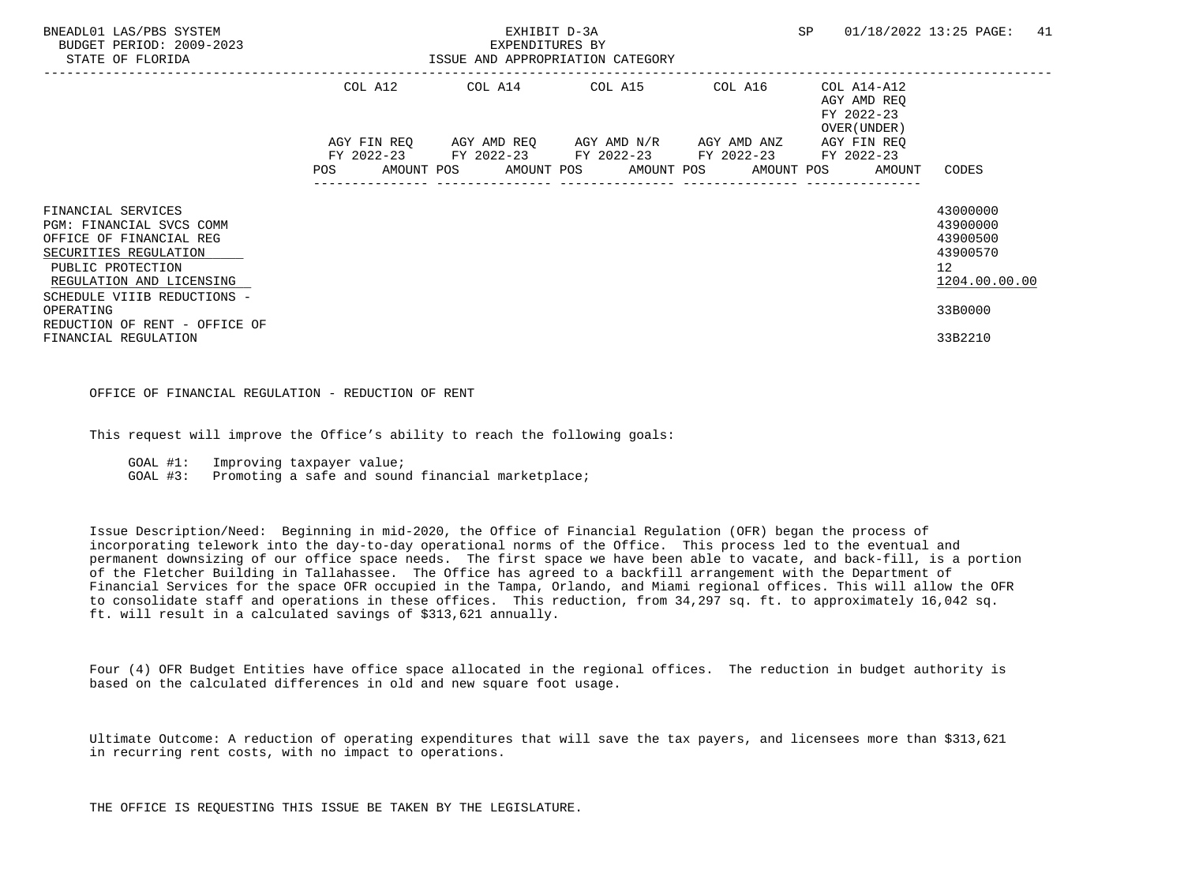| BNEADL01 LAS/PBS SYSTEM<br>BUDGET PERIOD: 2009-2023<br>STATE OF FLORIDA                                                                                                            |            | EXHIBIT D-3A<br>EXPENDITURES BY<br>ISSUE AND APPROPRIATION CATEGORY | <b>SP</b>                                                                                                                                            | 01/18/2022 13:25 PAGE:<br>41 |                                                          |                                                                     |  |
|------------------------------------------------------------------------------------------------------------------------------------------------------------------------------------|------------|---------------------------------------------------------------------|------------------------------------------------------------------------------------------------------------------------------------------------------|------------------------------|----------------------------------------------------------|---------------------------------------------------------------------|--|
|                                                                                                                                                                                    |            |                                                                     | COL A12 COL A14 COL A15                                                                                                                              | COL A16                      | COL A14-A12<br>AGY AMD REO<br>FY 2022-23<br>OVER (UNDER) |                                                                     |  |
|                                                                                                                                                                                    | <b>POS</b> |                                                                     | AGY FIN REQ 6GY AMD REQ 6GY AMD N/R 6GY AMD ANZ<br>FY 2022-23 FY 2022-23 FY 2022-23 FY 2022-23<br>AMOUNT POS AMOUNT POS AMOUNT POS AMOUNT POS AMOUNT |                              | AGY FIN REO<br>FY 2022-23                                | CODES                                                               |  |
| FINANCIAL SERVICES<br>PGM: FINANCIAL SVCS COMM<br>OFFICE OF FINANCIAL REG<br>SECURITIES REGULATION<br>PUBLIC PROTECTION<br>REGULATION AND LICENSING<br>SCHEDULE VIIIB REDUCTIONS - |            |                                                                     |                                                                                                                                                      |                              |                                                          | 43000000<br>43900000<br>43900500<br>43900570<br>12<br>1204.00.00.00 |  |
| OPERATING<br>REDUCTION OF RENT - OFFICE OF<br>FINANCIAL REGULATION                                                                                                                 |            |                                                                     |                                                                                                                                                      |                              |                                                          | 33B0000<br>33B2210                                                  |  |

#### OFFICE OF FINANCIAL REGULATION - REDUCTION OF RENT

This request will improve the Office's ability to reach the following goals:

GOAL #1: Improving taxpayer value;

GOAL #3: Promoting a safe and sound financial marketplace;

 Issue Description/Need: Beginning in mid-2020, the Office of Financial Regulation (OFR) began the process of incorporating telework into the day-to-day operational norms of the Office. This process led to the eventual and permanent downsizing of our office space needs. The first space we have been able to vacate, and back-fill, is a portion of the Fletcher Building in Tallahassee. The Office has agreed to a backfill arrangement with the Department of Financial Services for the space OFR occupied in the Tampa, Orlando, and Miami regional offices. This will allow the OFR to consolidate staff and operations in these offices. This reduction, from 34,297 sq. ft. to approximately 16,042 sq. ft. will result in a calculated savings of \$313,621 annually.

 Four (4) OFR Budget Entities have office space allocated in the regional offices. The reduction in budget authority is based on the calculated differences in old and new square foot usage.

 Ultimate Outcome: A reduction of operating expenditures that will save the tax payers, and licensees more than \$313,621 in recurring rent costs, with no impact to operations.

THE OFFICE IS REQUESTING THIS ISSUE BE TAKEN BY THE LEGISLATURE.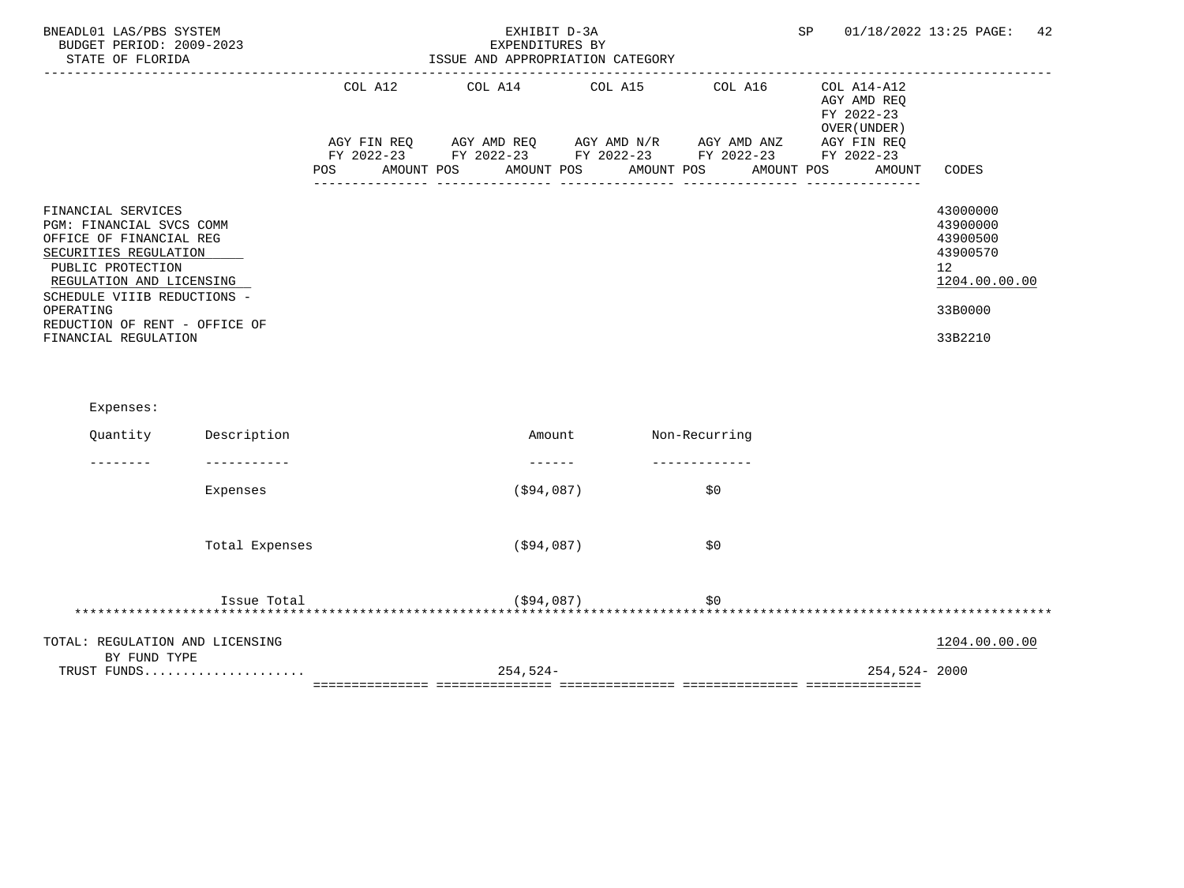| BNEADL01 LAS/PBS SYSTEM<br>BUDGET PERIOD: 2009-2023<br>STATE OF FLORIDA                                                                                                                                                                                  |     | EXHIBIT D-3A<br>EXPENDITURES BY<br>ISSUE AND APPROPRIATION CATEGORY                                                                                                               | SP     | 01/18/2022 13:25 PAGE:<br>42 |                                                                    |                                                                                           |
|----------------------------------------------------------------------------------------------------------------------------------------------------------------------------------------------------------------------------------------------------------|-----|-----------------------------------------------------------------------------------------------------------------------------------------------------------------------------------|--------|------------------------------|--------------------------------------------------------------------|-------------------------------------------------------------------------------------------|
|                                                                                                                                                                                                                                                          | POS | COL A12 COL A14 COL A15 COL A16<br>AGY FIN REQ AGY AMD REQ AGY AMD N/R AGY AMD ANZ AGY FIN REQ<br>FY 2022-23 FY 2022-23 FY 2022-23 FY 2022-23 FY 2022-23<br>AMOUNT POS AMOUNT POS |        | AMOUNT POS AMOUNT POS        | COL A14-A12<br>AGY AMD REQ<br>FY 2022-23<br>OVER (UNDER)<br>AMOUNT | CODES                                                                                     |
| FINANCIAL SERVICES<br>PGM: FINANCIAL SVCS COMM<br>OFFICE OF FINANCIAL REG<br>SECURITIES REGULATION<br>PUBLIC PROTECTION<br>REGULATION AND LICENSING<br>SCHEDULE VIIIB REDUCTIONS -<br>OPERATING<br>REDUCTION OF RENT - OFFICE OF<br>FINANCIAL REGULATION |     |                                                                                                                                                                                   |        |                              |                                                                    | 43000000<br>43900000<br>43900500<br>43900570<br>12<br>1204.00.00.00<br>33B0000<br>33B2210 |
| Expenses:                                                                                                                                                                                                                                                |     |                                                                                                                                                                                   |        |                              |                                                                    |                                                                                           |
| Quantity<br>Description                                                                                                                                                                                                                                  |     |                                                                                                                                                                                   | Amount | Non-Recurring                |                                                                    |                                                                                           |
| ------------<br>-------                                                                                                                                                                                                                                  |     | -------                                                                                                                                                                           |        |                              |                                                                    |                                                                                           |
| Expenses                                                                                                                                                                                                                                                 |     | ( \$94,087)                                                                                                                                                                       |        | \$0                          |                                                                    |                                                                                           |
| Total Expenses                                                                                                                                                                                                                                           |     | (\$94,087)                                                                                                                                                                        |        | \$0                          |                                                                    |                                                                                           |
| Issue Total                                                                                                                                                                                                                                              |     | (\$94,087)                                                                                                                                                                        |        | \$0                          |                                                                    |                                                                                           |
| TOTAL: REGULATION AND LICENSING                                                                                                                                                                                                                          |     |                                                                                                                                                                                   |        |                              |                                                                    | 1204.00.00.00                                                                             |
| BY FUND TYPE<br>TRUST FUNDS                                                                                                                                                                                                                              |     | 254,524-                                                                                                                                                                          |        |                              | 254,524-2000                                                       |                                                                                           |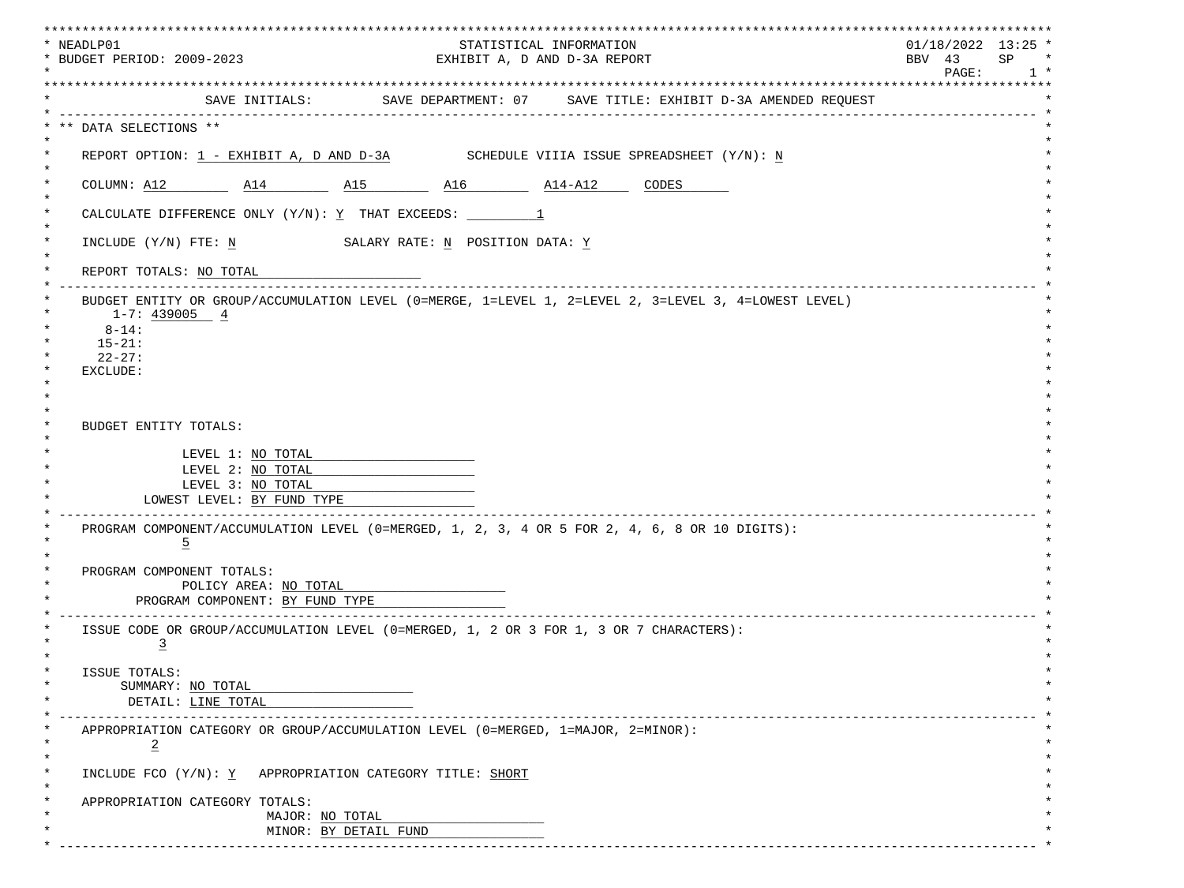| * NEADLP01<br>* BUDGET PERIOD: 2009-2023                                                                           |                                                          | STATISTICAL INFORMATION<br>EXHIBIT A, D AND D-3A REPORT |                                                                             | * * * * * * * * * * * * * * * *<br>$01/18/2022$ 13:25 *<br>SP<br>BBV 43<br>$\star$<br>$\texttt{PAGE}$ :<br>$1 *$ |
|--------------------------------------------------------------------------------------------------------------------|----------------------------------------------------------|---------------------------------------------------------|-----------------------------------------------------------------------------|------------------------------------------------------------------------------------------------------------------|
|                                                                                                                    |                                                          |                                                         | SAVE INITIALS: SAVE DEPARTMENT: 07 SAVE TITLE: EXHIBIT D-3A AMENDED REQUEST |                                                                                                                  |
| ** DATA SELECTIONS **                                                                                              |                                                          |                                                         |                                                                             |                                                                                                                  |
| REPORT OPTION: $1$ - EXHIBIT A, D AND D-3A SCHEDULE VIIIA ISSUE SPREADSHEET $(Y/N): N$                             |                                                          |                                                         |                                                                             |                                                                                                                  |
| COLUMN: A12 $A14$ $A15$ $A16$ $A14 - A12$ CODES                                                                    |                                                          |                                                         |                                                                             |                                                                                                                  |
|                                                                                                                    |                                                          |                                                         |                                                                             |                                                                                                                  |
| INCLUDE (Y/N) FTE: N SALARY RATE: N POSITION DATA: Y                                                               |                                                          |                                                         |                                                                             |                                                                                                                  |
| REPORT TOTALS: NO TOTAL                                                                                            | ___________________                                      |                                                         |                                                                             |                                                                                                                  |
| $1-7:439005$ 4<br>$8 - 14:$<br>$15 - 21:$<br>$22 - 27:$<br>EXCLUDE:                                                |                                                          |                                                         |                                                                             |                                                                                                                  |
| BUDGET ENTITY TOTALS:<br>LEVEL 1: NO TOTAL<br>LEVEL 2: NO TOTAL<br>LEVEL 3: NO TOTAL<br>LOWEST LEVEL: BY FUND TYPE |                                                          |                                                         |                                                                             |                                                                                                                  |
| PROGRAM COMPONENT/ACCUMULATION LEVEL (0=MERGED, 1, 2, 3, 4 OR 5 FOR 2, 4, 6, 8 OR 10 DIGITS):<br>$\overline{5}$    |                                                          |                                                         |                                                                             |                                                                                                                  |
| PROGRAM COMPONENT TOTALS:                                                                                          | POLICY AREA: NO TOTAL<br>PROGRAM COMPONENT: BY FUND TYPE |                                                         |                                                                             |                                                                                                                  |
| ISSUE CODE OR GROUP/ACCUMULATION LEVEL (0=MERGED, 1, 2 OR 3 FOR 1, 3 OR 7 CHARACTERS):<br>$\overline{3}$           |                                                          |                                                         |                                                                             |                                                                                                                  |
| ISSUE TOTALS:<br>SUMMARY: NO TOTAL<br>DETAIL: LINE TOTAL                                                           |                                                          |                                                         |                                                                             |                                                                                                                  |
| APPROPRIATION CATEGORY OR GROUP/ACCUMULATION LEVEL (0=MERGED, 1=MAJOR, 2=MINOR):<br>$\overline{2}$                 |                                                          |                                                         |                                                                             |                                                                                                                  |
| INCLUDE FCO (Y/N): Y APPROPRIATION CATEGORY TITLE: SHORT                                                           |                                                          |                                                         |                                                                             |                                                                                                                  |
| APPROPRIATION CATEGORY TOTALS:                                                                                     | MAJOR: NO TOTAL                                          |                                                         |                                                                             |                                                                                                                  |
|                                                                                                                    | MINOR: BY DETAIL FUND                                    |                                                         |                                                                             |                                                                                                                  |